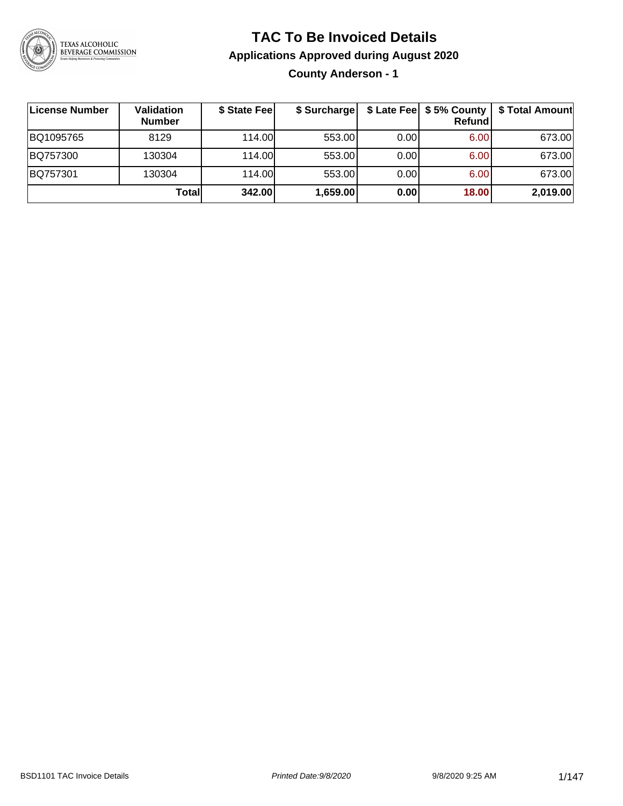

### **TAC To Be Invoiced Details**

#### **Applications Approved during August 2020**

**County Anderson - 1**

| License Number | Validation<br><b>Number</b> | \$ State Fee | \$ Surcharge |      | Refundl | \$ Late Fee   \$5% County   \$ Total Amount |
|----------------|-----------------------------|--------------|--------------|------|---------|---------------------------------------------|
| BQ1095765      | 8129                        | 114.00L      | 553.00       | 0.00 | 6.00    | 673.00                                      |
| BQ757300       | 130304                      | 114.00       | 553.00       | 0.00 | 6.00    | 673.00                                      |
| BQ757301       | 130304                      | 114.00       | 553.00       | 0.00 | 6.00    | 673.00                                      |
|                | Total                       | 342.00       | 1,659.00     | 0.00 | 18.00   | 2,019.00                                    |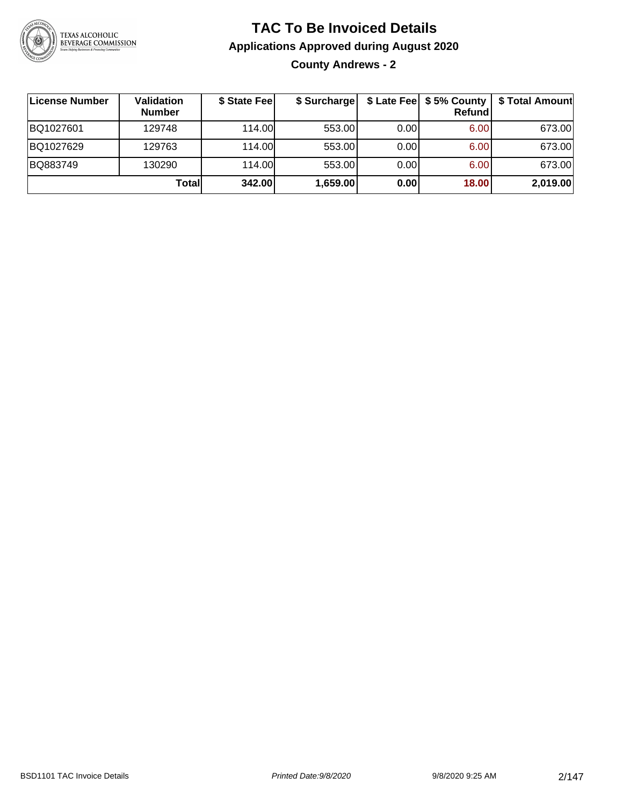

**County Andrews - 2**

| <b>License Number</b> | Validation<br><b>Number</b> | \$ State Fee | \$ Surcharge |       | Refundl | \$ Late Fee   \$5% County   \$ Total Amount |
|-----------------------|-----------------------------|--------------|--------------|-------|---------|---------------------------------------------|
| BQ1027601             | 129748                      | 114.00L      | 553.00       | 0.001 | 6.00    | 673.00                                      |
| BQ1027629             | 129763                      | 114.00L      | 553.00       | 0.00  | 6.00    | 673.00                                      |
| BQ883749              | 130290                      | 114.00L      | 553.00       | 0.00  | 6.00    | 673.00                                      |
|                       | Totall                      | 342.00       | 1,659.00     | 0.00  | 18.00   | 2,019.00                                    |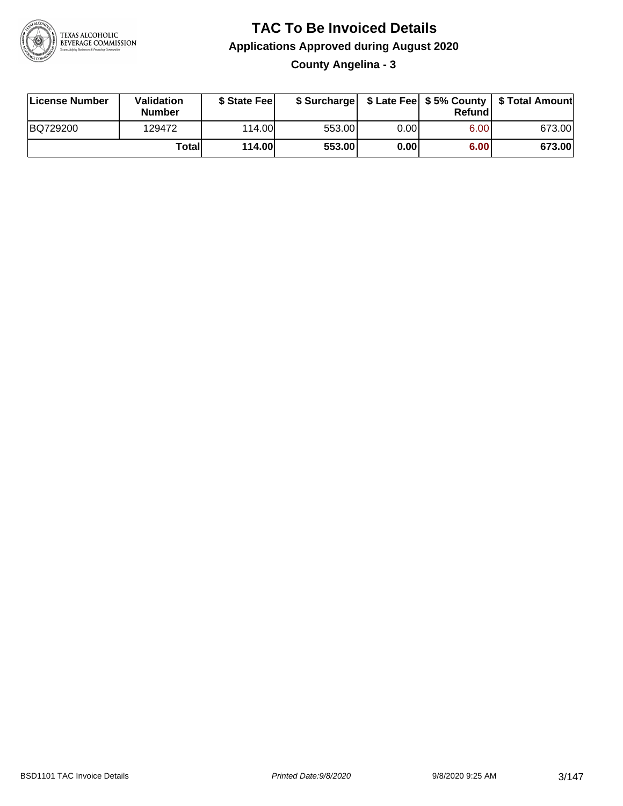

**County Angelina - 3**

| License Number | Validation<br><b>Number</b> | \$ State Fee  | \$ Surcharge |      | Refundl | \$ Late Fee   \$5% County   \$ Total Amount |
|----------------|-----------------------------|---------------|--------------|------|---------|---------------------------------------------|
| BQ729200       | 129472                      | 114.00        | 553.00       | 0.00 | 6.00    | 673.00                                      |
|                | Totall                      | <b>114.00</b> | 553.00       | 0.00 | 6.00    | 673.00                                      |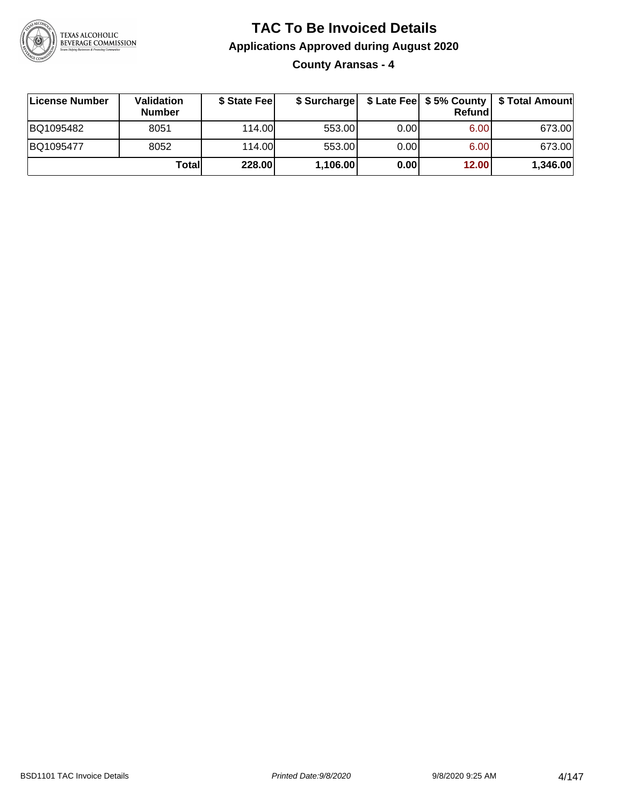

**County Aransas - 4**

| ∣License Number | <b>Validation</b><br><b>Number</b> | \$ State Fee | \$ Surcharge |       | Refundl | \$ Late Fee   \$5% County   \$ Total Amount |
|-----------------|------------------------------------|--------------|--------------|-------|---------|---------------------------------------------|
| BQ1095482       | 8051                               | 114.00       | 553.00       | 0.001 | 6.00    | 673.00                                      |
| BQ1095477       | 8052                               | 114.00       | 553.00       | 0.001 | 6.00    | 673.00                                      |
|                 | Totall                             | 228.00       | 1,106.00     | 0.00  | 12.00   | 1,346.00                                    |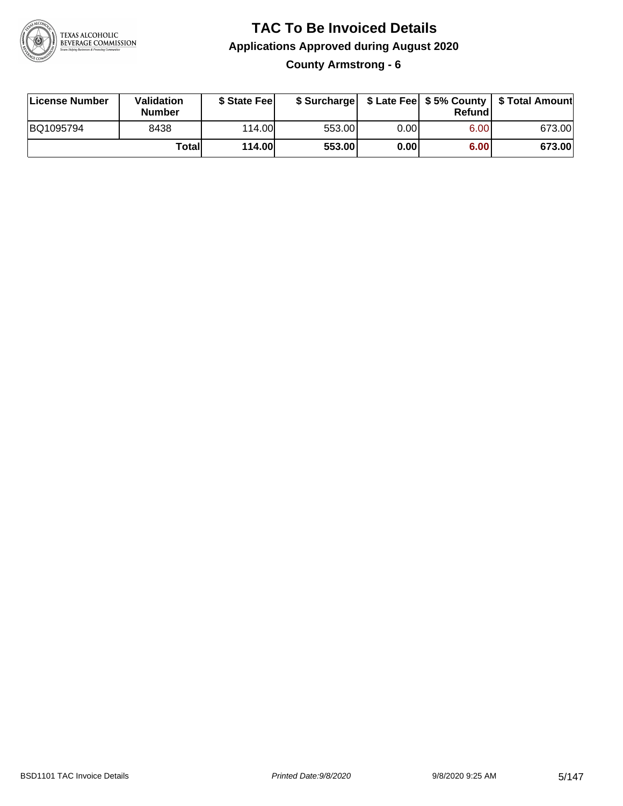

**County Armstrong - 6**

| License Number | Validation<br><b>Number</b> | \$ State Fee  | \$ Surcharge |      | Refundl | \$ Late Fee   \$5% County   \$ Total Amount |
|----------------|-----------------------------|---------------|--------------|------|---------|---------------------------------------------|
| BQ1095794      | 8438                        | 114.00        | 553.00       | 0.00 | 6.00    | 673.00                                      |
|                | Totall                      | <b>114.00</b> | 553.00       | 0.00 | 6.00    | 673.00                                      |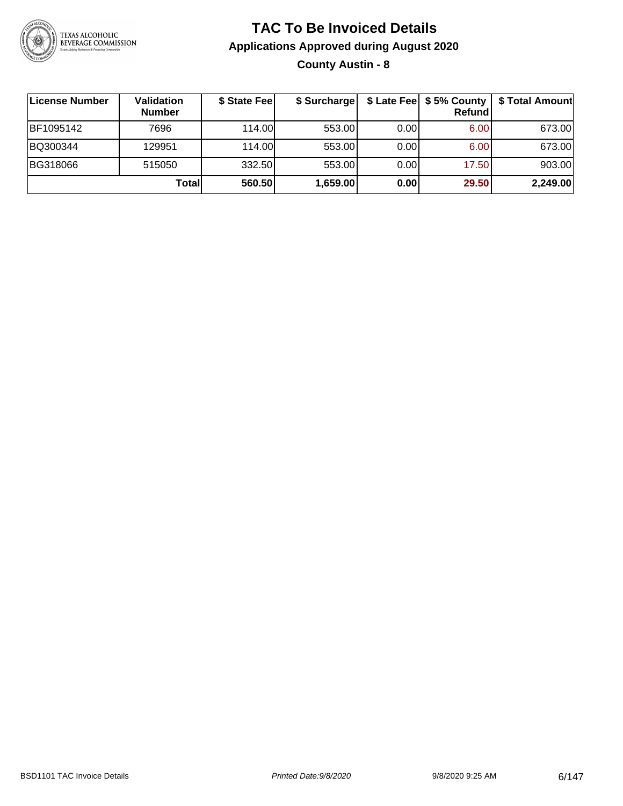

### **TAC To Be Invoiced Details Applications Approved during August 2020 County Austin - 8**

| ∣License Number | Validation<br><b>Number</b> | \$ State Fee | \$ Surcharge |      | \$ Late Fee   \$5% County<br>Refundl | \$ Total Amount |
|-----------------|-----------------------------|--------------|--------------|------|--------------------------------------|-----------------|
| BF1095142       | 7696                        | 114.00       | 553.00       | 0.00 | 6.00                                 | 673.00          |
| BQ300344        | 129951                      | 114.00       | 553.00       | 0.00 | 6.00                                 | 673.00          |
| BG318066        | 515050                      | 332.50       | 553.00       | 0.00 | 17.50                                | 903.00          |
|                 | Totall                      | 560.50       | 1,659.00     | 0.00 | 29.50                                | 2,249.00        |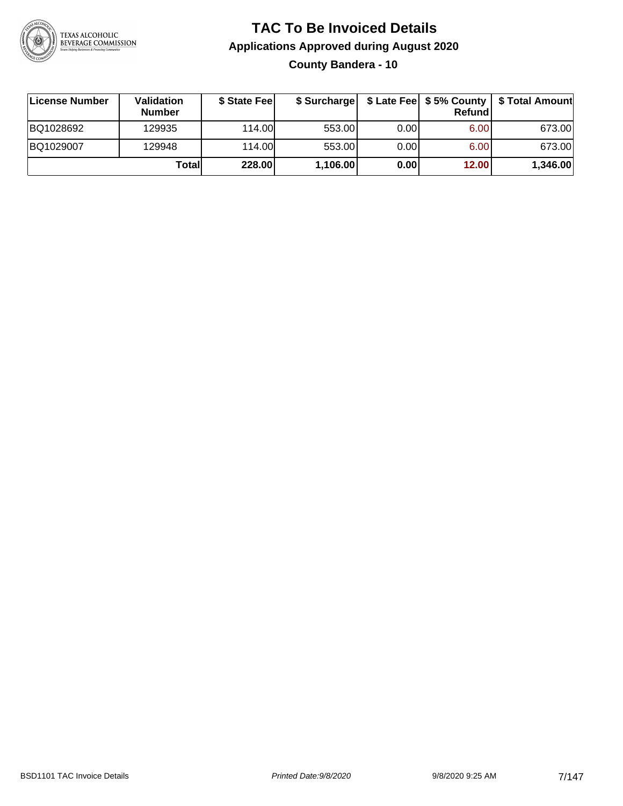

### **TAC To Be Invoiced Details Applications Approved during August 2020 County Bandera - 10**

| License Number | Validation<br><b>Number</b> | \$ State Fee | \$ Surcharge |      | Refundl           | \$ Late Fee   \$5% County   \$ Total Amount |
|----------------|-----------------------------|--------------|--------------|------|-------------------|---------------------------------------------|
| BQ1028692      | 129935                      | 114.00       | 553.00       | 0.00 | 6.00 <sub>1</sub> | 673.00                                      |
| BQ1029007      | 129948                      | 114.00       | 553.00       | 0.00 | 6.00 <sub>1</sub> | 673.00                                      |
|                | Totall                      | 228.00       | 1,106.00     | 0.00 | 12.00             | 1,346.00                                    |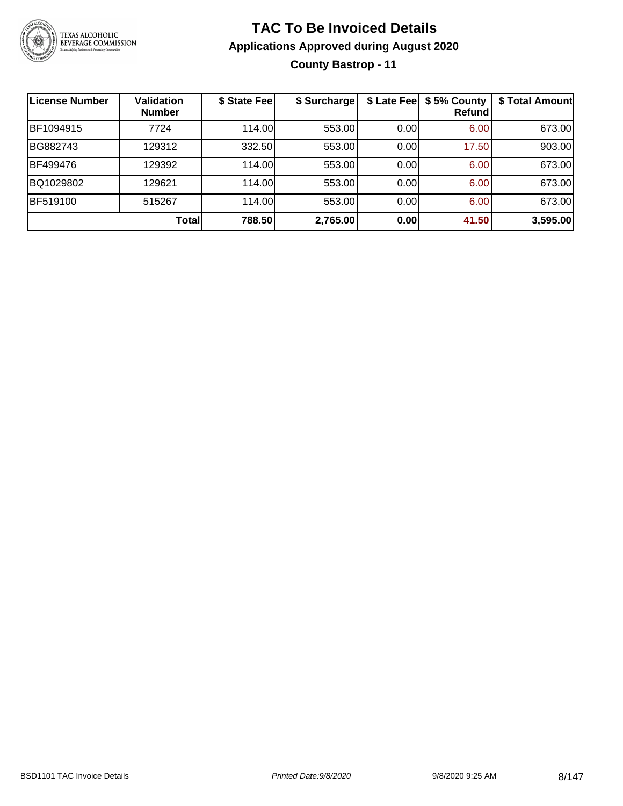

### **TAC To Be Invoiced Details Applications Approved during August 2020 County Bastrop - 11**

| License Number | <b>Validation</b><br><b>Number</b> | \$ State Fee | \$ Surcharge | \$ Late Fee | \$5% County<br>Refundl | \$ Total Amount |
|----------------|------------------------------------|--------------|--------------|-------------|------------------------|-----------------|
| BF1094915      | 7724                               | 114.00L      | 553.00       | 0.00        | 6.00                   | 673.00          |
| BG882743       | 129312                             | 332.50       | 553.00       | 0.00        | 17.50                  | 903.00          |
| BF499476       | 129392                             | 114.00       | 553.00       | 0.00        | 6.00                   | 673.00          |
| BQ1029802      | 129621                             | 114.00       | 553.00       | 0.00        | 6.00                   | 673.00          |
| BF519100       | 515267                             | 114.00       | 553.00       | 0.00        | 6.00                   | 673.00          |
|                | Total                              | 788.50       | 2,765.00     | 0.00        | 41.50                  | 3,595.00        |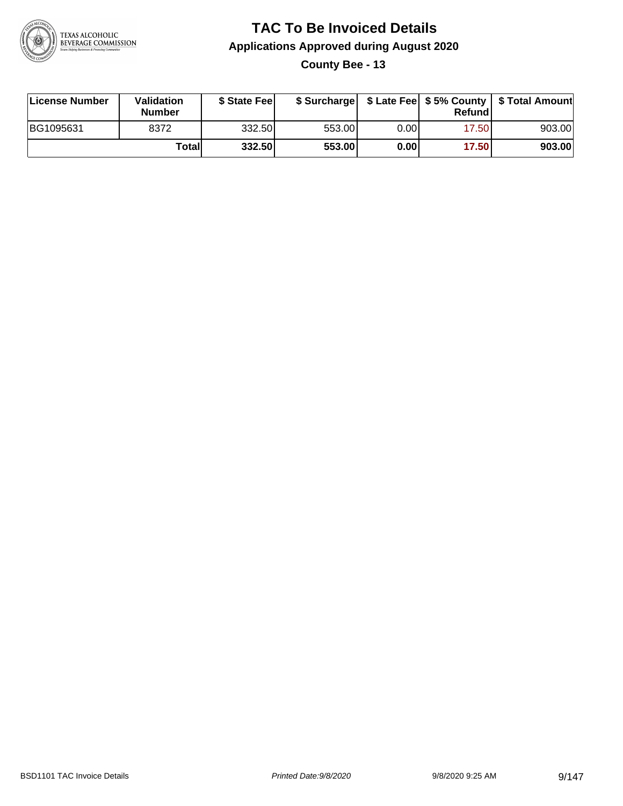

**County Bee - 13**

| License Number | <b>Validation</b><br><b>Number</b> | \$ State Feel |        |       | Refundl | \$ Surcharge   \$ Late Fee   \$5% County   \$ Total Amount |
|----------------|------------------------------------|---------------|--------|-------|---------|------------------------------------------------------------|
| BG1095631      | 8372                               | 332.50        | 553.00 | 0.00I | 17.50   | 903.00                                                     |
|                | Total                              | 332.50        | 553.00 | 0.001 | 17.50   | 903.00                                                     |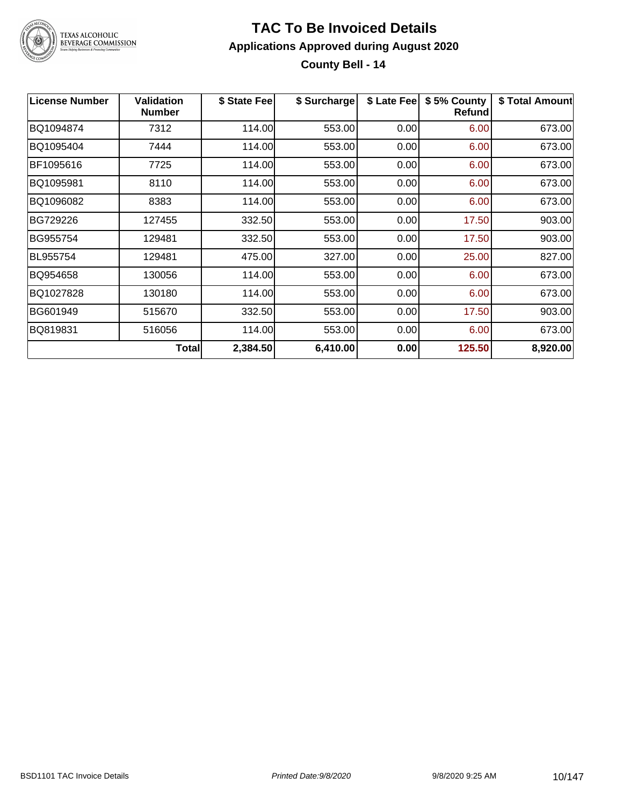

### TEXAS ALCOHOLIC<br>BEVERAGE COMMISSION

#### **TAC To Be Invoiced Details Applications Approved during August 2020 County Bell - 14**

| <b>License Number</b> | <b>Validation</b><br><b>Number</b> | \$ State Fee | \$ Surcharge | \$ Late Fee | \$5% County<br><b>Refund</b> | \$ Total Amount |
|-----------------------|------------------------------------|--------------|--------------|-------------|------------------------------|-----------------|
| BQ1094874             | 7312                               | 114.00       | 553.00       | 0.00        | 6.00                         | 673.00          |
| BQ1095404             | 7444                               | 114.00       | 553.00       | 0.00        | 6.00                         | 673.00          |
| BF1095616             | 7725                               | 114.00       | 553.00       | 0.00        | 6.00                         | 673.00          |
| BQ1095981             | 8110                               | 114.00       | 553.00       | 0.00        | 6.00                         | 673.00          |
| BQ1096082             | 8383                               | 114.00       | 553.00       | 0.00        | 6.00                         | 673.00          |
| BG729226              | 127455                             | 332.50       | 553.00       | 0.00        | 17.50                        | 903.00          |
| BG955754              | 129481                             | 332.50       | 553.00       | 0.00        | 17.50                        | 903.00          |
| BL955754              | 129481                             | 475.00       | 327.00       | 0.00        | 25.00                        | 827.00          |
| BQ954658              | 130056                             | 114.00       | 553.00       | 0.00        | 6.00                         | 673.00          |
| BQ1027828             | 130180                             | 114.00       | 553.00       | 0.00        | 6.00                         | 673.00          |
| BG601949              | 515670                             | 332.50       | 553.00       | 0.00        | 17.50                        | 903.00          |
| BQ819831              | 516056                             | 114.00       | 553.00       | 0.00        | 6.00                         | 673.00          |
|                       | Total                              | 2,384.50     | 6,410.00     | 0.00        | 125.50                       | 8,920.00        |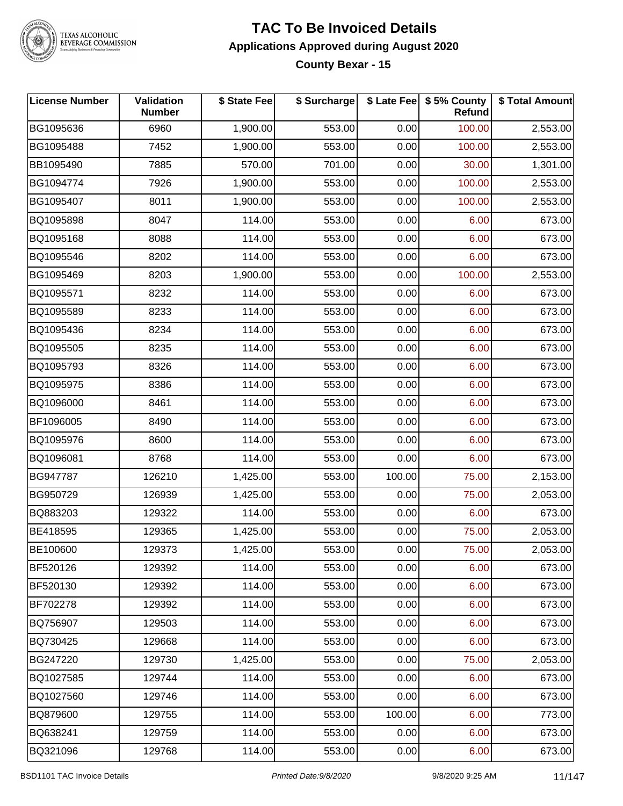

TEXAS ALCOHOLIC<br>BEVERAGE COMMISSION

#### **TAC To Be Invoiced Details Applications Approved during August 2020 County Bexar - 15**

| <b>License Number</b> | Validation<br><b>Number</b> | \$ State Fee | \$ Surcharge |        | \$ Late Fee   \$5% County<br>Refund | \$ Total Amount |
|-----------------------|-----------------------------|--------------|--------------|--------|-------------------------------------|-----------------|
| BG1095636             | 6960                        | 1,900.00     | 553.00       | 0.00   | 100.00                              | 2,553.00        |
| BG1095488             | 7452                        | 1,900.00     | 553.00       | 0.00   | 100.00                              | 2,553.00        |
| BB1095490             | 7885                        | 570.00       | 701.00       | 0.00   | 30.00                               | 1,301.00        |
| BG1094774             | 7926                        | 1,900.00     | 553.00       | 0.00   | 100.00                              | 2,553.00        |
| BG1095407             | 8011                        | 1,900.00     | 553.00       | 0.00   | 100.00                              | 2,553.00        |
| BQ1095898             | 8047                        | 114.00       | 553.00       | 0.00   | 6.00                                | 673.00          |
| BQ1095168             | 8088                        | 114.00       | 553.00       | 0.00   | 6.00                                | 673.00          |
| BQ1095546             | 8202                        | 114.00       | 553.00       | 0.00   | 6.00                                | 673.00          |
| BG1095469             | 8203                        | 1,900.00     | 553.00       | 0.00   | 100.00                              | 2,553.00        |
| BQ1095571             | 8232                        | 114.00       | 553.00       | 0.00   | 6.00                                | 673.00          |
| BQ1095589             | 8233                        | 114.00       | 553.00       | 0.00   | 6.00                                | 673.00          |
| BQ1095436             | 8234                        | 114.00       | 553.00       | 0.00   | 6.00                                | 673.00          |
| BQ1095505             | 8235                        | 114.00       | 553.00       | 0.00   | 6.00                                | 673.00          |
| BQ1095793             | 8326                        | 114.00       | 553.00       | 0.00   | 6.00                                | 673.00          |
| BQ1095975             | 8386                        | 114.00       | 553.00       | 0.00   | 6.00                                | 673.00          |
| BQ1096000             | 8461                        | 114.00       | 553.00       | 0.00   | 6.00                                | 673.00          |
| BF1096005             | 8490                        | 114.00       | 553.00       | 0.00   | 6.00                                | 673.00          |
| BQ1095976             | 8600                        | 114.00       | 553.00       | 0.00   | 6.00                                | 673.00          |
| BQ1096081             | 8768                        | 114.00       | 553.00       | 0.00   | 6.00                                | 673.00          |
| BG947787              | 126210                      | 1,425.00     | 553.00       | 100.00 | 75.00                               | 2,153.00        |
| BG950729              | 126939                      | 1,425.00     | 553.00       | 0.00   | 75.00                               | 2,053.00        |
| BQ883203              | 129322                      | 114.00       | 553.00       | 0.00   | 6.00                                | 673.00          |
| BE418595              | 129365                      | 1,425.00     | 553.00       | 0.00   | 75.00                               | 2,053.00        |
| BE100600              | 129373                      | 1,425.00     | 553.00       | 0.00   | 75.00                               | 2,053.00        |
| BF520126              | 129392                      | 114.00       | 553.00       | 0.00   | 6.00                                | 673.00          |
| BF520130              | 129392                      | 114.00       | 553.00       | 0.00   | 6.00                                | 673.00          |
| BF702278              | 129392                      | 114.00       | 553.00       | 0.00   | 6.00                                | 673.00          |
| BQ756907              | 129503                      | 114.00       | 553.00       | 0.00   | 6.00                                | 673.00          |
| BQ730425              | 129668                      | 114.00       | 553.00       | 0.00   | 6.00                                | 673.00          |
| BG247220              | 129730                      | 1,425.00     | 553.00       | 0.00   | 75.00                               | 2,053.00        |
| BQ1027585             | 129744                      | 114.00       | 553.00       | 0.00   | 6.00                                | 673.00          |
| BQ1027560             | 129746                      | 114.00       | 553.00       | 0.00   | 6.00                                | 673.00          |
| BQ879600              | 129755                      | 114.00       | 553.00       | 100.00 | 6.00                                | 773.00          |
| BQ638241              | 129759                      | 114.00       | 553.00       | 0.00   | 6.00                                | 673.00          |
| BQ321096              | 129768                      | 114.00       | 553.00       | 0.00   | 6.00                                | 673.00          |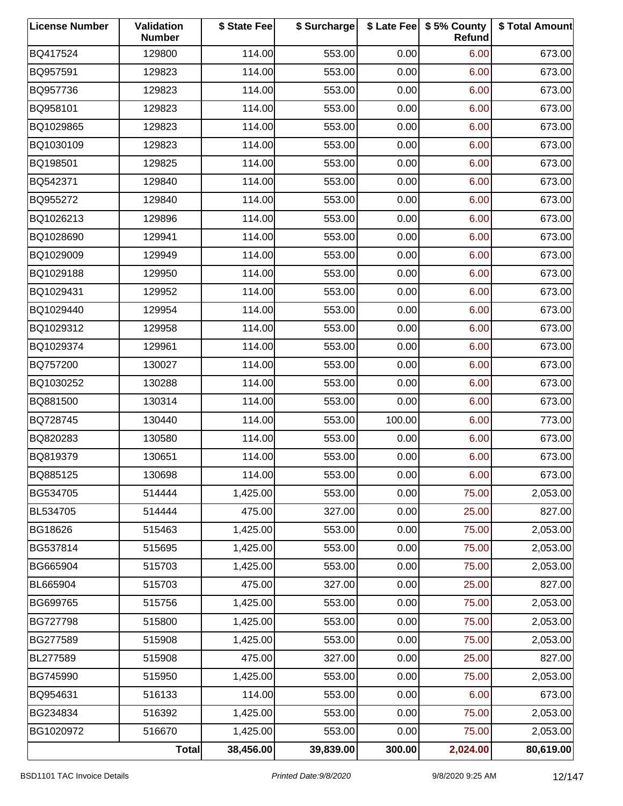| <b>License Number</b> | Validation<br><b>Number</b> | \$ State Fee | \$ Surcharge |        | \$ Late Fee   \$5% County<br>Refund | \$ Total Amount |
|-----------------------|-----------------------------|--------------|--------------|--------|-------------------------------------|-----------------|
| BQ417524              | 129800                      | 114.00       | 553.00       | 0.00   | 6.00                                | 673.00          |
| BQ957591              | 129823                      | 114.00       | 553.00       | 0.00   | 6.00                                | 673.00          |
| BQ957736              | 129823                      | 114.00       | 553.00       | 0.00   | 6.00                                | 673.00          |
| BQ958101              | 129823                      | 114.00       | 553.00       | 0.00   | 6.00                                | 673.00          |
| BQ1029865             | 129823                      | 114.00       | 553.00       | 0.00   | 6.00                                | 673.00          |
| BQ1030109             | 129823                      | 114.00       | 553.00       | 0.00   | 6.00                                | 673.00          |
| BQ198501              | 129825                      | 114.00       | 553.00       | 0.00   | 6.00                                | 673.00          |
| BQ542371              | 129840                      | 114.00       | 553.00       | 0.00   | 6.00                                | 673.00          |
| BQ955272              | 129840                      | 114.00       | 553.00       | 0.00   | 6.00                                | 673.00          |
| BQ1026213             | 129896                      | 114.00       | 553.00       | 0.00   | 6.00                                | 673.00          |
| BQ1028690             | 129941                      | 114.00       | 553.00       | 0.00   | 6.00                                | 673.00          |
| BQ1029009             | 129949                      | 114.00       | 553.00       | 0.00   | 6.00                                | 673.00          |
| BQ1029188             | 129950                      | 114.00       | 553.00       | 0.00   | 6.00                                | 673.00          |
| BQ1029431             | 129952                      | 114.00       | 553.00       | 0.00   | 6.00                                | 673.00          |
| BQ1029440             | 129954                      | 114.00       | 553.00       | 0.00   | 6.00                                | 673.00          |
| BQ1029312             | 129958                      | 114.00       | 553.00       | 0.00   | 6.00                                | 673.00          |
| BQ1029374             | 129961                      | 114.00       | 553.00       | 0.00   | 6.00                                | 673.00          |
| BQ757200              | 130027                      | 114.00       | 553.00       | 0.00   | 6.00                                | 673.00          |
| BQ1030252             | 130288                      | 114.00       | 553.00       | 0.00   | 6.00                                | 673.00          |
| BQ881500              | 130314                      | 114.00       | 553.00       | 0.00   | 6.00                                | 673.00          |
| BQ728745              | 130440                      | 114.00       | 553.00       | 100.00 | 6.00                                | 773.00          |
| BQ820283              | 130580                      | 114.00       | 553.00       | 0.00   | 6.00                                | 673.00          |
| BQ819379              | 130651                      | 114.00       | 553.00       | 0.00   | 6.00                                | 673.00          |
| BQ885125              | 130698                      | 114.00       | 553.00       | 0.00   | 6.00                                | 673.00          |
| BG534705              | 514444                      | 1,425.00     | 553.00       | 0.00   | 75.00                               | 2,053.00        |
| BL534705              | 514444                      | 475.00       | 327.00       | 0.00   | 25.00                               | 827.00          |
| BG18626               | 515463                      | 1,425.00     | 553.00       | 0.00   | 75.00                               | 2,053.00        |
| BG537814              | 515695                      | 1,425.00     | 553.00       | 0.00   | 75.00                               | 2,053.00        |
| BG665904              | 515703                      | 1,425.00     | 553.00       | 0.00   | 75.00                               | 2,053.00        |
| BL665904              | 515703                      | 475.00       | 327.00       | 0.00   | 25.00                               | 827.00          |
| BG699765              | 515756                      | 1,425.00     | 553.00       | 0.00   | 75.00                               | 2,053.00        |
| BG727798              | 515800                      | 1,425.00     | 553.00       | 0.00   | 75.00                               | 2,053.00        |
| BG277589              | 515908                      | 1,425.00     | 553.00       | 0.00   | 75.00                               | 2,053.00        |
| BL277589              | 515908                      | 475.00       | 327.00       | 0.00   | 25.00                               | 827.00          |
| BG745990              | 515950                      | 1,425.00     | 553.00       | 0.00   | 75.00                               | 2,053.00        |
| BQ954631              | 516133                      | 114.00       | 553.00       | 0.00   | 6.00                                | 673.00          |
| BG234834              | 516392                      | 1,425.00     | 553.00       | 0.00   | 75.00                               | 2,053.00        |
| BG1020972             | 516670                      | 1,425.00     | 553.00       | 0.00   | 75.00                               | 2,053.00        |
|                       | <b>Total</b>                | 38,456.00    | 39,839.00    | 300.00 | 2,024.00                            | 80,619.00       |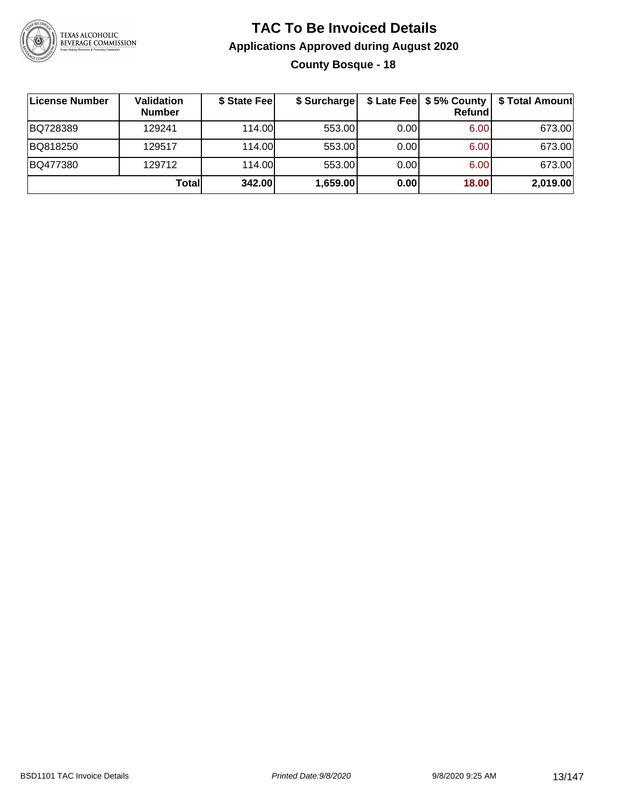

### **TAC To Be Invoiced Details Applications Approved during August 2020 County Bosque - 18**

| License Number | Validation<br><b>Number</b> | \$ State Fee | \$ Surcharge |      | <b>Refund</b> | \$ Late Fee   \$5% County   \$ Total Amount |
|----------------|-----------------------------|--------------|--------------|------|---------------|---------------------------------------------|
| BQ728389       | 129241                      | 114.00L      | 553.00       | 0.00 | 6.00          | 673.00                                      |
| BQ818250       | 129517                      | 114.00L      | 553.00       | 0.00 | 6.00          | 673.00                                      |
| BQ477380       | 129712                      | 114.00       | 553.00       | 0.00 | 6.00          | 673.00                                      |
|                | Total                       | 342.00       | 1,659.00     | 0.00 | 18.00         | 2,019.00                                    |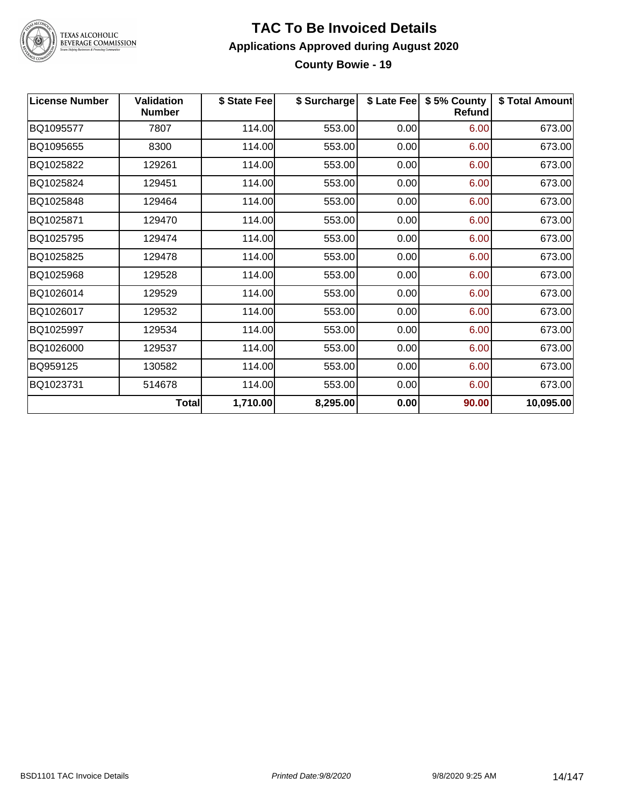

### TEXAS ALCOHOLIC<br>BEVERAGE COMMISSION

#### **TAC To Be Invoiced Details Applications Approved during August 2020 County Bowie - 19**

| <b>License Number</b> | <b>Validation</b><br><b>Number</b> | \$ State Fee | \$ Surcharge | \$ Late Fee | \$5% County<br><b>Refund</b> | \$ Total Amount |
|-----------------------|------------------------------------|--------------|--------------|-------------|------------------------------|-----------------|
| BQ1095577             | 7807                               | 114.00       | 553.00       | 0.00        | 6.00                         | 673.00          |
| BQ1095655             | 8300                               | 114.00       | 553.00       | 0.00        | 6.00                         | 673.00          |
| BQ1025822             | 129261                             | 114.00       | 553.00       | 0.00        | 6.00                         | 673.00          |
| BQ1025824             | 129451                             | 114.00       | 553.00       | 0.00        | 6.00                         | 673.00          |
| BQ1025848             | 129464                             | 114.00       | 553.00       | 0.00        | 6.00                         | 673.00          |
| BQ1025871             | 129470                             | 114.00       | 553.00       | 0.00        | 6.00                         | 673.00          |
| BQ1025795             | 129474                             | 114.00       | 553.00       | 0.00        | 6.00                         | 673.00          |
| BQ1025825             | 129478                             | 114.00       | 553.00       | 0.00        | 6.00                         | 673.00          |
| BQ1025968             | 129528                             | 114.00       | 553.00       | 0.00        | 6.00                         | 673.00          |
| BQ1026014             | 129529                             | 114.00       | 553.00       | 0.00        | 6.00                         | 673.00          |
| BQ1026017             | 129532                             | 114.00       | 553.00       | 0.00        | 6.00                         | 673.00          |
| BQ1025997             | 129534                             | 114.00       | 553.00       | 0.00        | 6.00                         | 673.00          |
| BQ1026000             | 129537                             | 114.00       | 553.00       | 0.00        | 6.00                         | 673.00          |
| BQ959125              | 130582                             | 114.00       | 553.00       | 0.00        | 6.00                         | 673.00          |
| BQ1023731             | 514678                             | 114.00       | 553.00       | 0.00        | 6.00                         | 673.00          |
|                       | <b>Total</b>                       | 1,710.00     | 8,295.00     | 0.00        | 90.00                        | 10,095.00       |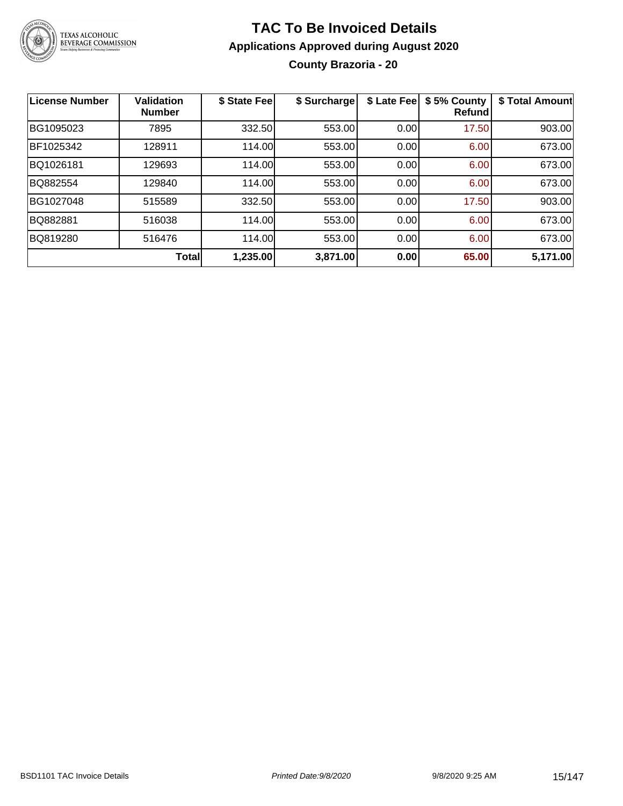

### **TAC To Be Invoiced Details Applications Approved during August 2020 County Brazoria - 20**

| <b>License Number</b> | <b>Validation</b><br><b>Number</b> | \$ State Fee | \$ Surcharge | \$ Late Fee | \$5% County<br><b>Refund</b> | \$ Total Amount |
|-----------------------|------------------------------------|--------------|--------------|-------------|------------------------------|-----------------|
| BG1095023             | 7895                               | 332.50       | 553.00       | 0.00        | 17.50                        | 903.00          |
| BF1025342             | 128911                             | 114.00       | 553.00       | 0.00        | 6.00                         | 673.00          |
| BQ1026181             | 129693                             | 114.00       | 553.00       | 0.00        | 6.00                         | 673.00          |
| BQ882554              | 129840                             | 114.00       | 553.00       | 0.00        | 6.00                         | 673.00          |
| BG1027048             | 515589                             | 332.50       | 553.00       | 0.00        | 17.50                        | 903.00          |
| BQ882881              | 516038                             | 114.00       | 553.00       | 0.00        | 6.00                         | 673.00          |
| BQ819280              | 516476                             | 114.00       | 553.00       | 0.00        | 6.00                         | 673.00          |
|                       | Total                              | 1,235.00     | 3,871.00     | 0.00        | 65.00                        | 5,171.00        |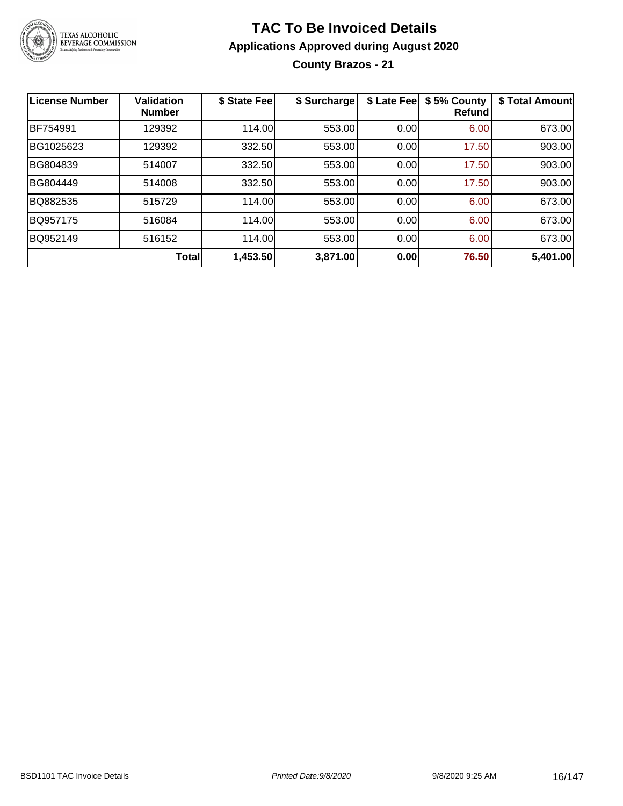

### **TAC To Be Invoiced Details Applications Approved during August 2020 County Brazos - 21**

| <b>License Number</b> | <b>Validation</b><br><b>Number</b> | \$ State Fee | \$ Surcharge | \$ Late Fee | \$5% County<br>Refundl | \$ Total Amount |
|-----------------------|------------------------------------|--------------|--------------|-------------|------------------------|-----------------|
| BF754991              | 129392                             | 114.00       | 553.00       | 0.00        | 6.00                   | 673.00          |
| BG1025623             | 129392                             | 332.50       | 553.00       | 0.00        | 17.50                  | 903.00          |
| BG804839              | 514007                             | 332.50       | 553.00       | 0.00        | 17.50                  | 903.00          |
| BG804449              | 514008                             | 332.50       | 553.00       | 0.00        | 17.50                  | 903.00          |
| BQ882535              | 515729                             | 114.00       | 553.00       | 0.00        | 6.00                   | 673.00          |
| BQ957175              | 516084                             | 114.00       | 553.00       | 0.00        | 6.00                   | 673.00          |
| BQ952149              | 516152                             | 114.00       | 553.00       | 0.00        | 6.00                   | 673.00          |
|                       | <b>Total</b>                       | 1,453.50     | 3,871.00     | 0.00        | 76.50                  | 5,401.00        |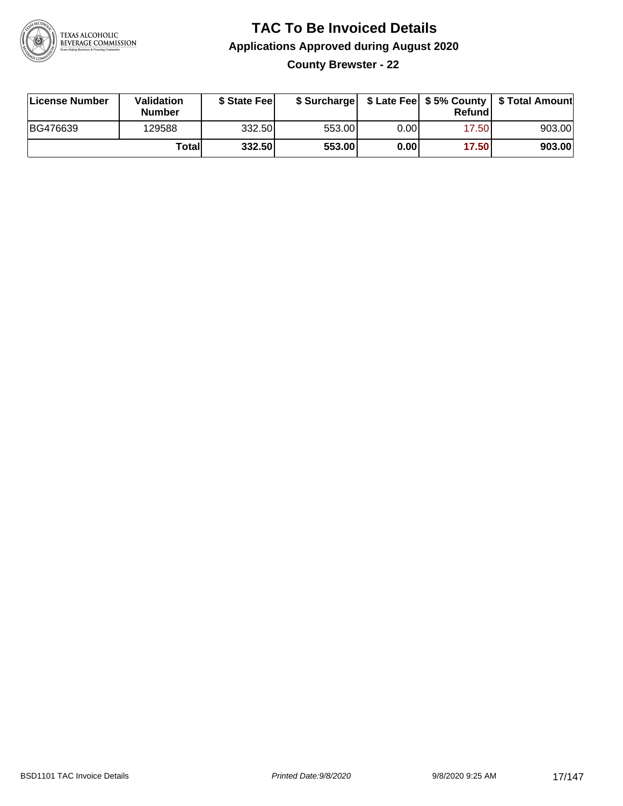

**County Brewster - 22**

| License Number | <b>Validation</b><br><b>Number</b> | \$ State Feel |        |      | Refundl | \$ Surcharge   \$ Late Fee   \$5% County   \$ Total Amount |
|----------------|------------------------------------|---------------|--------|------|---------|------------------------------------------------------------|
| BG476639       | 129588                             | 332.50        | 553.00 | 0.00 | 17.50   | 903.00                                                     |
|                | Totall                             | 332.50        | 553.00 | 0.00 | 17.50   | 903.00                                                     |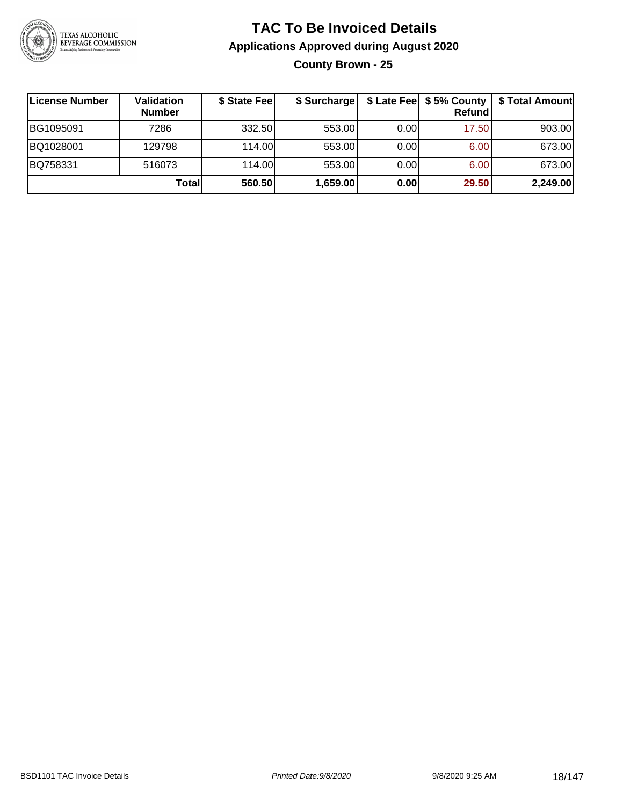

### **TAC To Be Invoiced Details Applications Approved during August 2020 County Brown - 25**

| License Number | Validation<br><b>Number</b> | \$ State Fee | \$ Surcharge |      | \$ Late Fee   \$5% County  <br><b>Refund</b> | \$ Total Amount |
|----------------|-----------------------------|--------------|--------------|------|----------------------------------------------|-----------------|
| BG1095091      | 7286                        | 332.50       | 553.00       | 0.00 | 17.50                                        | 903.00          |
| BQ1028001      | 129798                      | 114.00       | 553.00       | 0.00 | 6.00                                         | 673.00          |
| BQ758331       | 516073                      | 114.00       | 553.00       | 0.00 | 6.00                                         | 673.00          |
|                | Totall                      | 560.50       | 1,659.00     | 0.00 | 29.50                                        | 2,249.00        |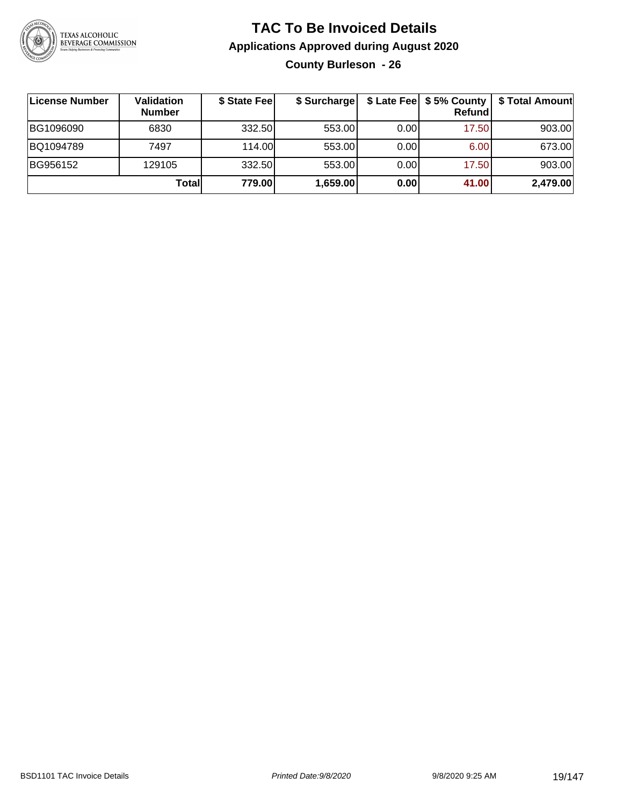

#### **TAC To Be Invoiced Details Applications Approved during August 2020 County Burleson - 26**

| License Number | Validation<br><b>Number</b> | \$ State Fee | \$ Surcharge |      | \$ Late Fee   \$5% County  <br><b>Refund</b> | \$ Total Amount |
|----------------|-----------------------------|--------------|--------------|------|----------------------------------------------|-----------------|
| BG1096090      | 6830                        | 332.50       | 553.00       | 0.00 | 17.50                                        | 903.00          |
| BQ1094789      | 7497                        | 114.00       | 553.00       | 0.00 | 6.00                                         | 673.00          |
| BG956152       | 129105                      | 332.50       | 553.00       | 0.00 | 17.50                                        | 903.00          |
|                | Totall                      | 779.00       | 1,659.00     | 0.00 | 41.00                                        | 2,479.00        |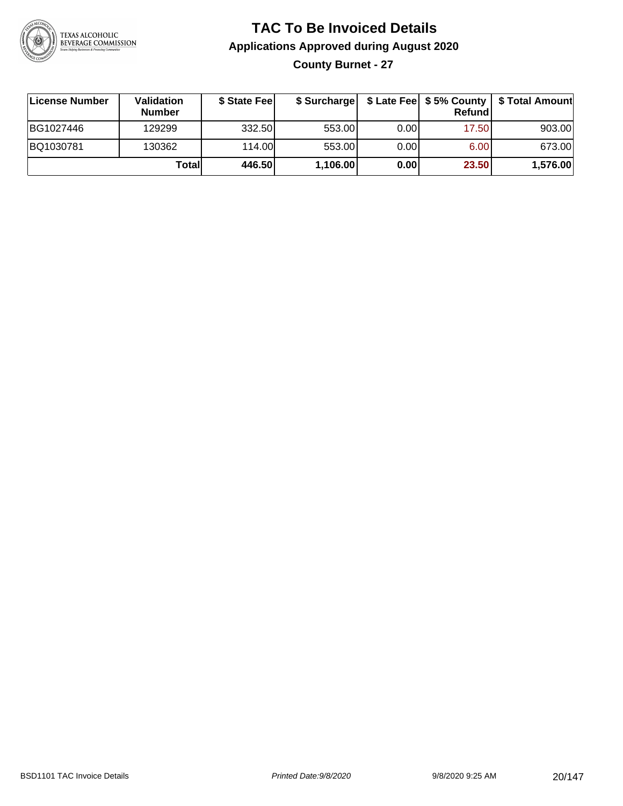

### **TAC To Be Invoiced Details Applications Approved during August 2020 County Burnet - 27**

| License Number | <b>Validation</b><br><b>Number</b> | \$ State Fee | \$ Surcharge |      | Refund | \$ Late Fee   \$5% County   \$ Total Amount |
|----------------|------------------------------------|--------------|--------------|------|--------|---------------------------------------------|
| BG1027446      | 129299                             | 332.50       | 553.00       | 0.00 | 17.50  | 903.00                                      |
| BQ1030781      | 130362                             | 114.00       | 553.00       | 0.00 | 6.00   | 673.00                                      |
|                | Total                              | 446.50       | 1,106.00     | 0.00 | 23.50  | 1,576.00                                    |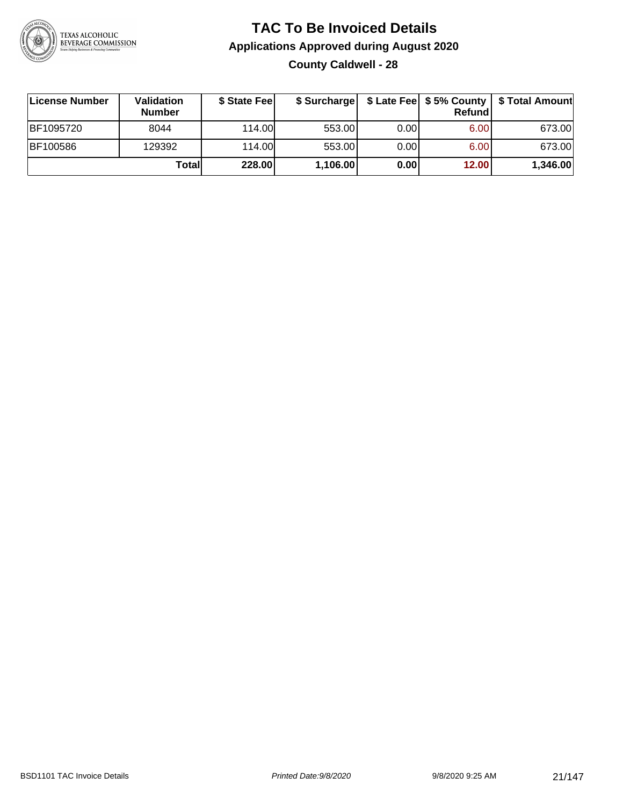

### **TAC To Be Invoiced Details Applications Approved during August 2020 County Caldwell - 28**

| License Number  | Validation<br><b>Number</b> | \$ State Feel |          |       | Refundl | \$ Surcharge   \$ Late Fee   \$5% County   \$ Total Amount |
|-----------------|-----------------------------|---------------|----------|-------|---------|------------------------------------------------------------|
| BF1095720       | 8044                        | 114.00        | 553.00   | 0.001 | 6.00    | 673.00                                                     |
| <b>BF100586</b> | 129392                      | 114.00        | 553.00   | 0.00  | 6.00    | 673.00                                                     |
|                 | Total                       | 228.00        | 1,106.00 | 0.00  | 12.00   | 1,346.00                                                   |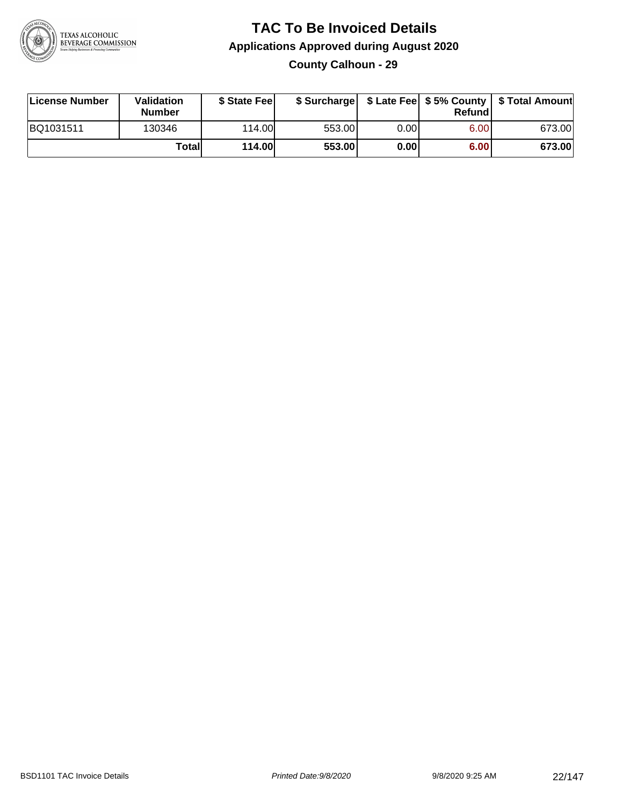

#### **TAC To Be Invoiced Details Applications Approved during August 2020 County Calhoun - 29**

| License Number | <b>Validation</b><br><b>Number</b> | \$ State Feel |        |       | Refundl | \$ Surcharge   \$ Late Fee   \$5% County   \$ Total Amount |
|----------------|------------------------------------|---------------|--------|-------|---------|------------------------------------------------------------|
| BQ1031511      | 130346                             | 114.00L       | 553.00 | 0.00  | 6.00    | 673.00                                                     |
|                | Totall                             | <b>114.00</b> | 553.00 | 0.001 | 6.00    | 673.00                                                     |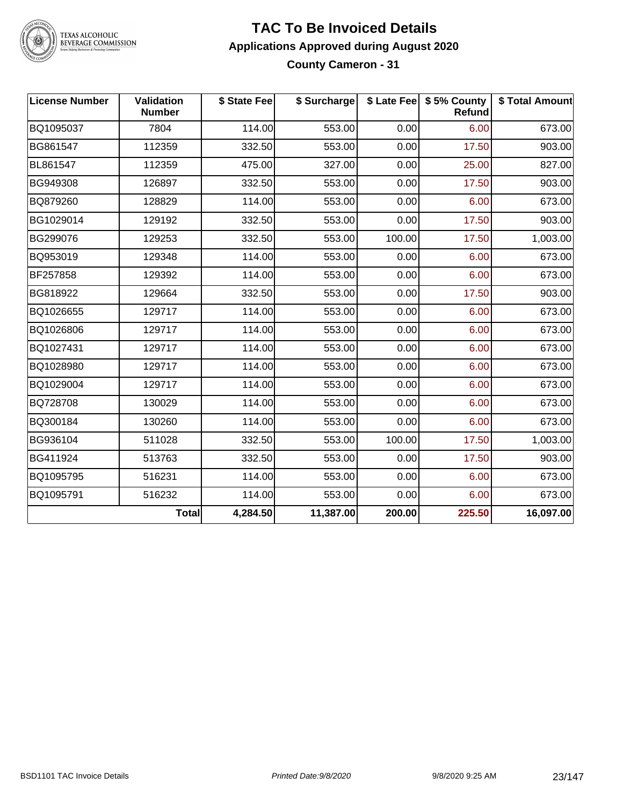

TEXAS ALCOHOLIC<br>BEVERAGE COMMISSION

#### **TAC To Be Invoiced Details Applications Approved during August 2020 County Cameron - 31**

| <b>License Number</b> | Validation<br><b>Number</b> | \$ State Fee | \$ Surcharge |        | \$ Late Fee   \$5% County<br><b>Refund</b> | \$ Total Amount |
|-----------------------|-----------------------------|--------------|--------------|--------|--------------------------------------------|-----------------|
| BQ1095037             | 7804                        | 114.00       | 553.00       | 0.00   | 6.00                                       | 673.00          |
| BG861547              | 112359                      | 332.50       | 553.00       | 0.00   | 17.50                                      | 903.00          |
| BL861547              | 112359                      | 475.00       | 327.00       | 0.00   | 25.00                                      | 827.00          |
| BG949308              | 126897                      | 332.50       | 553.00       | 0.00   | 17.50                                      | 903.00          |
| BQ879260              | 128829                      | 114.00       | 553.00       | 0.00   | 6.00                                       | 673.00          |
| BG1029014             | 129192                      | 332.50       | 553.00       | 0.00   | 17.50                                      | 903.00          |
| BG299076              | 129253                      | 332.50       | 553.00       | 100.00 | 17.50                                      | 1,003.00        |
| BQ953019              | 129348                      | 114.00       | 553.00       | 0.00   | 6.00                                       | 673.00          |
| BF257858              | 129392                      | 114.00       | 553.00       | 0.00   | 6.00                                       | 673.00          |
| BG818922              | 129664                      | 332.50       | 553.00       | 0.00   | 17.50                                      | 903.00          |
| BQ1026655             | 129717                      | 114.00       | 553.00       | 0.00   | 6.00                                       | 673.00          |
| BQ1026806             | 129717                      | 114.00       | 553.00       | 0.00   | 6.00                                       | 673.00          |
| BQ1027431             | 129717                      | 114.00       | 553.00       | 0.00   | 6.00                                       | 673.00          |
| BQ1028980             | 129717                      | 114.00       | 553.00       | 0.00   | 6.00                                       | 673.00          |
| BQ1029004             | 129717                      | 114.00       | 553.00       | 0.00   | 6.00                                       | 673.00          |
| BQ728708              | 130029                      | 114.00       | 553.00       | 0.00   | 6.00                                       | 673.00          |
| BQ300184              | 130260                      | 114.00       | 553.00       | 0.00   | 6.00                                       | 673.00          |
| BG936104              | 511028                      | 332.50       | 553.00       | 100.00 | 17.50                                      | 1,003.00        |
| BG411924              | 513763                      | 332.50       | 553.00       | 0.00   | 17.50                                      | 903.00          |
| BQ1095795             | 516231                      | 114.00       | 553.00       | 0.00   | 6.00                                       | 673.00          |
| BQ1095791             | 516232                      | 114.00       | 553.00       | 0.00   | 6.00                                       | 673.00          |
|                       | <b>Total</b>                | 4,284.50     | 11,387.00    | 200.00 | 225.50                                     | 16,097.00       |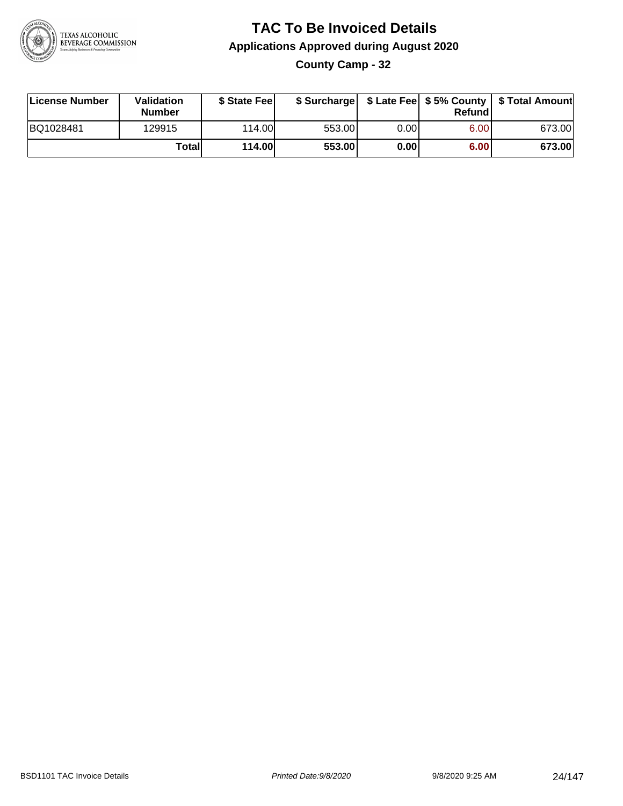

### **TAC To Be Invoiced Details Applications Approved during August 2020 County Camp - 32**

| License Number | Validation<br><b>Number</b> | \$ State Fee  |        |      | Refund | \$ Surcharge   \$ Late Fee   \$5% County   \$ Total Amount |
|----------------|-----------------------------|---------------|--------|------|--------|------------------------------------------------------------|
| BQ1028481      | 129915                      | 114.00L       | 553.00 | 0.00 | 6.00   | 673.00                                                     |
|                | Totall                      | <b>114.00</b> | 553.00 | 0.00 | 6.00   | 673.00                                                     |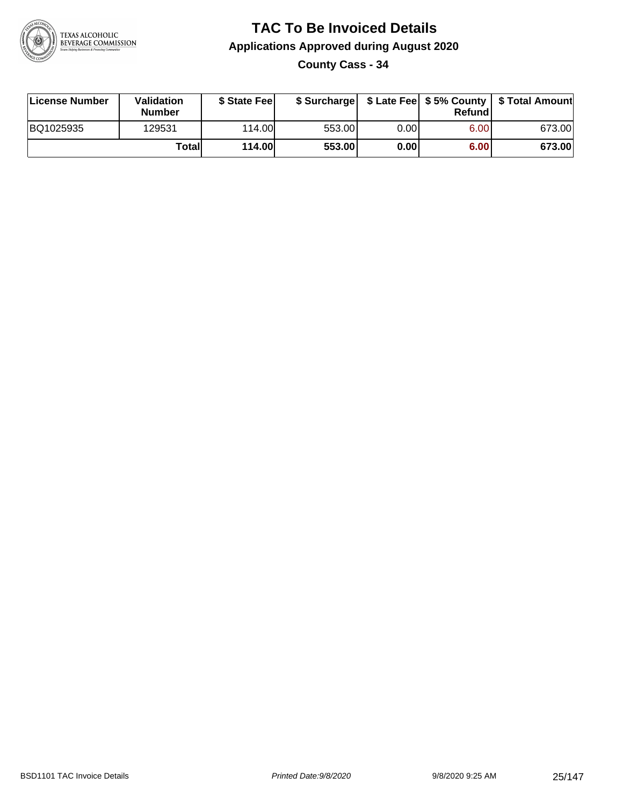

**County Cass - 34**

| License Number | Validation<br><b>Number</b> | \$ State Fee  | \$ Surcharge |      | Refundl | \$ Late Fee   \$5% County   \$ Total Amount |
|----------------|-----------------------------|---------------|--------------|------|---------|---------------------------------------------|
| BQ1025935      | 129531                      | 114.00        | 553.00       | 0.00 | 6.00    | 673.00                                      |
|                | Totall                      | <b>114.00</b> | 553.00       | 0.00 | 6.00    | 673.00                                      |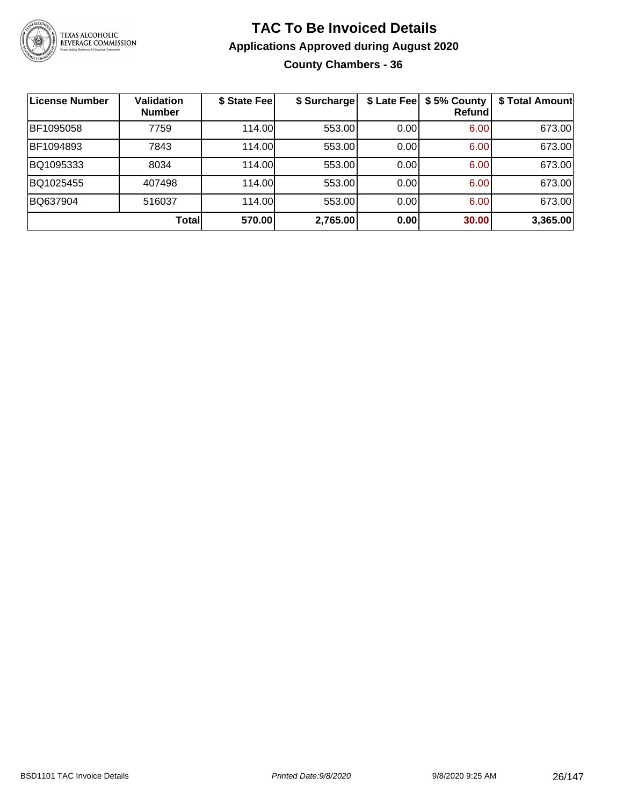

#### **TAC To Be Invoiced Details Applications Approved during August 2020 County Chambers - 36**

| <b>License Number</b> | <b>Validation</b><br><b>Number</b> | \$ State Fee | \$ Surcharge |      | \$ Late Fee   \$5% County<br>Refund | \$ Total Amount |
|-----------------------|------------------------------------|--------------|--------------|------|-------------------------------------|-----------------|
| BF1095058             | 7759                               | 114.00L      | 553.00       | 0.00 | 6.00                                | 673.00          |
| BF1094893             | 7843                               | 114.00       | 553.00       | 0.00 | 6.00                                | 673.00          |
| BQ1095333             | 8034                               | 114.00       | 553.00       | 0.00 | 6.00                                | 673.00          |
| BQ1025455             | 407498                             | 114.00       | 553.00       | 0.00 | 6.00                                | 673.00          |
| BQ637904              | 516037                             | 114.00       | 553.00       | 0.00 | 6.00                                | 673.00          |
|                       | Total                              | 570.00       | 2,765.00     | 0.00 | 30.00                               | 3,365.00        |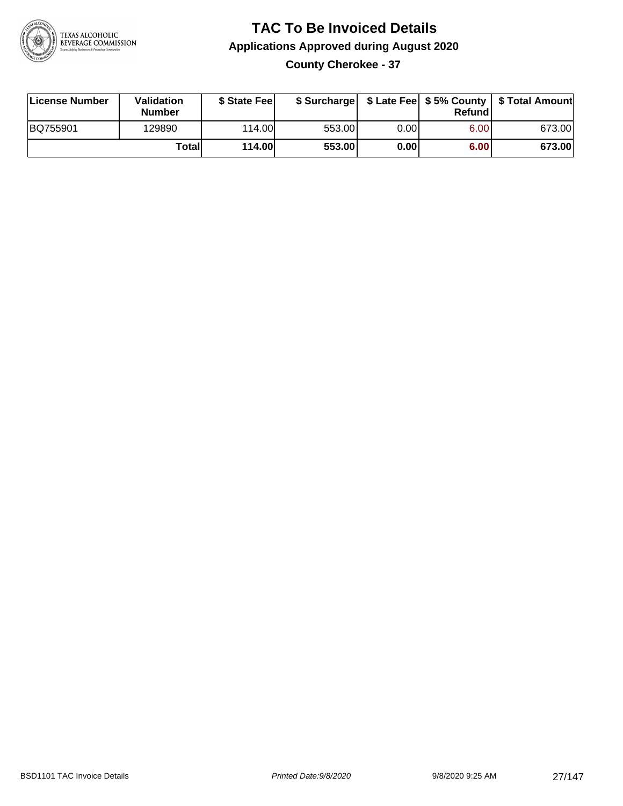

### **TAC To Be Invoiced Details Applications Approved during August 2020 County Cherokee - 37**

| License Number  | Validation<br><b>Number</b> | \$ State Fee |        |       | Refundl | \$ Surcharge   \$ Late Fee   \$5% County   \$ Total Amount |
|-----------------|-----------------------------|--------------|--------|-------|---------|------------------------------------------------------------|
| <b>BQ755901</b> | 129890                      | 114.00L      | 553.00 | 0.001 | 6.00    | 673.00                                                     |
|                 | Totall                      | 114.00       | 553.00 | 0.00  | 6.00    | 673.00                                                     |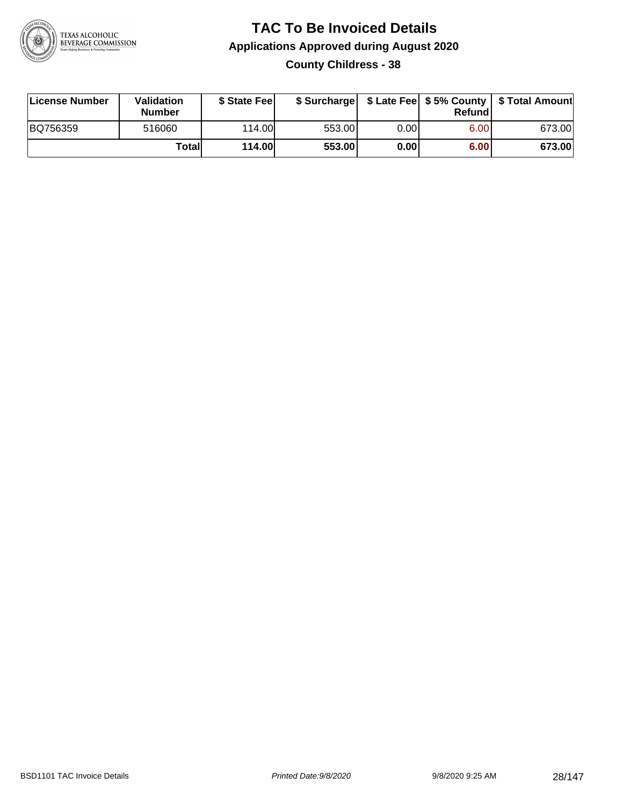

### **TAC To Be Invoiced Details Applications Approved during August 2020 County Childress - 38**

| License Number | <b>Validation</b><br><b>Number</b> | \$ State Feel |        |      | Refundl | \$ Surcharge   \$ Late Fee   \$5% County   \$ Total Amount |
|----------------|------------------------------------|---------------|--------|------|---------|------------------------------------------------------------|
| BQ756359       | 516060                             | 114.00L       | 553.00 | 0.00 | 6.00    | 673.00                                                     |
|                | Totall                             | <b>114.00</b> | 553.00 | 0.00 | 6.00    | 673.00                                                     |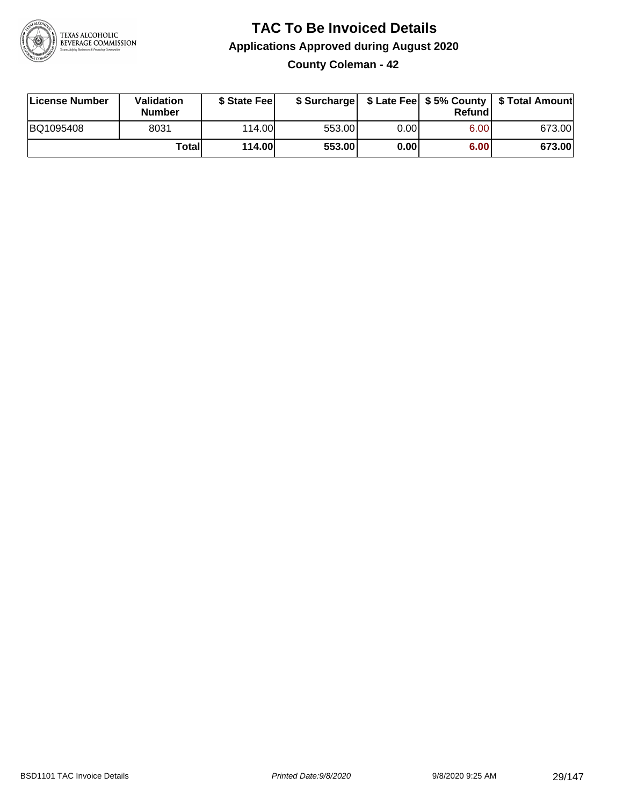

**County Coleman - 42**

| License Number | <b>Validation</b><br><b>Number</b> | \$ State Feel | \$ Surcharge |      | Refundl | \$ Late Fee   \$5% County   \$ Total Amount |
|----------------|------------------------------------|---------------|--------------|------|---------|---------------------------------------------|
| BQ1095408      | 8031                               | 114.00        | 553.00       | 0.00 | 6.00    | 673.00                                      |
|                | Totall                             | <b>114.00</b> | 553.00       | 0.00 | 6.00    | 673.00                                      |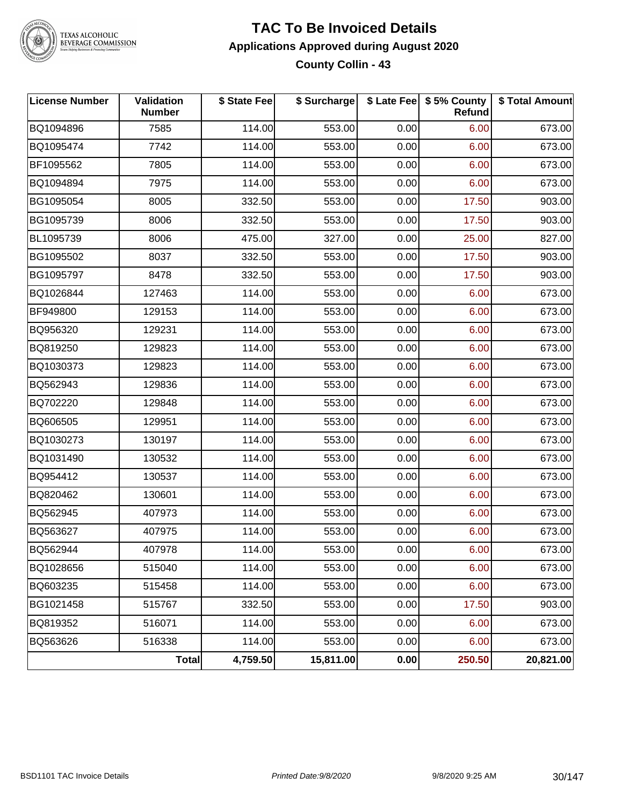

#### **TAC To Be Invoiced Details Applications Approved during August 2020 County Collin - 43**

| <b>License Number</b> | Validation<br><b>Number</b> | \$ State Fee | \$ Surcharge |      | \$ Late Fee   \$5% County<br><b>Refund</b> | \$ Total Amount |
|-----------------------|-----------------------------|--------------|--------------|------|--------------------------------------------|-----------------|
| BQ1094896             | 7585                        | 114.00       | 553.00       | 0.00 | 6.00                                       | 673.00          |
| BQ1095474             | 7742                        | 114.00       | 553.00       | 0.00 | 6.00                                       | 673.00          |
| BF1095562             | 7805                        | 114.00       | 553.00       | 0.00 | 6.00                                       | 673.00          |
| BQ1094894             | 7975                        | 114.00       | 553.00       | 0.00 | 6.00                                       | 673.00          |
| BG1095054             | 8005                        | 332.50       | 553.00       | 0.00 | 17.50                                      | 903.00          |
| BG1095739             | 8006                        | 332.50       | 553.00       | 0.00 | 17.50                                      | 903.00          |
| BL1095739             | 8006                        | 475.00       | 327.00       | 0.00 | 25.00                                      | 827.00          |
| BG1095502             | 8037                        | 332.50       | 553.00       | 0.00 | 17.50                                      | 903.00          |
| BG1095797             | 8478                        | 332.50       | 553.00       | 0.00 | 17.50                                      | 903.00          |
| BQ1026844             | 127463                      | 114.00       | 553.00       | 0.00 | 6.00                                       | 673.00          |
| BF949800              | 129153                      | 114.00       | 553.00       | 0.00 | 6.00                                       | 673.00          |
| BQ956320              | 129231                      | 114.00       | 553.00       | 0.00 | 6.00                                       | 673.00          |
| BQ819250              | 129823                      | 114.00       | 553.00       | 0.00 | 6.00                                       | 673.00          |
| BQ1030373             | 129823                      | 114.00       | 553.00       | 0.00 | 6.00                                       | 673.00          |
| BQ562943              | 129836                      | 114.00       | 553.00       | 0.00 | 6.00                                       | 673.00          |
| BQ702220              | 129848                      | 114.00       | 553.00       | 0.00 | 6.00                                       | 673.00          |
| BQ606505              | 129951                      | 114.00       | 553.00       | 0.00 | 6.00                                       | 673.00          |
| BQ1030273             | 130197                      | 114.00       | 553.00       | 0.00 | 6.00                                       | 673.00          |
| BQ1031490             | 130532                      | 114.00       | 553.00       | 0.00 | 6.00                                       | 673.00          |
| BQ954412              | 130537                      | 114.00       | 553.00       | 0.00 | 6.00                                       | 673.00          |
| BQ820462              | 130601                      | 114.00       | 553.00       | 0.00 | 6.00                                       | 673.00          |
| BQ562945              | 407973                      | 114.00       | 553.00       | 0.00 | 6.00                                       | 673.00          |
| BQ563627              | 407975                      | 114.00       | 553.00       | 0.00 | 6.00                                       | 673.00          |
| BQ562944              | 407978                      | 114.00       | 553.00       | 0.00 | 6.00                                       | 673.00          |
| BQ1028656             | 515040                      | 114.00       | 553.00       | 0.00 | 6.00                                       | 673.00          |
| BQ603235              | 515458                      | 114.00       | 553.00       | 0.00 | 6.00                                       | 673.00          |
| BG1021458             | 515767                      | 332.50       | 553.00       | 0.00 | 17.50                                      | 903.00          |
| BQ819352              | 516071                      | 114.00       | 553.00       | 0.00 | 6.00                                       | 673.00          |
| BQ563626              | 516338                      | 114.00       | 553.00       | 0.00 | 6.00                                       | 673.00          |
|                       | Total                       | 4,759.50     | 15,811.00    | 0.00 | 250.50                                     | 20,821.00       |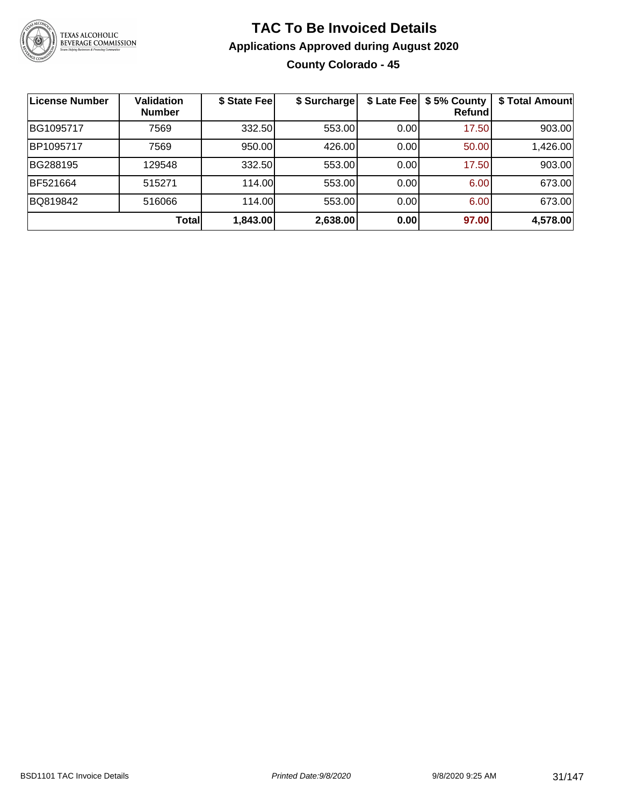

### **TAC To Be Invoiced Details Applications Approved during August 2020 County Colorado - 45**

| <b>License Number</b> | Validation<br><b>Number</b> | \$ State Fee | \$ Surcharge | \$ Late Fee | \$5% County<br>Refundl | \$ Total Amount |
|-----------------------|-----------------------------|--------------|--------------|-------------|------------------------|-----------------|
| IBG1095717            | 7569                        | 332.50       | 553.00       | 0.00        | 17.50                  | 903.00          |
| BP1095717             | 7569                        | 950.00       | 426.00       | 0.00        | 50.00                  | 1,426.00        |
| BG288195              | 129548                      | 332.50       | 553.00       | 0.00        | 17.50                  | 903.00          |
| BF521664              | 515271                      | 114.00       | 553.00       | 0.00        | 6.00                   | 673.00          |
| BQ819842              | 516066                      | 114.00       | 553.00       | 0.00        | 6.00                   | 673.00          |
|                       | <b>Total</b>                | 1,843.00     | 2,638.00     | 0.00        | 97.00                  | 4,578.00        |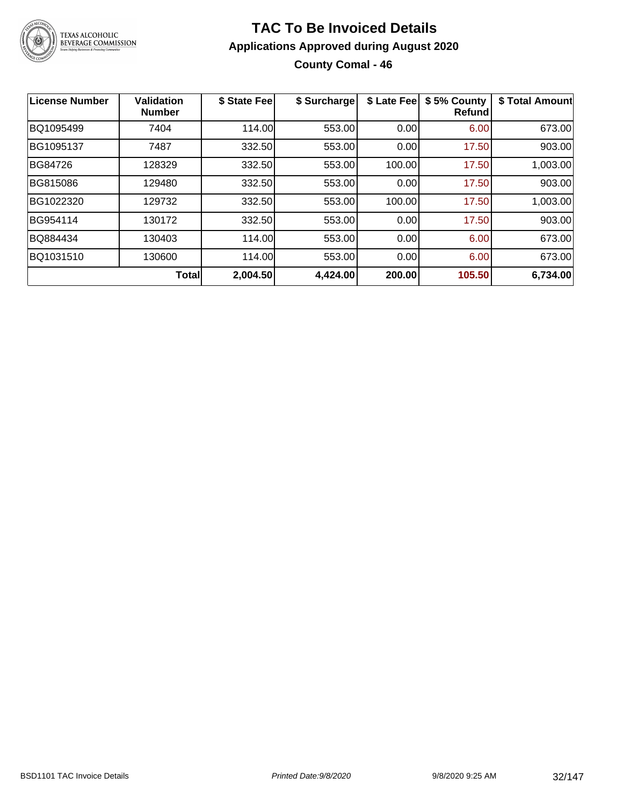

### **TAC To Be Invoiced Details Applications Approved during August 2020 County Comal - 46**

| License Number | <b>Validation</b><br><b>Number</b> | \$ State Fee | \$ Surcharge | \$ Late Fee | \$5% County<br><b>Refund</b> | \$ Total Amount |
|----------------|------------------------------------|--------------|--------------|-------------|------------------------------|-----------------|
| BQ1095499      | 7404                               | 114.00       | 553.00       | 0.00        | 6.00                         | 673.00          |
| BG1095137      | 7487                               | 332.50       | 553.00       | 0.00        | 17.50                        | 903.00          |
| BG84726        | 128329                             | 332.50       | 553.00       | 100.00      | 17.50                        | 1,003.00        |
| BG815086       | 129480                             | 332.50       | 553.00       | 0.00        | 17.50                        | 903.00          |
| BG1022320      | 129732                             | 332.50       | 553.00       | 100.00      | 17.50                        | 1,003.00        |
| BG954114       | 130172                             | 332.50       | 553.00       | 0.00        | 17.50                        | 903.00          |
| BQ884434       | 130403                             | 114.00       | 553.00       | 0.00        | 6.00                         | 673.00          |
| BQ1031510      | 130600                             | 114.00       | 553.00       | 0.00        | 6.00                         | 673.00          |
|                | <b>Total</b>                       | 2,004.50     | 4,424.00     | 200.00      | 105.50                       | 6,734.00        |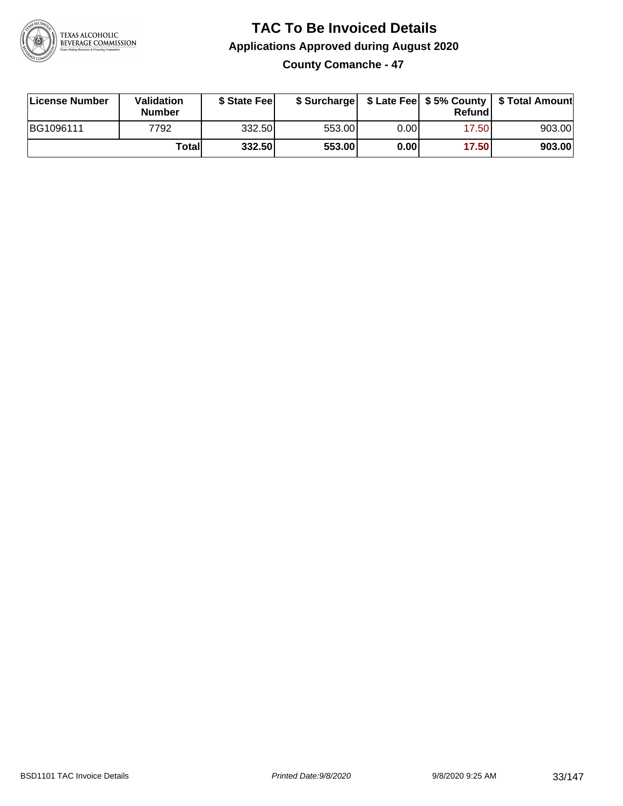

**County Comanche - 47**

| License Number | Validation<br><b>Number</b> | \$ State Fee | \$ Surcharge |      | Refundl |        |
|----------------|-----------------------------|--------------|--------------|------|---------|--------|
| BG1096111      | 7792                        | 332.50       | 553.00       | 0.00 | 17.501  | 903.00 |
|                | Totall                      | 332.50       | 553.00       | 0.00 | 17.50   | 903.00 |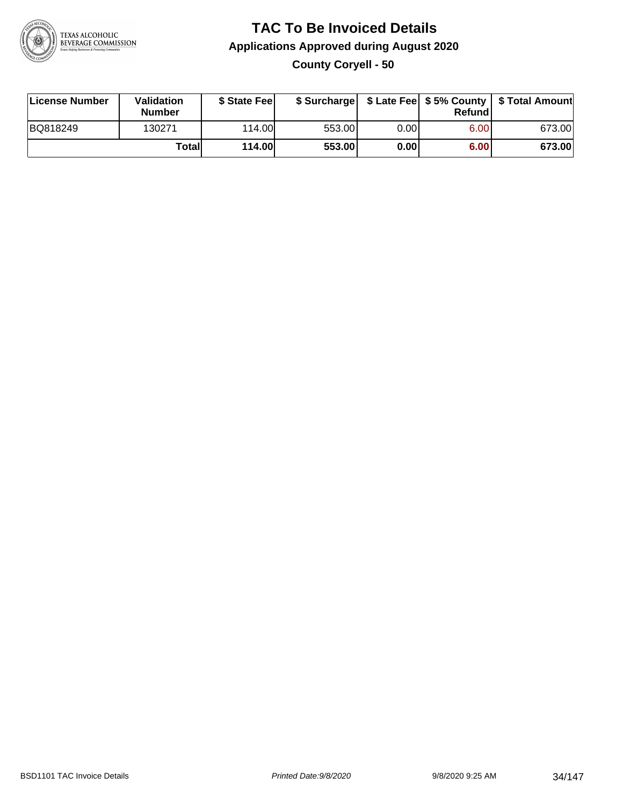

### **TAC To Be Invoiced Details Applications Approved during August 2020 County Coryell - 50**

| License Number | Validation<br><b>Number</b> | \$ State Fee  |        |      | Refund | \$ Surcharge   \$ Late Fee   \$5% County   \$ Total Amount |
|----------------|-----------------------------|---------------|--------|------|--------|------------------------------------------------------------|
| BQ818249       | 130271                      | 114.00L       | 553.00 | 0.00 | 6.00   | 673.00                                                     |
|                | Totall                      | <b>114.00</b> | 553.00 | 0.00 | 6.00   | 673.00                                                     |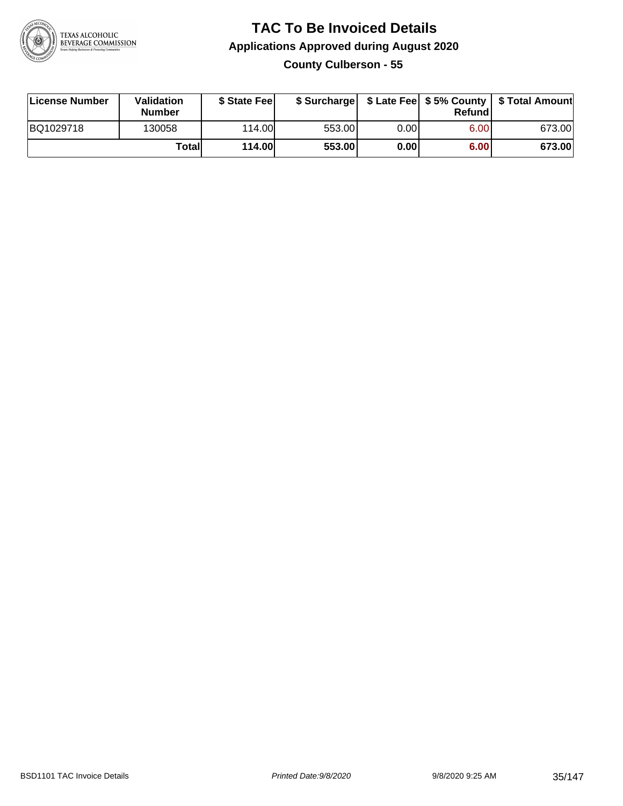

#### **TAC To Be Invoiced Details Applications Approved during August 2020 County Culberson - 55**

| License Number | Validation<br><b>Number</b> | \$ State Fee  |        |      | Refund | \$ Surcharge   \$ Late Fee   \$5% County   \$ Total Amount |
|----------------|-----------------------------|---------------|--------|------|--------|------------------------------------------------------------|
| BQ1029718      | 130058                      | 114.00L       | 553.00 | 0.00 | 6.00   | 673.00                                                     |
|                | Totall                      | <b>114.00</b> | 553.00 | 0.00 | 6.00   | 673.00                                                     |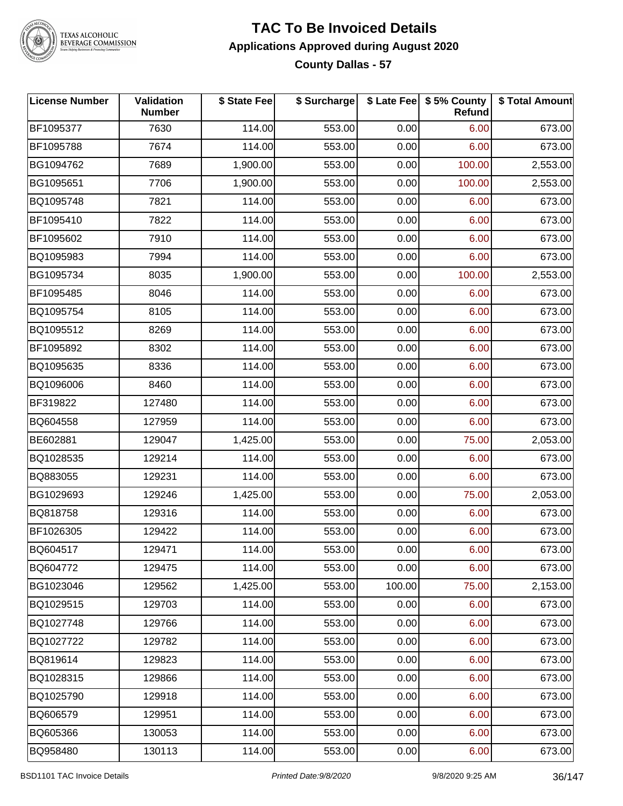

TEXAS ALCOHOLIC<br>BEVERAGE COMMISSION

#### **TAC To Be Invoiced Details Applications Approved during August 2020 County Dallas - 57**

| <b>License Number</b> | Validation<br><b>Number</b> | \$ State Fee | \$ Surcharge |        | \$ Late Fee \$ 5% County<br>Refund | \$ Total Amount |
|-----------------------|-----------------------------|--------------|--------------|--------|------------------------------------|-----------------|
| BF1095377             | 7630                        | 114.00       | 553.00       | 0.00   | 6.00                               | 673.00          |
| BF1095788             | 7674                        | 114.00       | 553.00       | 0.00   | 6.00                               | 673.00          |
| BG1094762             | 7689                        | 1,900.00     | 553.00       | 0.00   | 100.00                             | 2,553.00        |
| BG1095651             | 7706                        | 1,900.00     | 553.00       | 0.00   | 100.00                             | 2,553.00        |
| BQ1095748             | 7821                        | 114.00       | 553.00       | 0.00   | 6.00                               | 673.00          |
| BF1095410             | 7822                        | 114.00       | 553.00       | 0.00   | 6.00                               | 673.00          |
| BF1095602             | 7910                        | 114.00       | 553.00       | 0.00   | 6.00                               | 673.00          |
| BQ1095983             | 7994                        | 114.00       | 553.00       | 0.00   | 6.00                               | 673.00          |
| BG1095734             | 8035                        | 1,900.00     | 553.00       | 0.00   | 100.00                             | 2,553.00        |
| BF1095485             | 8046                        | 114.00       | 553.00       | 0.00   | 6.00                               | 673.00          |
| BQ1095754             | 8105                        | 114.00       | 553.00       | 0.00   | 6.00                               | 673.00          |
| BQ1095512             | 8269                        | 114.00       | 553.00       | 0.00   | 6.00                               | 673.00          |
| BF1095892             | 8302                        | 114.00       | 553.00       | 0.00   | 6.00                               | 673.00          |
| BQ1095635             | 8336                        | 114.00       | 553.00       | 0.00   | 6.00                               | 673.00          |
| BQ1096006             | 8460                        | 114.00       | 553.00       | 0.00   | 6.00                               | 673.00          |
| BF319822              | 127480                      | 114.00       | 553.00       | 0.00   | 6.00                               | 673.00          |
| BQ604558              | 127959                      | 114.00       | 553.00       | 0.00   | 6.00                               | 673.00          |
| BE602881              | 129047                      | 1,425.00     | 553.00       | 0.00   | 75.00                              | 2,053.00        |
| BQ1028535             | 129214                      | 114.00       | 553.00       | 0.00   | 6.00                               | 673.00          |
| BQ883055              | 129231                      | 114.00       | 553.00       | 0.00   | 6.00                               | 673.00          |
| BG1029693             | 129246                      | 1,425.00     | 553.00       | 0.00   | 75.00                              | 2,053.00        |
| BQ818758              | 129316                      | 114.00       | 553.00       | 0.00   | 6.00                               | 673.00          |
| BF1026305             | 129422                      | 114.00       | 553.00       | 0.00   | 6.00                               | 673.00          |
| BQ604517              | 129471                      | 114.00       | 553.00       | 0.00   | 6.00                               | 673.00          |
| BQ604772              | 129475                      | 114.00       | 553.00       | 0.00   | 6.00                               | 673.00          |
| BG1023046             | 129562                      | 1,425.00     | 553.00       | 100.00 | 75.00                              | 2,153.00        |
| BQ1029515             | 129703                      | 114.00       | 553.00       | 0.00   | 6.00                               | 673.00          |
| BQ1027748             | 129766                      | 114.00       | 553.00       | 0.00   | 6.00                               | 673.00          |
| BQ1027722             | 129782                      | 114.00       | 553.00       | 0.00   | 6.00                               | 673.00          |
| BQ819614              | 129823                      | 114.00       | 553.00       | 0.00   | 6.00                               | 673.00          |
| BQ1028315             | 129866                      | 114.00       | 553.00       | 0.00   | 6.00                               | 673.00          |
| BQ1025790             | 129918                      | 114.00       | 553.00       | 0.00   | 6.00                               | 673.00          |
| BQ606579              | 129951                      | 114.00       | 553.00       | 0.00   | 6.00                               | 673.00          |
| BQ605366              | 130053                      | 114.00       | 553.00       | 0.00   | 6.00                               | 673.00          |
| BQ958480              | 130113                      | 114.00       | 553.00       | 0.00   | 6.00                               | 673.00          |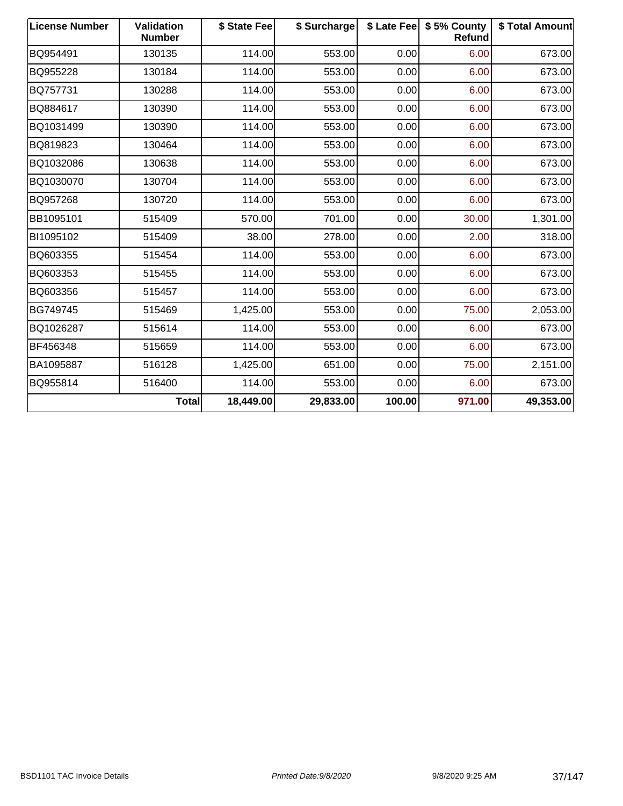| <b>License Number</b> | Validation<br><b>Number</b> | \$ State Fee | \$ Surcharge |        | \$ Late Fee   \$5% County<br>Refund | \$ Total Amount |
|-----------------------|-----------------------------|--------------|--------------|--------|-------------------------------------|-----------------|
| BQ954491              | 130135                      | 114.00       | 553.00       | 0.00   | 6.00                                | 673.00          |
| BQ955228              | 130184                      | 114.00       | 553.00       | 0.00   | 6.00                                | 673.00          |
| BQ757731              | 130288                      | 114.00       | 553.00       | 0.00   | 6.00                                | 673.00          |
| BQ884617              | 130390                      | 114.00       | 553.00       | 0.00   | 6.00                                | 673.00          |
| BQ1031499             | 130390                      | 114.00       | 553.00       | 0.00   | 6.00                                | 673.00          |
| BQ819823              | 130464                      | 114.00       | 553.00       | 0.00   | 6.00                                | 673.00          |
| BQ1032086             | 130638                      | 114.00       | 553.00       | 0.00   | 6.00                                | 673.00          |
| BQ1030070             | 130704                      | 114.00       | 553.00       | 0.00   | 6.00                                | 673.00          |
| BQ957268              | 130720                      | 114.00       | 553.00       | 0.00   | 6.00                                | 673.00          |
| BB1095101             | 515409                      | 570.00       | 701.00       | 0.00   | 30.00                               | 1,301.00        |
| BI1095102             | 515409                      | 38.00        | 278.00       | 0.00   | 2.00                                | 318.00          |
| BQ603355              | 515454                      | 114.00       | 553.00       | 0.00   | 6.00                                | 673.00          |
| BQ603353              | 515455                      | 114.00       | 553.00       | 0.00   | 6.00                                | 673.00          |
| BQ603356              | 515457                      | 114.00       | 553.00       | 0.00   | 6.00                                | 673.00          |
| BG749745              | 515469                      | 1,425.00     | 553.00       | 0.00   | 75.00                               | 2,053.00        |
| BQ1026287             | 515614                      | 114.00       | 553.00       | 0.00   | 6.00                                | 673.00          |
| BF456348              | 515659                      | 114.00       | 553.00       | 0.00   | 6.00                                | 673.00          |
| BA1095887             | 516128                      | 1,425.00     | 651.00       | 0.00   | 75.00                               | 2,151.00        |
| BQ955814              | 516400                      | 114.00       | 553.00       | 0.00   | 6.00                                | 673.00          |
|                       | <b>Total</b>                | 18,449.00    | 29,833.00    | 100.00 | 971.00                              | 49,353.00       |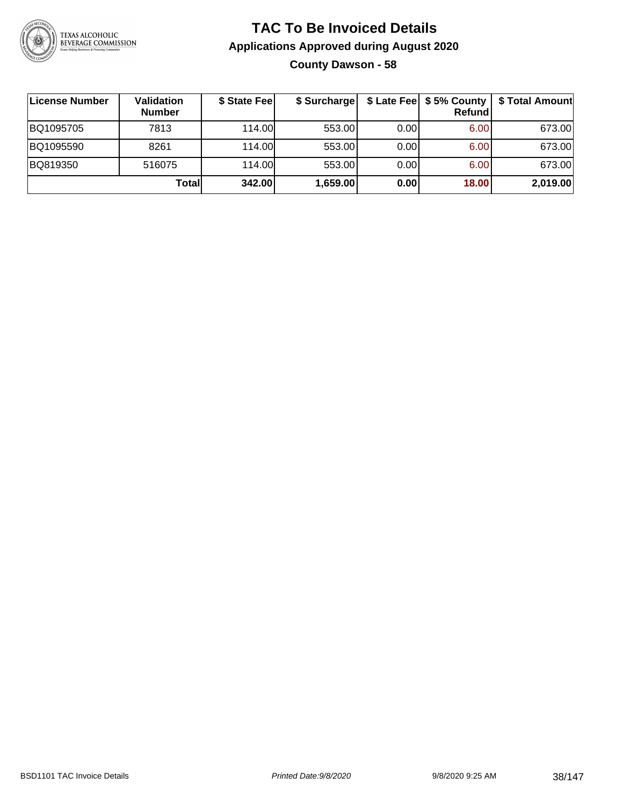

### **TAC To Be Invoiced Details Applications Approved during August 2020 County Dawson - 58**

| License Number | Validation<br><b>Number</b> | \$ State Fee | \$ Surcharge |      | $$$ Late Fee $$5%$ County<br><b>Refund</b> | \$ Total Amount |
|----------------|-----------------------------|--------------|--------------|------|--------------------------------------------|-----------------|
| BQ1095705      | 7813                        | 114.00L      | 553.00       | 0.00 | 6.00                                       | 673.00          |
| BQ1095590      | 8261                        | 114.00L      | 553.00       | 0.00 | 6.00                                       | 673.00          |
| BQ819350       | 516075                      | 114.00L      | 553.00       | 0.00 | 6.00                                       | 673.00          |
|                | Totall                      | 342.00       | 1,659.00     | 0.00 | 18.00                                      | 2,019.00        |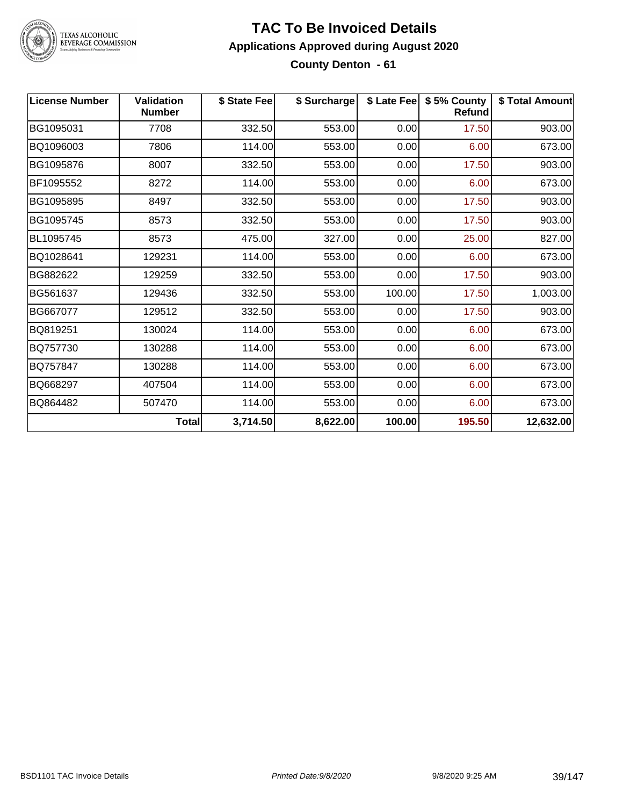

### **TAC To Be Invoiced Details Applications Approved during August 2020 County Denton - 61**

| <b>License Number</b> | <b>Validation</b><br><b>Number</b> | \$ State Fee | \$ Surcharge |        | \$ Late Fee   \$5% County<br><b>Refund</b> | \$ Total Amount |
|-----------------------|------------------------------------|--------------|--------------|--------|--------------------------------------------|-----------------|
| BG1095031             | 7708                               | 332.50       | 553.00       | 0.00   | 17.50                                      | 903.00          |
| BQ1096003             | 7806                               | 114.00       | 553.00       | 0.00   | 6.00                                       | 673.00          |
| BG1095876             | 8007                               | 332.50       | 553.00       | 0.00   | 17.50                                      | 903.00          |
| BF1095552             | 8272                               | 114.00       | 553.00       | 0.00   | 6.00                                       | 673.00          |
| BG1095895             | 8497                               | 332.50       | 553.00       | 0.00   | 17.50                                      | 903.00          |
| BG1095745             | 8573                               | 332.50       | 553.00       | 0.00   | 17.50                                      | 903.00          |
| BL1095745             | 8573                               | 475.00       | 327.00       | 0.00   | 25.00                                      | 827.00          |
| BQ1028641             | 129231                             | 114.00       | 553.00       | 0.00   | 6.00                                       | 673.00          |
| BG882622              | 129259                             | 332.50       | 553.00       | 0.00   | 17.50                                      | 903.00          |
| BG561637              | 129436                             | 332.50       | 553.00       | 100.00 | 17.50                                      | 1,003.00        |
| BG667077              | 129512                             | 332.50       | 553.00       | 0.00   | 17.50                                      | 903.00          |
| BQ819251              | 130024                             | 114.00       | 553.00       | 0.00   | 6.00                                       | 673.00          |
| BQ757730              | 130288                             | 114.00       | 553.00       | 0.00   | 6.00                                       | 673.00          |
| BQ757847              | 130288                             | 114.00       | 553.00       | 0.00   | 6.00                                       | 673.00          |
| BQ668297              | 407504                             | 114.00       | 553.00       | 0.00   | 6.00                                       | 673.00          |
| BQ864482              | 507470                             | 114.00       | 553.00       | 0.00   | 6.00                                       | 673.00          |
|                       | <b>Total</b>                       | 3,714.50     | 8,622.00     | 100.00 | 195.50                                     | 12,632.00       |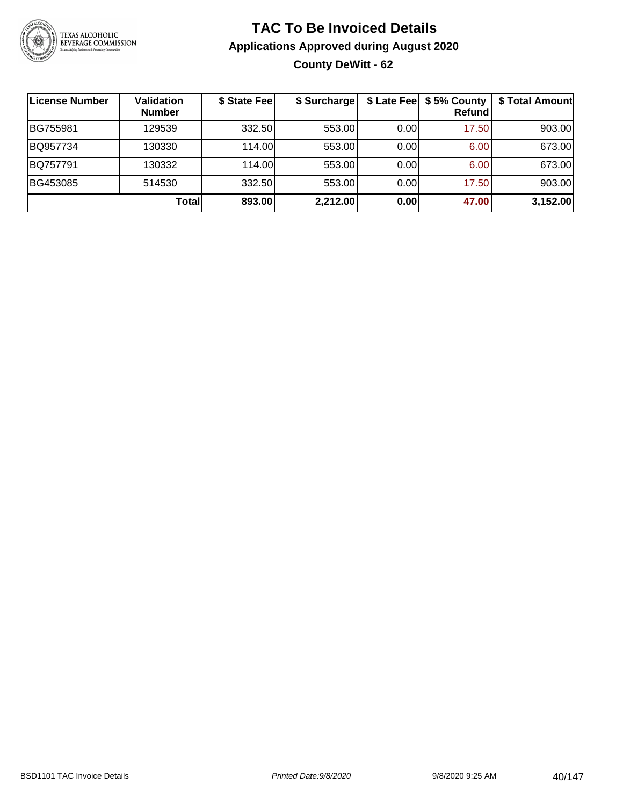

### **TAC To Be Invoiced Details Applications Approved during August 2020 County DeWitt - 62**

| License Number | <b>Validation</b><br><b>Number</b> | \$ State Fee | \$ Surcharge |       | \$ Late Fee   \$5% County  <br><b>Refund</b> | \$ Total Amount |
|----------------|------------------------------------|--------------|--------------|-------|----------------------------------------------|-----------------|
| BG755981       | 129539                             | 332.50       | 553.00       | 0.00  | 17.50                                        | 903.00          |
| BQ957734       | 130330                             | 114.00L      | 553.00       | 0.001 | 6.00                                         | 673.00          |
| BQ757791       | 130332                             | 114.00       | 553.00       | 0.00  | 6.00                                         | 673.00          |
| BG453085       | 514530                             | 332.50       | 553.00       | 0.00  | 17.50                                        | 903.00          |
|                | <b>Total</b>                       | 893.00       | 2,212.00     | 0.00  | 47.00                                        | 3,152.00        |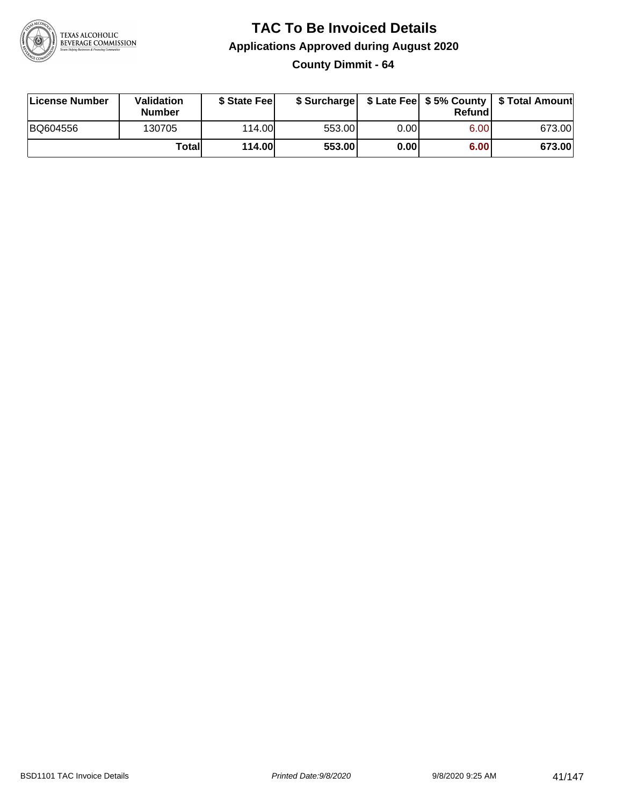

## **TAC To Be Invoiced Details Applications Approved during August 2020**

**County Dimmit - 64**

| License Number | Validation<br><b>Number</b> | \$ State Fee  | \$ Surcharge |      | Refundl | \$ Late Fee   \$5% County   \$ Total Amount |
|----------------|-----------------------------|---------------|--------------|------|---------|---------------------------------------------|
| BQ604556       | 130705                      | 114.00        | 553.00       | 0.00 | 6.00    | 673.00                                      |
|                | Totall                      | <b>114.00</b> | 553.00       | 0.00 | 6.00    | 673.00                                      |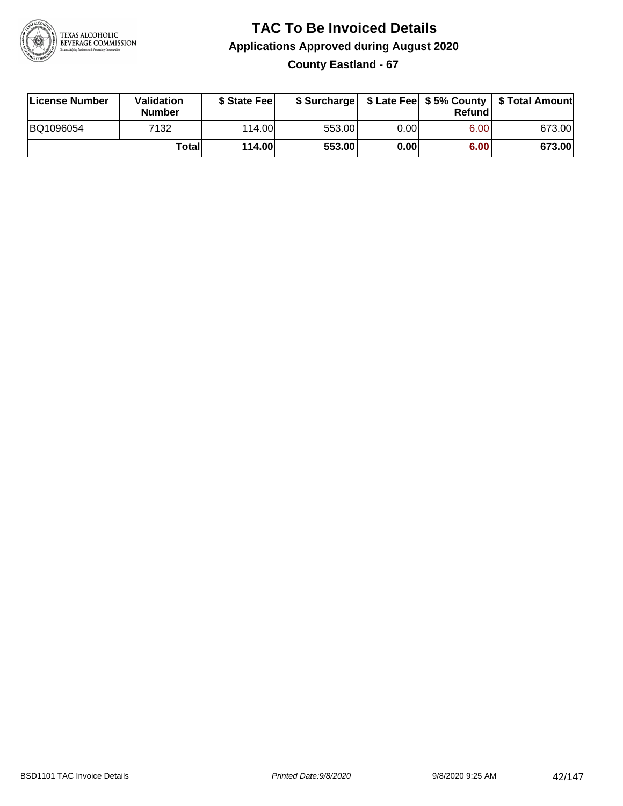

### **TAC To Be Invoiced Details Applications Approved during August 2020 County Eastland - 67**

| License Number | Validation<br><b>Number</b> | \$ State Fee |        |      | Refundl           | \$ Surcharge   \$ Late Fee   \$5% County   \$ Total Amount |
|----------------|-----------------------------|--------------|--------|------|-------------------|------------------------------------------------------------|
| BQ1096054      | 7132                        | 114.00       | 553.00 | 0.00 | 6.00 <sub>1</sub> | 673.00                                                     |
|                | Totall                      | 114.00       | 553.00 | 0.00 | 6.00              | 673.00                                                     |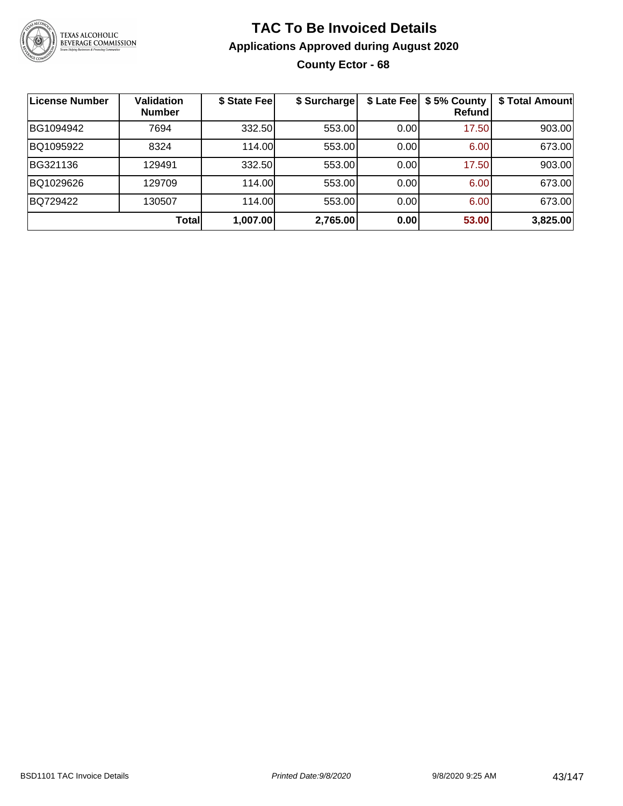

### **TAC To Be Invoiced Details Applications Approved during August 2020 County Ector - 68**

| License Number | <b>Validation</b><br><b>Number</b> | \$ State Fee | \$ Surcharge |      | \$ Late Fee   \$5% County<br>Refundl | \$ Total Amount |
|----------------|------------------------------------|--------------|--------------|------|--------------------------------------|-----------------|
| BG1094942      | 7694                               | 332.50       | 553.00       | 0.00 | 17.50                                | 903.00          |
| BQ1095922      | 8324                               | 114.00       | 553.00       | 0.00 | 6.00                                 | 673.00          |
| BG321136       | 129491                             | 332.50       | 553.00       | 0.00 | 17.50                                | 903.00          |
| BQ1029626      | 129709                             | 114.00       | 553.00       | 0.00 | 6.00                                 | 673.00          |
| BQ729422       | 130507                             | 114.00       | 553.00       | 0.00 | 6.00                                 | 673.00          |
|                | Total                              | 1,007.00     | 2,765.00     | 0.00 | 53.00                                | 3,825.00        |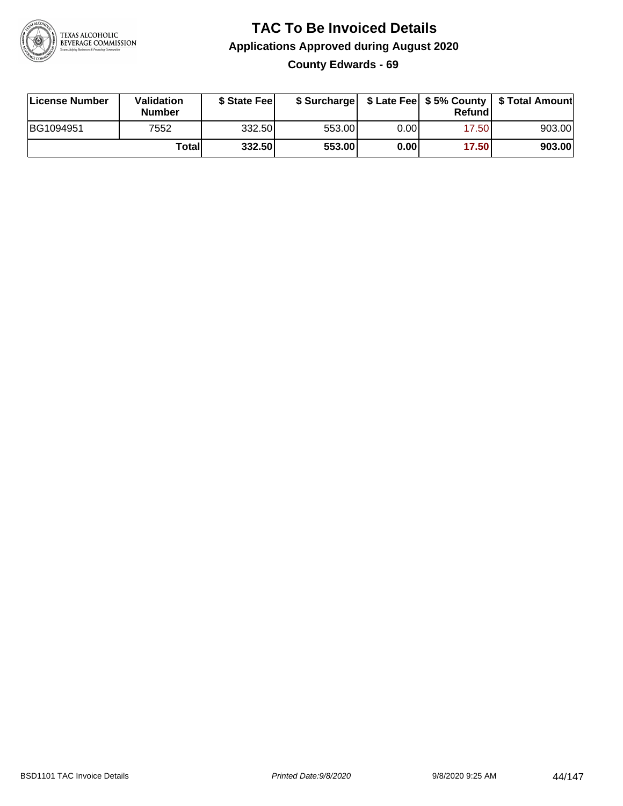

### **TAC To Be Invoiced Details Applications Approved during August 2020 County Edwards - 69**

| License Number | Validation<br><b>Number</b> | \$ State Fee |        |      | Refund | \$ Surcharge   \$ Late Fee   \$5% County   \$ Total Amount |
|----------------|-----------------------------|--------------|--------|------|--------|------------------------------------------------------------|
| BG1094951      | 7552                        | 332.50       | 553.00 | 0.00 | 17.50  | 903.00                                                     |
|                | Totall                      | 332.50       | 553.00 | 0.00 | 17.50  | 903.00                                                     |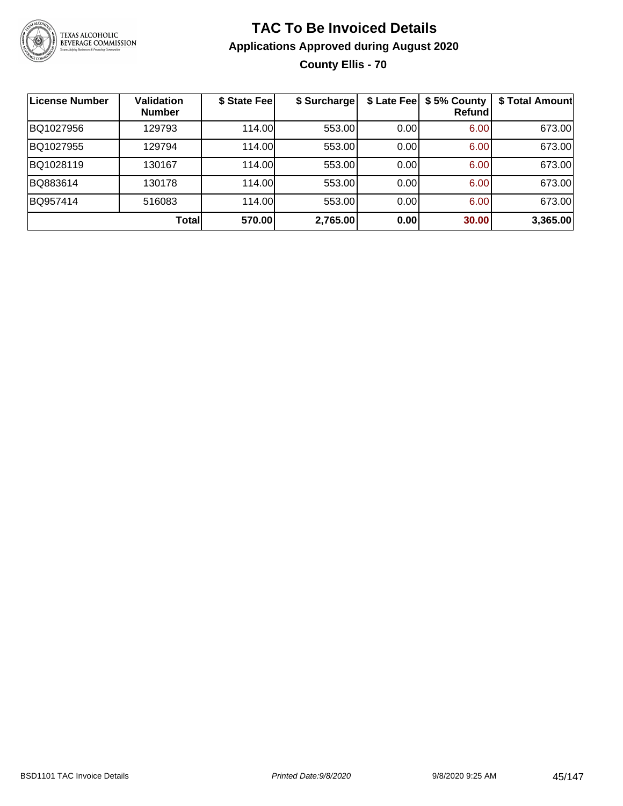

### **TAC To Be Invoiced Details Applications Approved during August 2020 County Ellis - 70**

| License Number | <b>Validation</b><br><b>Number</b> | \$ State Fee | \$ Surcharge |      | \$ Late Fee   \$5% County<br>Refundl | \$ Total Amount |
|----------------|------------------------------------|--------------|--------------|------|--------------------------------------|-----------------|
| BQ1027956      | 129793                             | 114.00       | 553.00       | 0.00 | 6.00                                 | 673.00          |
| BQ1027955      | 129794                             | 114.00       | 553.00       | 0.00 | 6.00                                 | 673.00          |
| BQ1028119      | 130167                             | 114.00       | 553.00       | 0.00 | 6.00                                 | 673.00          |
| BQ883614       | 130178                             | 114.00       | 553.00       | 0.00 | 6.00                                 | 673.00          |
| BQ957414       | 516083                             | 114.00       | 553.00       | 0.00 | 6.00                                 | 673.00          |
|                | Total                              | 570.00       | 2,765.00     | 0.00 | 30.00                                | 3,365.00        |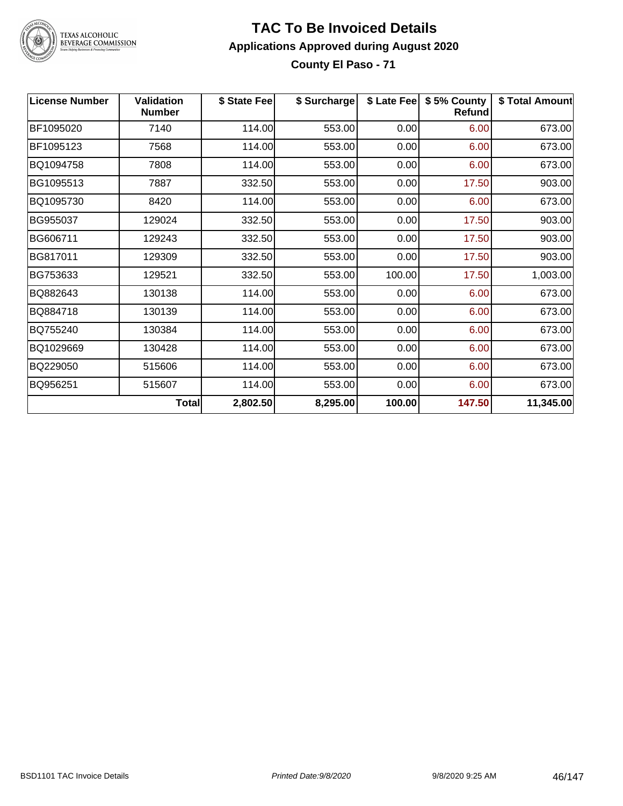

### **TAC To Be Invoiced Details Applications Approved during August 2020 County El Paso - 71**

| <b>License Number</b> | <b>Validation</b><br><b>Number</b> | \$ State Fee | \$ Surcharge | \$ Late Fee | \$5% County<br><b>Refund</b> | \$ Total Amount |
|-----------------------|------------------------------------|--------------|--------------|-------------|------------------------------|-----------------|
| BF1095020             | 7140                               | 114.00       | 553.00       | 0.00        | 6.00                         | 673.00          |
| BF1095123             | 7568                               | 114.00       | 553.00       | 0.00        | 6.00                         | 673.00          |
| BQ1094758             | 7808                               | 114.00       | 553.00       | 0.00        | 6.00                         | 673.00          |
| BG1095513             | 7887                               | 332.50       | 553.00       | 0.00        | 17.50                        | 903.00          |
| BQ1095730             | 8420                               | 114.00       | 553.00       | 0.00        | 6.00                         | 673.00          |
| BG955037              | 129024                             | 332.50       | 553.00       | 0.00        | 17.50                        | 903.00          |
| BG606711              | 129243                             | 332.50       | 553.00       | 0.00        | 17.50                        | 903.00          |
| BG817011              | 129309                             | 332.50       | 553.00       | 0.00        | 17.50                        | 903.00          |
| BG753633              | 129521                             | 332.50       | 553.00       | 100.00      | 17.50                        | 1,003.00        |
| BQ882643              | 130138                             | 114.00       | 553.00       | 0.00        | 6.00                         | 673.00          |
| BQ884718              | 130139                             | 114.00       | 553.00       | 0.00        | 6.00                         | 673.00          |
| BQ755240              | 130384                             | 114.00       | 553.00       | 0.00        | 6.00                         | 673.00          |
| BQ1029669             | 130428                             | 114.00       | 553.00       | 0.00        | 6.00                         | 673.00          |
| BQ229050              | 515606                             | 114.00       | 553.00       | 0.00        | 6.00                         | 673.00          |
| BQ956251              | 515607                             | 114.00       | 553.00       | 0.00        | 6.00                         | 673.00          |
|                       | <b>Total</b>                       | 2,802.50     | 8,295.00     | 100.00      | 147.50                       | 11,345.00       |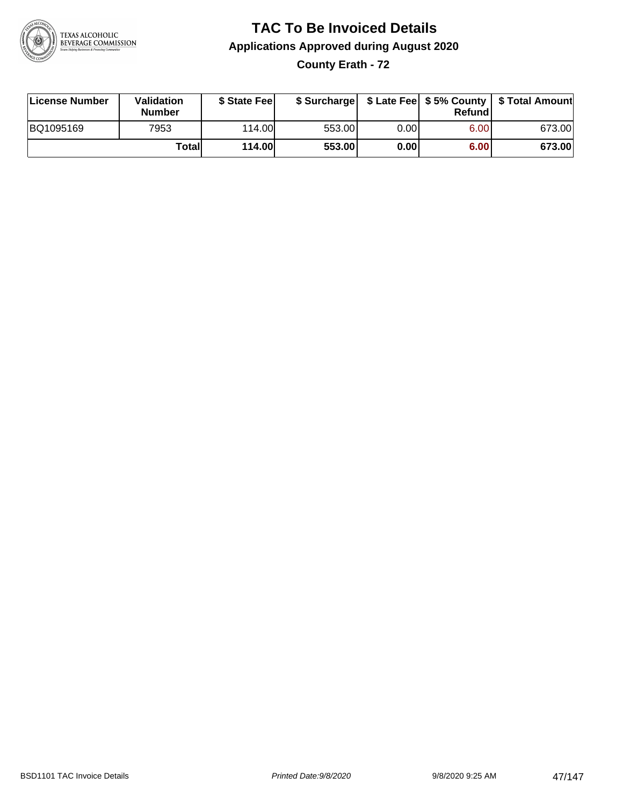

### **TAC To Be Invoiced Details Applications Approved during August 2020 County Erath - 72**

| License Number | Validation<br><b>Number</b> | \$ State Feel |        |      | Refund | \$ Surcharge   \$ Late Fee   \$5% County   \$ Total Amount |
|----------------|-----------------------------|---------------|--------|------|--------|------------------------------------------------------------|
| BQ1095169      | 7953                        | 114.00L       | 553.00 | 0.00 | 6.00   | 673.00                                                     |
|                | Totall                      | <b>114.00</b> | 553.00 | 0.00 | 6.00   | 673.00                                                     |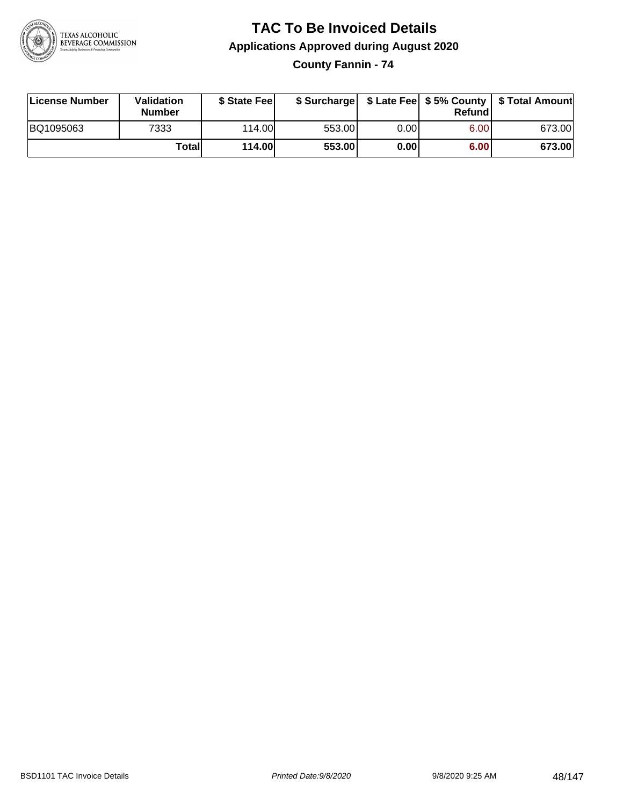

## **TAC To Be Invoiced Details Applications Approved during August 2020**

**County Fannin - 74**

| License Number | Validation<br><b>Number</b> | \$ State Fee  | \$ Surcharge |       | Refundl | \$ Late Fee   \$5% County   \$ Total Amount |
|----------------|-----------------------------|---------------|--------------|-------|---------|---------------------------------------------|
| BQ1095063      | 7333                        | 114.00        | 553.00       | 0.00I | 6.00    | 673.00                                      |
|                | Totall                      | <b>114.00</b> | 553.00       | 0.00  | 6.00    | 673.00                                      |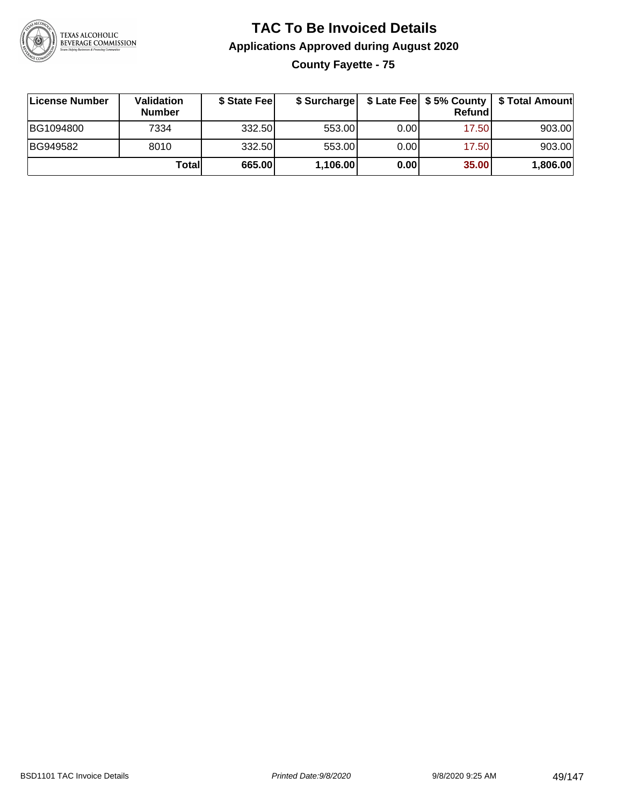

### **TAC To Be Invoiced Details Applications Approved during August 2020 County Fayette - 75**

| License Number | Validation<br><b>Number</b> | \$ State Feel | \$ Surcharge |      | Refund | \$ Late Fee   \$5% County   \$ Total Amount |
|----------------|-----------------------------|---------------|--------------|------|--------|---------------------------------------------|
| BG1094800      | 7334                        | 332.50        | 553.00       | 0.00 | 17.50  | 903.00                                      |
| BG949582       | 8010                        | 332.50        | 553.00       | 0.00 | 17.50  | 903.00                                      |
|                | Totall                      | 665.00        | 1,106.00     | 0.00 | 35.00  | 1,806.00                                    |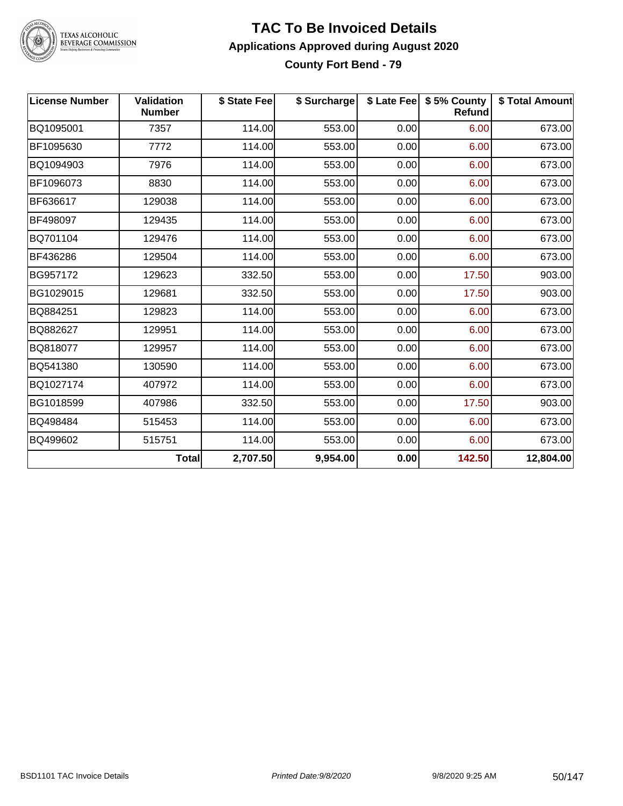

### **TAC To Be Invoiced Details Applications Approved during August 2020 County Fort Bend - 79**

| <b>License Number</b> | Validation<br><b>Number</b> | \$ State Fee | \$ Surcharge |      | \$ Late Fee   \$5% County<br><b>Refund</b> | \$ Total Amount |
|-----------------------|-----------------------------|--------------|--------------|------|--------------------------------------------|-----------------|
| BQ1095001             | 7357                        | 114.00       | 553.00       | 0.00 | 6.00                                       | 673.00          |
| BF1095630             | 7772                        | 114.00       | 553.00       | 0.00 | 6.00                                       | 673.00          |
| BQ1094903             | 7976                        | 114.00       | 553.00       | 0.00 | 6.00                                       | 673.00          |
| BF1096073             | 8830                        | 114.00       | 553.00       | 0.00 | 6.00                                       | 673.00          |
| BF636617              | 129038                      | 114.00       | 553.00       | 0.00 | 6.00                                       | 673.00          |
| BF498097              | 129435                      | 114.00       | 553.00       | 0.00 | 6.00                                       | 673.00          |
| BQ701104              | 129476                      | 114.00       | 553.00       | 0.00 | 6.00                                       | 673.00          |
| BF436286              | 129504                      | 114.00       | 553.00       | 0.00 | 6.00                                       | 673.00          |
| BG957172              | 129623                      | 332.50       | 553.00       | 0.00 | 17.50                                      | 903.00          |
| BG1029015             | 129681                      | 332.50       | 553.00       | 0.00 | 17.50                                      | 903.00          |
| BQ884251              | 129823                      | 114.00       | 553.00       | 0.00 | 6.00                                       | 673.00          |
| BQ882627              | 129951                      | 114.00       | 553.00       | 0.00 | 6.00                                       | 673.00          |
| BQ818077              | 129957                      | 114.00       | 553.00       | 0.00 | 6.00                                       | 673.00          |
| BQ541380              | 130590                      | 114.00       | 553.00       | 0.00 | 6.00                                       | 673.00          |
| BQ1027174             | 407972                      | 114.00       | 553.00       | 0.00 | 6.00                                       | 673.00          |
| BG1018599             | 407986                      | 332.50       | 553.00       | 0.00 | 17.50                                      | 903.00          |
| BQ498484              | 515453                      | 114.00       | 553.00       | 0.00 | 6.00                                       | 673.00          |
| BQ499602              | 515751                      | 114.00       | 553.00       | 0.00 | 6.00                                       | 673.00          |
|                       | <b>Total</b>                | 2,707.50     | 9,954.00     | 0.00 | 142.50                                     | 12,804.00       |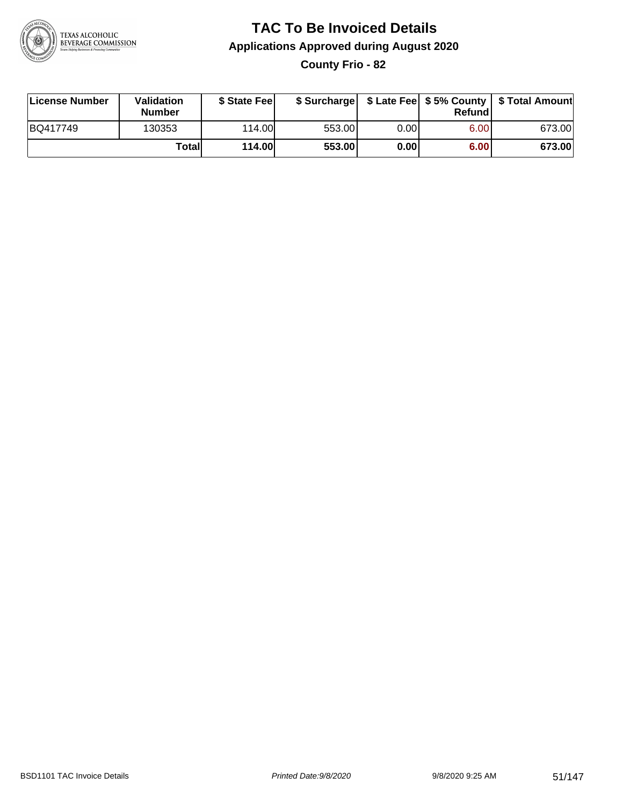

# **TAC To Be Invoiced Details Applications Approved during August 2020**

**County Frio - 82**

| License Number | Validation<br><b>Number</b> | \$ State Feel |        |       | Refundl | \$ Surcharge   \$ Late Fee   \$5% County   \$ Total Amount |
|----------------|-----------------------------|---------------|--------|-------|---------|------------------------------------------------------------|
| BQ417749       | 130353                      | 114.00        | 553.00 | 0.001 | 6.00    | 673.00                                                     |
|                | Totall                      | <b>114.00</b> | 553.00 | 0.00  | 6.00    | 673.00                                                     |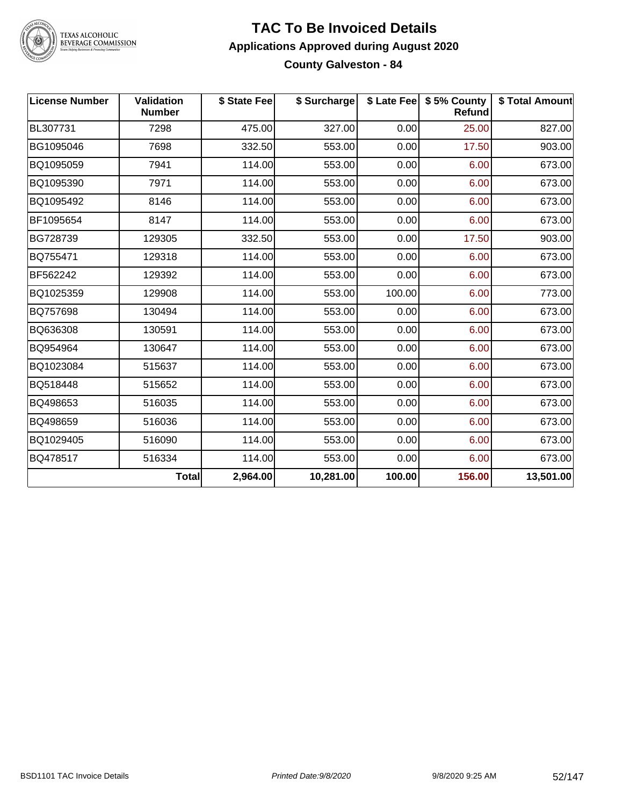

### **TAC To Be Invoiced Details Applications Approved during August 2020 County Galveston - 84**

| <b>License Number</b> | <b>Validation</b><br><b>Number</b> | \$ State Fee | \$ Surcharge |        | \$ Late Fee   \$5% County<br><b>Refund</b> | \$ Total Amount |
|-----------------------|------------------------------------|--------------|--------------|--------|--------------------------------------------|-----------------|
| BL307731              | 7298                               | 475.00       | 327.00       | 0.00   | 25.00                                      | 827.00          |
| BG1095046             | 7698                               | 332.50       | 553.00       | 0.00   | 17.50                                      | 903.00          |
| BQ1095059             | 7941                               | 114.00       | 553.00       | 0.00   | 6.00                                       | 673.00          |
| BQ1095390             | 7971                               | 114.00       | 553.00       | 0.00   | 6.00                                       | 673.00          |
| BQ1095492             | 8146                               | 114.00       | 553.00       | 0.00   | 6.00                                       | 673.00          |
| BF1095654             | 8147                               | 114.00       | 553.00       | 0.00   | 6.00                                       | 673.00          |
| BG728739              | 129305                             | 332.50       | 553.00       | 0.00   | 17.50                                      | 903.00          |
| BQ755471              | 129318                             | 114.00       | 553.00       | 0.00   | 6.00                                       | 673.00          |
| BF562242              | 129392                             | 114.00       | 553.00       | 0.00   | 6.00                                       | 673.00          |
| BQ1025359             | 129908                             | 114.00       | 553.00       | 100.00 | 6.00                                       | 773.00          |
| BQ757698              | 130494                             | 114.00       | 553.00       | 0.00   | 6.00                                       | 673.00          |
| BQ636308              | 130591                             | 114.00       | 553.00       | 0.00   | 6.00                                       | 673.00          |
| BQ954964              | 130647                             | 114.00       | 553.00       | 0.00   | 6.00                                       | 673.00          |
| BQ1023084             | 515637                             | 114.00       | 553.00       | 0.00   | 6.00                                       | 673.00          |
| BQ518448              | 515652                             | 114.00       | 553.00       | 0.00   | 6.00                                       | 673.00          |
| BQ498653              | 516035                             | 114.00       | 553.00       | 0.00   | 6.00                                       | 673.00          |
| BQ498659              | 516036                             | 114.00       | 553.00       | 0.00   | 6.00                                       | 673.00          |
| BQ1029405             | 516090                             | 114.00       | 553.00       | 0.00   | 6.00                                       | 673.00          |
| BQ478517              | 516334                             | 114.00       | 553.00       | 0.00   | 6.00                                       | 673.00          |
|                       | <b>Total</b>                       | 2,964.00     | 10,281.00    | 100.00 | 156.00                                     | 13,501.00       |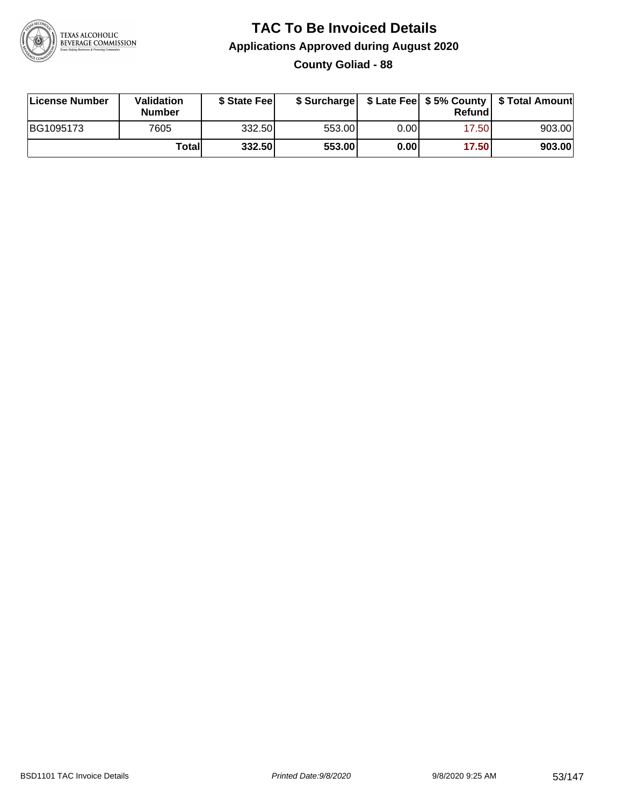

# **TAC To Be Invoiced Details Applications Approved during August 2020**

**County Goliad - 88**

| License Number | Validation<br><b>Number</b> | \$ State Feel | \$ Surcharge |      | Refundl | \$ Late Fee   \$5% County   \$ Total Amount |
|----------------|-----------------------------|---------------|--------------|------|---------|---------------------------------------------|
| BG1095173      | 7605                        | 332.50        | 553.00       | 0.00 | 17.50   | 903.00                                      |
|                | Totall                      | 332.50        | 553.00       | 0.00 | 17.50   | 903.00                                      |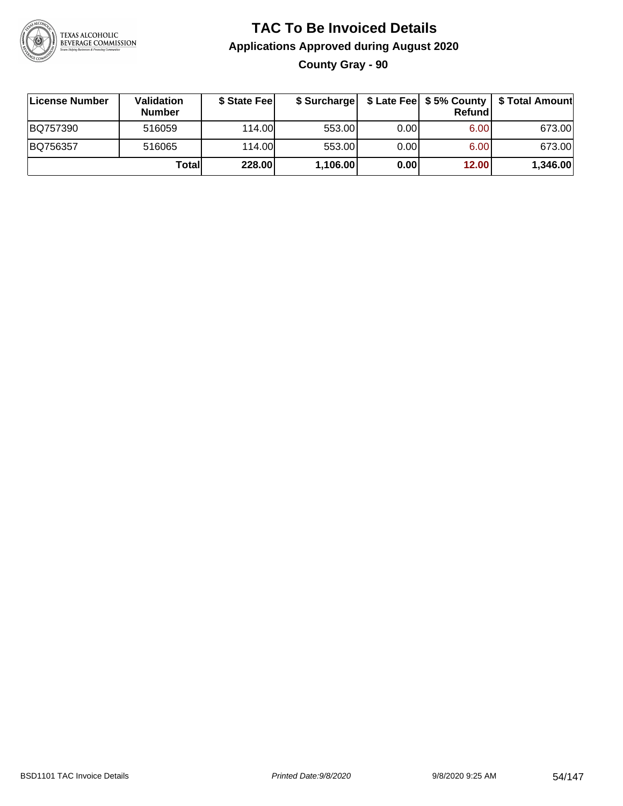

### **TAC To Be Invoiced Details Applications Approved during August 2020 County Gray - 90**

| ∣License Number | <b>Validation</b><br><b>Number</b> | \$ State Fee |          |       | Refundl | \$ Surcharge   \$ Late Fee   \$5% County   \$ Total Amount |
|-----------------|------------------------------------|--------------|----------|-------|---------|------------------------------------------------------------|
| BQ757390        | 516059                             | 114.00       | 553.00   | 0.001 | 6.00    | 673.00                                                     |
| BQ756357        | 516065                             | 114.00       | 553.00   | 0.001 | 6.00    | 673.00                                                     |
|                 | Totall                             | 228.00       | 1,106.00 | 0.00  | 12.00   | 1,346.00                                                   |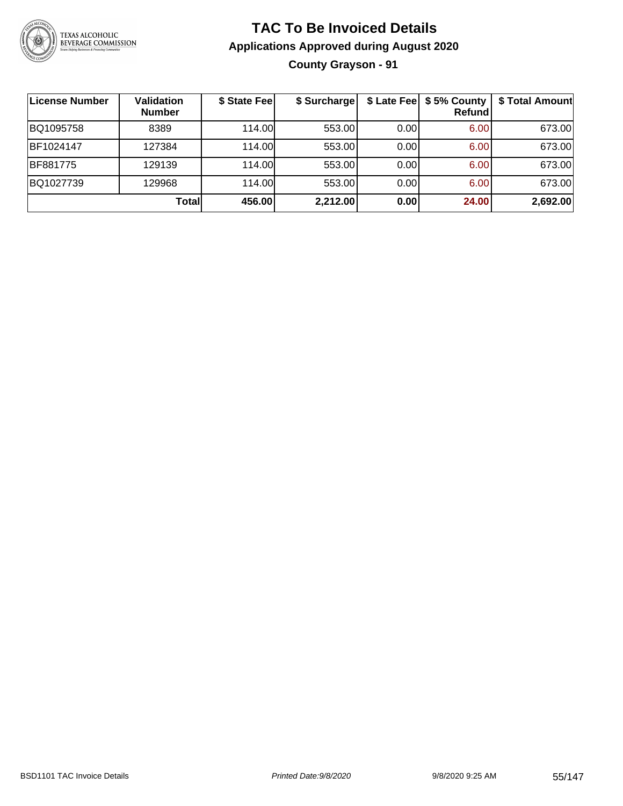

### **TAC To Be Invoiced Details Applications Approved during August 2020 County Grayson - 91**

| License Number | <b>Validation</b><br><b>Number</b> | \$ State Fee | \$ Surcharge |      | \$ Late Fee   \$5% County<br>Refund | \$ Total Amount |
|----------------|------------------------------------|--------------|--------------|------|-------------------------------------|-----------------|
| BQ1095758      | 8389                               | 114.00L      | 553.00       | 0.00 | 6.00                                | 673.00          |
| BF1024147      | 127384                             | 114.00       | 553.00       | 0.00 | 6.00                                | 673.00          |
| BF881775       | 129139                             | 114.00       | 553.00       | 0.00 | 6.00                                | 673.00          |
| BQ1027739      | 129968                             | 114.00       | 553.00       | 0.00 | 6.00                                | 673.00          |
|                | Totall                             | 456.00       | 2,212.00     | 0.00 | 24.00                               | 2,692.00        |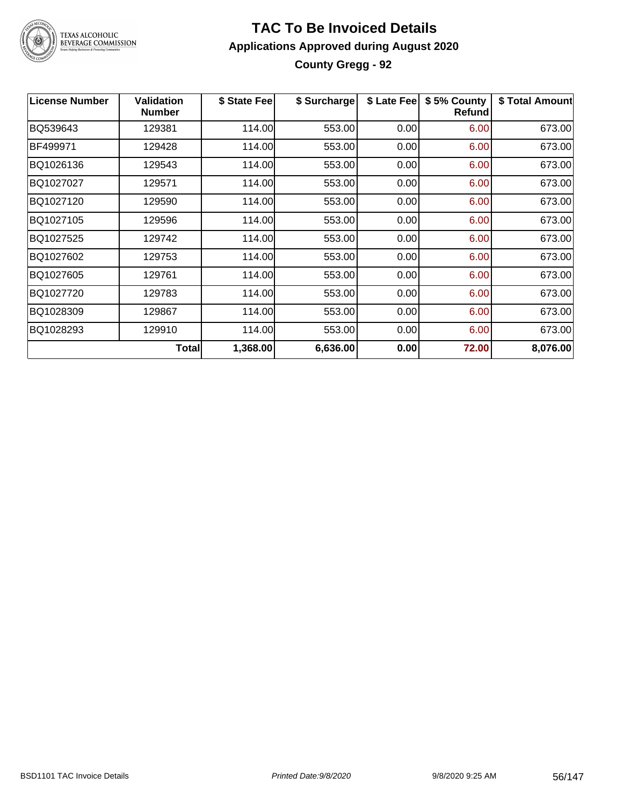

### **TAC To Be Invoiced Details Applications Approved during August 2020 County Gregg - 92**

| <b>License Number</b> | <b>Validation</b><br><b>Number</b> | \$ State Fee | \$ Surcharge | \$ Late Fee | \$5% County<br><b>Refund</b> | \$ Total Amount |
|-----------------------|------------------------------------|--------------|--------------|-------------|------------------------------|-----------------|
| BQ539643              | 129381                             | 114.00       | 553.00       | 0.00        | 6.00                         | 673.00          |
| BF499971              | 129428                             | 114.00       | 553.00       | 0.00        | 6.00                         | 673.00          |
| BQ1026136             | 129543                             | 114.00       | 553.00       | 0.00        | 6.00                         | 673.00          |
| BQ1027027             | 129571                             | 114.00       | 553.00       | 0.00        | 6.00                         | 673.00          |
| BQ1027120             | 129590                             | 114.00       | 553.00       | 0.00        | 6.00                         | 673.00          |
| BQ1027105             | 129596                             | 114.00       | 553.00       | 0.00        | 6.00                         | 673.00          |
| BQ1027525             | 129742                             | 114.00       | 553.00       | 0.00        | 6.00                         | 673.00          |
| BQ1027602             | 129753                             | 114.00       | 553.00       | 0.00        | 6.00                         | 673.00          |
| BQ1027605             | 129761                             | 114.00       | 553.00       | 0.00        | 6.00                         | 673.00          |
| BQ1027720             | 129783                             | 114.00       | 553.00       | 0.00        | 6.00                         | 673.00          |
| BQ1028309             | 129867                             | 114.00       | 553.00       | 0.00        | 6.00                         | 673.00          |
| BQ1028293             | 129910                             | 114.00       | 553.00       | 0.00        | 6.00                         | 673.00          |
|                       | <b>Total</b>                       | 1,368.00     | 6,636.00     | 0.00        | 72.00                        | 8,076.00        |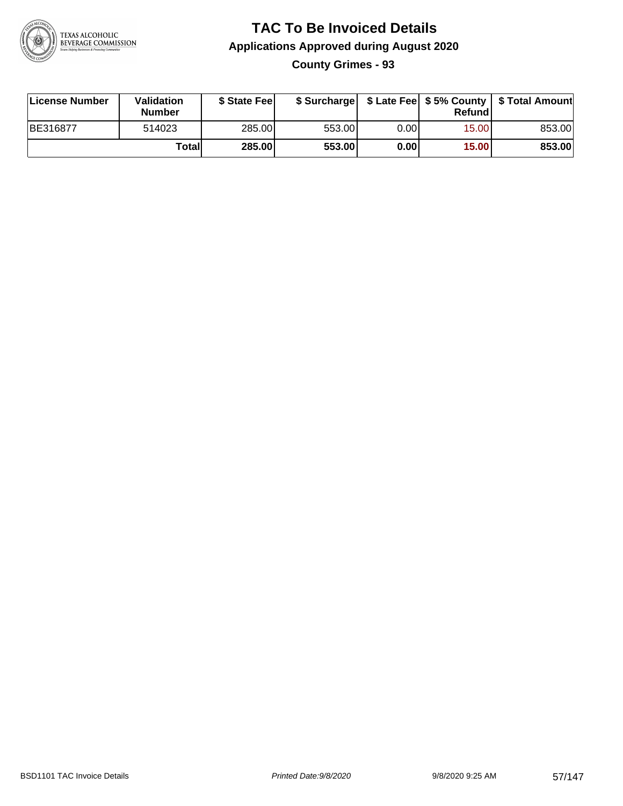

# **TAC To Be Invoiced Details Applications Approved during August 2020**

**County Grimes - 93**

| License Number | <b>Validation</b><br>Number | \$ State Feel | \$ Surcharge |       | Refundl | \$ Late Fee   \$5% County   \$ Total Amount |
|----------------|-----------------------------|---------------|--------------|-------|---------|---------------------------------------------|
| BE316877       | 514023                      | 285.00        | 553.00       | 0.001 | 15.00   | 853.00                                      |
|                | Totall                      | <b>285.00</b> | 553.00       | 0.00  | 15.00   | 853.00                                      |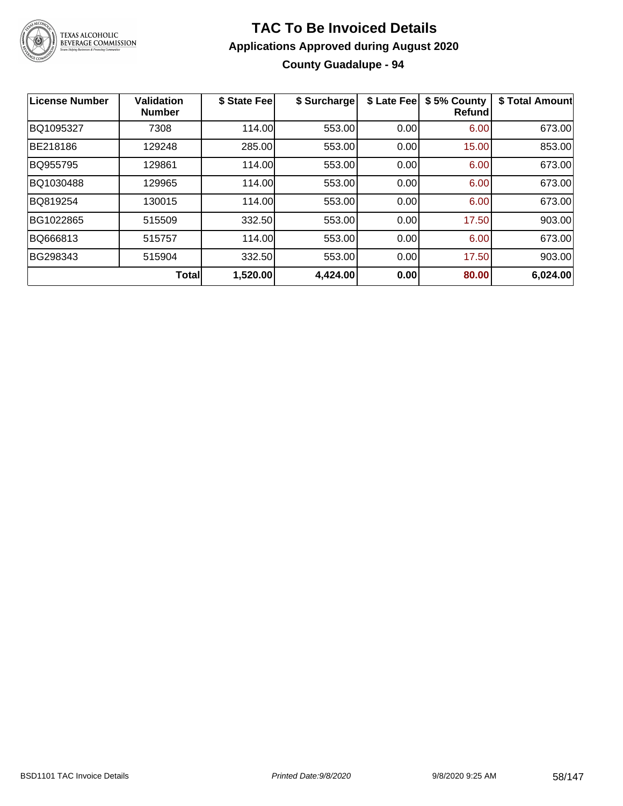

### **TAC To Be Invoiced Details Applications Approved during August 2020 County Guadalupe - 94**

| License Number | <b>Validation</b><br><b>Number</b> | \$ State Fee | \$ Surcharge | \$ Late Fee | \$5% County<br><b>Refund</b> | \$ Total Amount |
|----------------|------------------------------------|--------------|--------------|-------------|------------------------------|-----------------|
| BQ1095327      | 7308                               | 114.00       | 553.00       | 0.00        | 6.00                         | 673.00          |
| BE218186       | 129248                             | 285.00       | 553.00       | 0.00        | 15.00                        | 853.00          |
| BQ955795       | 129861                             | 114.00       | 553.00       | 0.00        | 6.00                         | 673.00          |
| BQ1030488      | 129965                             | 114.00       | 553.00       | 0.00        | 6.00                         | 673.00          |
| BQ819254       | 130015                             | 114.00       | 553.00       | 0.00        | 6.00                         | 673.00          |
| BG1022865      | 515509                             | 332.50       | 553.00       | 0.00        | 17.50                        | 903.00          |
| BQ666813       | 515757                             | 114.00       | 553.00       | 0.00        | 6.00                         | 673.00          |
| BG298343       | 515904                             | 332.50       | 553.00       | 0.00        | 17.50                        | 903.00          |
|                | Total                              | 1,520.00     | 4,424.00     | 0.00        | 80.00                        | 6,024.00        |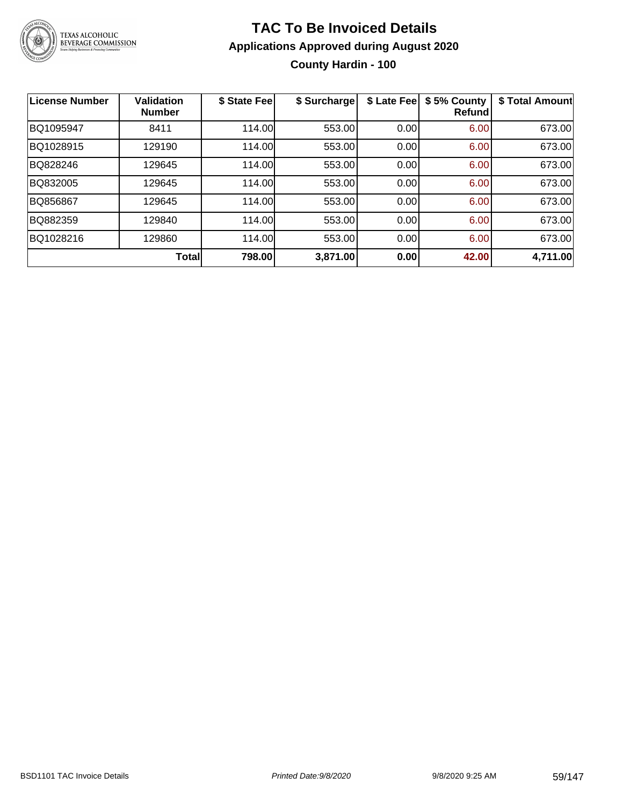

### **TAC To Be Invoiced Details Applications Approved during August 2020 County Hardin - 100**

| <b>License Number</b> | <b>Validation</b><br><b>Number</b> | \$ State Fee | \$ Surcharge | \$ Late Fee | \$5% County<br><b>Refund</b> | \$ Total Amount |
|-----------------------|------------------------------------|--------------|--------------|-------------|------------------------------|-----------------|
| BQ1095947             | 8411                               | 114.00       | 553.00       | 0.00        | 6.00                         | 673.00          |
| BQ1028915             | 129190                             | 114.00       | 553.00       | 0.00        | 6.00                         | 673.00          |
| BQ828246              | 129645                             | 114.00       | 553.00       | 0.00        | 6.00                         | 673.00          |
| BQ832005              | 129645                             | 114.00       | 553.00       | 0.00        | 6.00                         | 673.00          |
| BQ856867              | 129645                             | 114.00       | 553.00       | 0.00        | 6.00                         | 673.00          |
| BQ882359              | 129840                             | 114.00       | 553.00       | 0.00        | 6.00                         | 673.00          |
| BQ1028216             | 129860                             | 114.00       | 553.00       | 0.00        | 6.00                         | 673.00          |
|                       | <b>Total</b>                       | 798.00       | 3,871.00     | 0.00        | 42.00                        | 4,711.00        |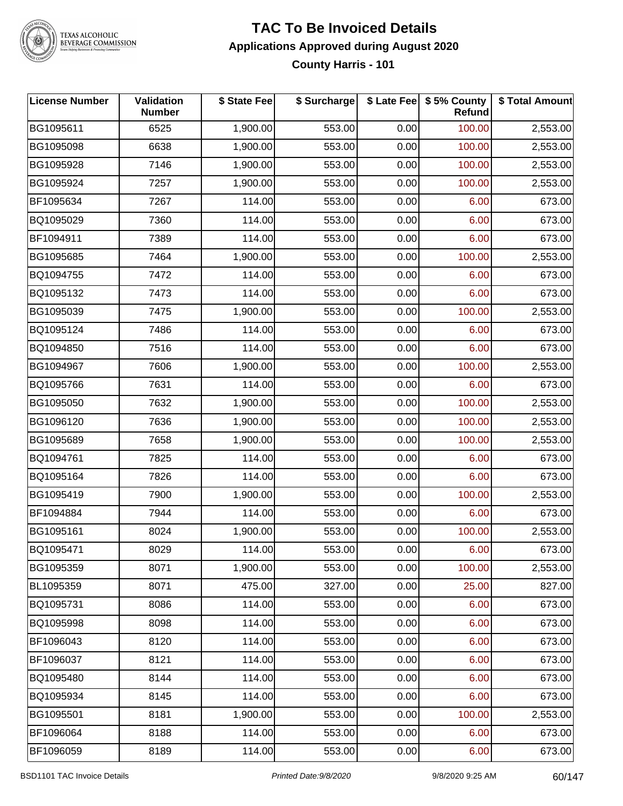

### **TAC To Be Invoiced Details Applications Approved during August 2020 County Harris - 101**

| <b>License Number</b> | Validation<br><b>Number</b> | \$ State Fee | \$ Surcharge |      | \$ Late Fee   \$5% County<br>Refund | \$ Total Amount |
|-----------------------|-----------------------------|--------------|--------------|------|-------------------------------------|-----------------|
| BG1095611             | 6525                        | 1,900.00     | 553.00       | 0.00 | 100.00                              | 2,553.00        |
| BG1095098             | 6638                        | 1,900.00     | 553.00       | 0.00 | 100.00                              | 2,553.00        |
| BG1095928             | 7146                        | 1,900.00     | 553.00       | 0.00 | 100.00                              | 2,553.00        |
| BG1095924             | 7257                        | 1,900.00     | 553.00       | 0.00 | 100.00                              | 2,553.00        |
| BF1095634             | 7267                        | 114.00       | 553.00       | 0.00 | 6.00                                | 673.00          |
| BQ1095029             | 7360                        | 114.00       | 553.00       | 0.00 | 6.00                                | 673.00          |
| BF1094911             | 7389                        | 114.00       | 553.00       | 0.00 | 6.00                                | 673.00          |
| BG1095685             | 7464                        | 1,900.00     | 553.00       | 0.00 | 100.00                              | 2,553.00        |
| BQ1094755             | 7472                        | 114.00       | 553.00       | 0.00 | 6.00                                | 673.00          |
| BQ1095132             | 7473                        | 114.00       | 553.00       | 0.00 | 6.00                                | 673.00          |
| BG1095039             | 7475                        | 1,900.00     | 553.00       | 0.00 | 100.00                              | 2,553.00        |
| BQ1095124             | 7486                        | 114.00       | 553.00       | 0.00 | 6.00                                | 673.00          |
| BQ1094850             | 7516                        | 114.00       | 553.00       | 0.00 | 6.00                                | 673.00          |
| BG1094967             | 7606                        | 1,900.00     | 553.00       | 0.00 | 100.00                              | 2,553.00        |
| BQ1095766             | 7631                        | 114.00       | 553.00       | 0.00 | 6.00                                | 673.00          |
| BG1095050             | 7632                        | 1,900.00     | 553.00       | 0.00 | 100.00                              | 2,553.00        |
| BG1096120             | 7636                        | 1,900.00     | 553.00       | 0.00 | 100.00                              | 2,553.00        |
| BG1095689             | 7658                        | 1,900.00     | 553.00       | 0.00 | 100.00                              | 2,553.00        |
| BQ1094761             | 7825                        | 114.00       | 553.00       | 0.00 | 6.00                                | 673.00          |
| BQ1095164             | 7826                        | 114.00       | 553.00       | 0.00 | 6.00                                | 673.00          |
| BG1095419             | 7900                        | 1,900.00     | 553.00       | 0.00 | 100.00                              | 2,553.00        |
| BF1094884             | 7944                        | 114.00       | 553.00       | 0.00 | 6.00                                | 673.00          |
| BG1095161             | 8024                        | 1,900.00     | 553.00       | 0.00 | 100.00                              | 2,553.00        |
| BQ1095471             | 8029                        | 114.00       | 553.00       | 0.00 | 6.00                                | 673.00          |
| BG1095359             | 8071                        | 1,900.00     | 553.00       | 0.00 | 100.00                              | 2,553.00        |
| BL1095359             | 8071                        | 475.00       | 327.00       | 0.00 | 25.00                               | 827.00          |
| BQ1095731             | 8086                        | 114.00       | 553.00       | 0.00 | 6.00                                | 673.00          |
| BQ1095998             | 8098                        | 114.00       | 553.00       | 0.00 | 6.00                                | 673.00          |
| BF1096043             | 8120                        | 114.00       | 553.00       | 0.00 | 6.00                                | 673.00          |
| BF1096037             | 8121                        | 114.00       | 553.00       | 0.00 | 6.00                                | 673.00          |
| BQ1095480             | 8144                        | 114.00       | 553.00       | 0.00 | 6.00                                | 673.00          |
| BQ1095934             | 8145                        | 114.00       | 553.00       | 0.00 | 6.00                                | 673.00          |
| BG1095501             | 8181                        | 1,900.00     | 553.00       | 0.00 | 100.00                              | 2,553.00        |
| BF1096064             | 8188                        | 114.00       | 553.00       | 0.00 | 6.00                                | 673.00          |
| BF1096059             | 8189                        | 114.00       | 553.00       | 0.00 | 6.00                                | 673.00          |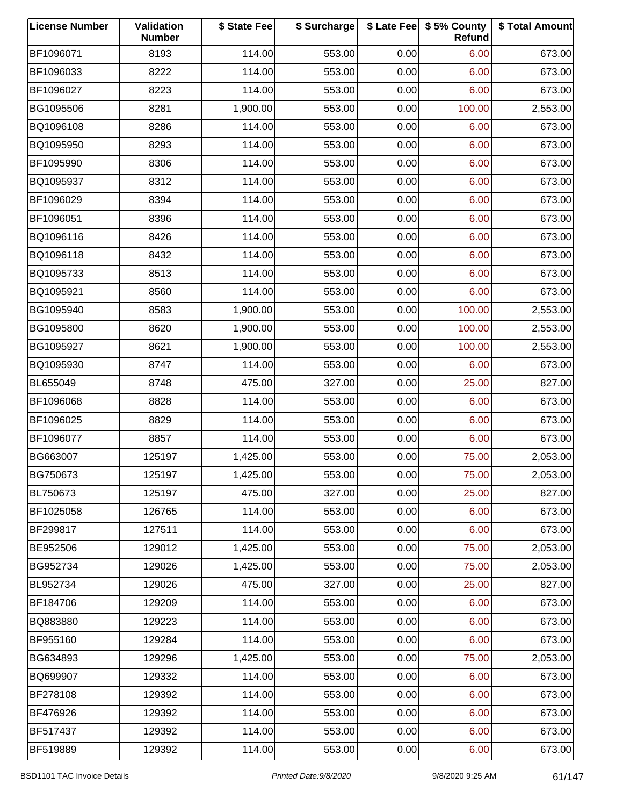| <b>License Number</b> | Validation<br><b>Number</b> | \$ State Fee | \$ Surcharge |      | \$ Late Fee   \$5% County<br>Refund | \$ Total Amount |
|-----------------------|-----------------------------|--------------|--------------|------|-------------------------------------|-----------------|
| BF1096071             | 8193                        | 114.00       | 553.00       | 0.00 | 6.00                                | 673.00          |
| BF1096033             | 8222                        | 114.00       | 553.00       | 0.00 | 6.00                                | 673.00          |
| BF1096027             | 8223                        | 114.00       | 553.00       | 0.00 | 6.00                                | 673.00          |
| BG1095506             | 8281                        | 1,900.00     | 553.00       | 0.00 | 100.00                              | 2,553.00        |
| BQ1096108             | 8286                        | 114.00       | 553.00       | 0.00 | 6.00                                | 673.00          |
| BQ1095950             | 8293                        | 114.00       | 553.00       | 0.00 | 6.00                                | 673.00          |
| BF1095990             | 8306                        | 114.00       | 553.00       | 0.00 | 6.00                                | 673.00          |
| BQ1095937             | 8312                        | 114.00       | 553.00       | 0.00 | 6.00                                | 673.00          |
| BF1096029             | 8394                        | 114.00       | 553.00       | 0.00 | 6.00                                | 673.00          |
| BF1096051             | 8396                        | 114.00       | 553.00       | 0.00 | 6.00                                | 673.00          |
| BQ1096116             | 8426                        | 114.00       | 553.00       | 0.00 | 6.00                                | 673.00          |
| BQ1096118             | 8432                        | 114.00       | 553.00       | 0.00 | 6.00                                | 673.00          |
| BQ1095733             | 8513                        | 114.00       | 553.00       | 0.00 | 6.00                                | 673.00          |
| BQ1095921             | 8560                        | 114.00       | 553.00       | 0.00 | 6.00                                | 673.00          |
| BG1095940             | 8583                        | 1,900.00     | 553.00       | 0.00 | 100.00                              | 2,553.00        |
| BG1095800             | 8620                        | 1,900.00     | 553.00       | 0.00 | 100.00                              | 2,553.00        |
| BG1095927             | 8621                        | 1,900.00     | 553.00       | 0.00 | 100.00                              | 2,553.00        |
| BQ1095930             | 8747                        | 114.00       | 553.00       | 0.00 | 6.00                                | 673.00          |
| BL655049              | 8748                        | 475.00       | 327.00       | 0.00 | 25.00                               | 827.00          |
| BF1096068             | 8828                        | 114.00       | 553.00       | 0.00 | 6.00                                | 673.00          |
| BF1096025             | 8829                        | 114.00       | 553.00       | 0.00 | 6.00                                | 673.00          |
| BF1096077             | 8857                        | 114.00       | 553.00       | 0.00 | 6.00                                | 673.00          |
| BG663007              | 125197                      | 1,425.00     | 553.00       | 0.00 | 75.00                               | 2,053.00        |
| BG750673              | 125197                      | 1,425.00     | 553.00       | 0.00 | 75.00                               | 2,053.00        |
| BL750673              | 125197                      | 475.00       | 327.00       | 0.00 | 25.00                               | 827.00          |
| BF1025058             | 126765                      | 114.00       | 553.00       | 0.00 | 6.00                                | 673.00          |
| BF299817              | 127511                      | 114.00       | 553.00       | 0.00 | 6.00                                | 673.00          |
| BE952506              | 129012                      | 1,425.00     | 553.00       | 0.00 | 75.00                               | 2,053.00        |
| BG952734              | 129026                      | 1,425.00     | 553.00       | 0.00 | 75.00                               | 2,053.00        |
| BL952734              | 129026                      | 475.00       | 327.00       | 0.00 | 25.00                               | 827.00          |
| BF184706              | 129209                      | 114.00       | 553.00       | 0.00 | 6.00                                | 673.00          |
| BQ883880              | 129223                      | 114.00       | 553.00       | 0.00 | 6.00                                | 673.00          |
| BF955160              | 129284                      | 114.00       | 553.00       | 0.00 | 6.00                                | 673.00          |
| BG634893              | 129296                      | 1,425.00     | 553.00       | 0.00 | 75.00                               | 2,053.00        |
| BQ699907              | 129332                      | 114.00       | 553.00       | 0.00 | 6.00                                | 673.00          |
| BF278108              | 129392                      | 114.00       | 553.00       | 0.00 | 6.00                                | 673.00          |
| BF476926              | 129392                      | 114.00       | 553.00       | 0.00 | 6.00                                | 673.00          |
| BF517437              | 129392                      | 114.00       | 553.00       | 0.00 | 6.00                                | 673.00          |
| BF519889              | 129392                      | 114.00       | 553.00       | 0.00 | 6.00                                | 673.00          |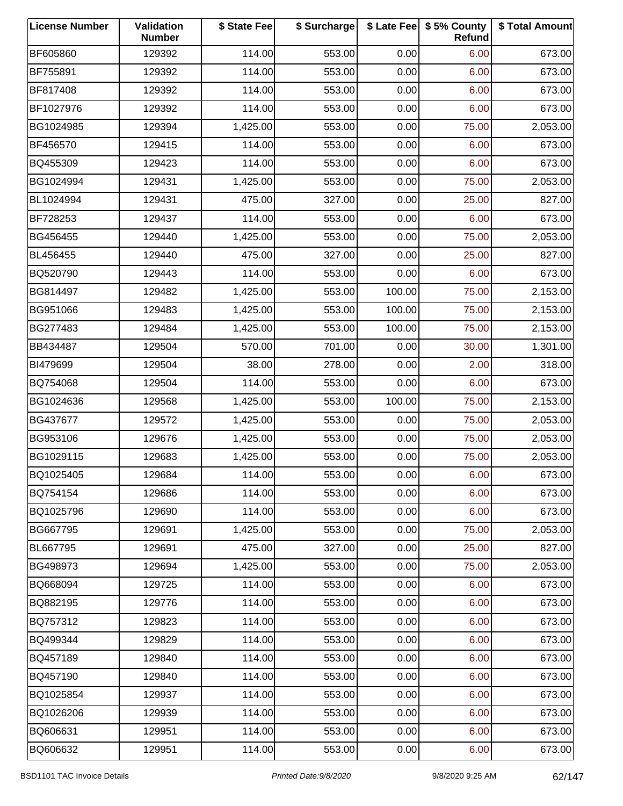| <b>License Number</b> | Validation<br><b>Number</b> | \$ State Fee | \$ Surcharge |        | \$ Late Fee   \$5% County<br>Refund | \$ Total Amount |
|-----------------------|-----------------------------|--------------|--------------|--------|-------------------------------------|-----------------|
| BF605860              | 129392                      | 114.00       | 553.00       | 0.00   | 6.00                                | 673.00          |
| BF755891              | 129392                      | 114.00       | 553.00       | 0.00   | 6.00                                | 673.00          |
| BF817408              | 129392                      | 114.00       | 553.00       | 0.00   | 6.00                                | 673.00          |
| BF1027976             | 129392                      | 114.00       | 553.00       | 0.00   | 6.00                                | 673.00          |
| BG1024985             | 129394                      | 1,425.00     | 553.00       | 0.00   | 75.00                               | 2,053.00        |
| BF456570              | 129415                      | 114.00       | 553.00       | 0.00   | 6.00                                | 673.00          |
| BQ455309              | 129423                      | 114.00       | 553.00       | 0.00   | 6.00                                | 673.00          |
| BG1024994             | 129431                      | 1,425.00     | 553.00       | 0.00   | 75.00                               | 2,053.00        |
| BL1024994             | 129431                      | 475.00       | 327.00       | 0.00   | 25.00                               | 827.00          |
| BF728253              | 129437                      | 114.00       | 553.00       | 0.00   | 6.00                                | 673.00          |
| BG456455              | 129440                      | 1,425.00     | 553.00       | 0.00   | 75.00                               | 2,053.00        |
| BL456455              | 129440                      | 475.00       | 327.00       | 0.00   | 25.00                               | 827.00          |
| BQ520790              | 129443                      | 114.00       | 553.00       | 0.00   | 6.00                                | 673.00          |
| BG814497              | 129482                      | 1,425.00     | 553.00       | 100.00 | 75.00                               | 2,153.00        |
| BG951066              | 129483                      | 1,425.00     | 553.00       | 100.00 | 75.00                               | 2,153.00        |
| BG277483              | 129484                      | 1,425.00     | 553.00       | 100.00 | 75.00                               | 2,153.00        |
| BB434487              | 129504                      | 570.00       | 701.00       | 0.00   | 30.00                               | 1,301.00        |
| BI479699              | 129504                      | 38.00        | 278.00       | 0.00   | 2.00                                | 318.00          |
| BQ754068              | 129504                      | 114.00       | 553.00       | 0.00   | 6.00                                | 673.00          |
| BG1024636             | 129568                      | 1,425.00     | 553.00       | 100.00 | 75.00                               | 2,153.00        |
| BG437677              | 129572                      | 1,425.00     | 553.00       | 0.00   | 75.00                               | 2,053.00        |
| BG953106              | 129676                      | 1,425.00     | 553.00       | 0.00   | 75.00                               | 2,053.00        |
| BG1029115             | 129683                      | 1,425.00     | 553.00       | 0.00   | 75.00                               | 2,053.00        |
| BQ1025405             | 129684                      | 114.00       | 553.00       | 0.00   | 6.00                                | 673.00          |
| BQ754154              | 129686                      | 114.00       | 553.00       | 0.00   | 6.00                                | 673.00          |
| BQ1025796             | 129690                      | 114.00       | 553.00       | 0.00   | 6.00                                | 673.00          |
| BG667795              | 129691                      | 1,425.00     | 553.00       | 0.00   | 75.00                               | 2,053.00        |
| BL667795              | 129691                      | 475.00       | 327.00       | 0.00   | 25.00                               | 827.00          |
| BG498973              | 129694                      | 1,425.00     | 553.00       | 0.00   | 75.00                               | 2,053.00        |
| BQ668094              | 129725                      | 114.00       | 553.00       | 0.00   | 6.00                                | 673.00          |
| BQ882195              | 129776                      | 114.00       | 553.00       | 0.00   | 6.00                                | 673.00          |
| BQ757312              | 129823                      | 114.00       | 553.00       | 0.00   | 6.00                                | 673.00          |
| BQ499344              | 129829                      | 114.00       | 553.00       | 0.00   | 6.00                                | 673.00          |
| BQ457189              | 129840                      | 114.00       | 553.00       | 0.00   | 6.00                                | 673.00          |
| BQ457190              | 129840                      | 114.00       | 553.00       | 0.00   | 6.00                                | 673.00          |
| BQ1025854             | 129937                      | 114.00       | 553.00       | 0.00   | 6.00                                | 673.00          |
| BQ1026206             | 129939                      | 114.00       | 553.00       | 0.00   | 6.00                                | 673.00          |
| BQ606631              | 129951                      | 114.00       | 553.00       | 0.00   | 6.00                                | 673.00          |
| BQ606632              | 129951                      | 114.00       | 553.00       | 0.00   | 6.00                                | 673.00          |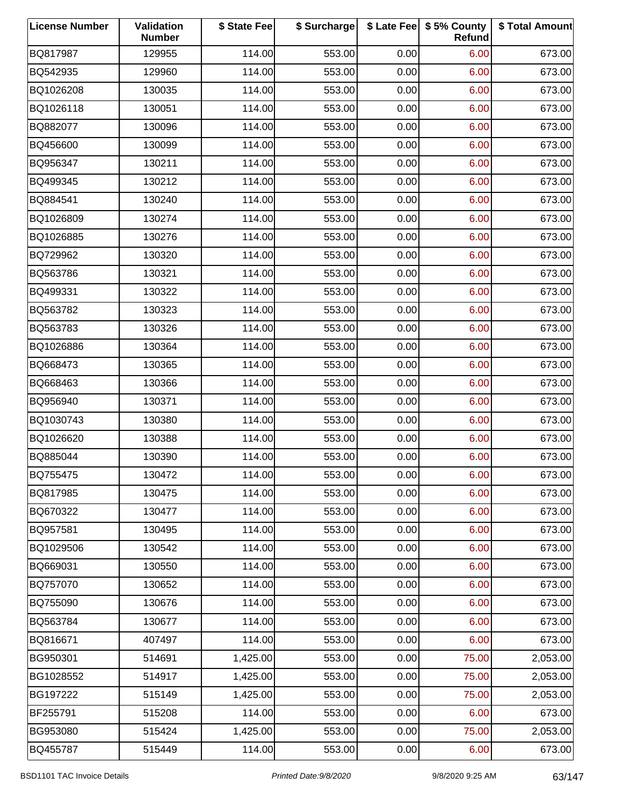| <b>License Number</b> | Validation<br><b>Number</b> | \$ State Fee | \$ Surcharge |      | \$ Late Fee   \$5% County<br>Refund | \$ Total Amount |
|-----------------------|-----------------------------|--------------|--------------|------|-------------------------------------|-----------------|
| BQ817987              | 129955                      | 114.00       | 553.00       | 0.00 | 6.00                                | 673.00          |
| BQ542935              | 129960                      | 114.00       | 553.00       | 0.00 | 6.00                                | 673.00          |
| BQ1026208             | 130035                      | 114.00       | 553.00       | 0.00 | 6.00                                | 673.00          |
| BQ1026118             | 130051                      | 114.00       | 553.00       | 0.00 | 6.00                                | 673.00          |
| BQ882077              | 130096                      | 114.00       | 553.00       | 0.00 | 6.00                                | 673.00          |
| BQ456600              | 130099                      | 114.00       | 553.00       | 0.00 | 6.00                                | 673.00          |
| BQ956347              | 130211                      | 114.00       | 553.00       | 0.00 | 6.00                                | 673.00          |
| BQ499345              | 130212                      | 114.00       | 553.00       | 0.00 | 6.00                                | 673.00          |
| BQ884541              | 130240                      | 114.00       | 553.00       | 0.00 | 6.00                                | 673.00          |
| BQ1026809             | 130274                      | 114.00       | 553.00       | 0.00 | 6.00                                | 673.00          |
| BQ1026885             | 130276                      | 114.00       | 553.00       | 0.00 | 6.00                                | 673.00          |
| BQ729962              | 130320                      | 114.00       | 553.00       | 0.00 | 6.00                                | 673.00          |
| BQ563786              | 130321                      | 114.00       | 553.00       | 0.00 | 6.00                                | 673.00          |
| BQ499331              | 130322                      | 114.00       | 553.00       | 0.00 | 6.00                                | 673.00          |
| BQ563782              | 130323                      | 114.00       | 553.00       | 0.00 | 6.00                                | 673.00          |
| BQ563783              | 130326                      | 114.00       | 553.00       | 0.00 | 6.00                                | 673.00          |
| BQ1026886             | 130364                      | 114.00       | 553.00       | 0.00 | 6.00                                | 673.00          |
| BQ668473              | 130365                      | 114.00       | 553.00       | 0.00 | 6.00                                | 673.00          |
| BQ668463              | 130366                      | 114.00       | 553.00       | 0.00 | 6.00                                | 673.00          |
| BQ956940              | 130371                      | 114.00       | 553.00       | 0.00 | 6.00                                | 673.00          |
| BQ1030743             | 130380                      | 114.00       | 553.00       | 0.00 | 6.00                                | 673.00          |
| BQ1026620             | 130388                      | 114.00       | 553.00       | 0.00 | 6.00                                | 673.00          |
| BQ885044              | 130390                      | 114.00       | 553.00       | 0.00 | 6.00                                | 673.00          |
| BQ755475              | 130472                      | 114.00       | 553.00       | 0.00 | 6.00                                | 673.00          |
| BQ817985              | 130475                      | 114.00       | 553.00       | 0.00 | 6.00                                | 673.00          |
| BQ670322              | 130477                      | 114.00       | 553.00       | 0.00 | 6.00                                | 673.00          |
| BQ957581              | 130495                      | 114.00       | 553.00       | 0.00 | 6.00                                | 673.00          |
| BQ1029506             | 130542                      | 114.00       | 553.00       | 0.00 | 6.00                                | 673.00          |
| BQ669031              | 130550                      | 114.00       | 553.00       | 0.00 | 6.00                                | 673.00          |
| BQ757070              | 130652                      | 114.00       | 553.00       | 0.00 | 6.00                                | 673.00          |
| BQ755090              | 130676                      | 114.00       | 553.00       | 0.00 | 6.00                                | 673.00          |
| BQ563784              | 130677                      | 114.00       | 553.00       | 0.00 | 6.00                                | 673.00          |
| BQ816671              | 407497                      | 114.00       | 553.00       | 0.00 | 6.00                                | 673.00          |
| BG950301              | 514691                      | 1,425.00     | 553.00       | 0.00 | 75.00                               | 2,053.00        |
| BG1028552             | 514917                      | 1,425.00     | 553.00       | 0.00 | 75.00                               | 2,053.00        |
| BG197222              | 515149                      | 1,425.00     | 553.00       | 0.00 | 75.00                               | 2,053.00        |
| BF255791              | 515208                      | 114.00       | 553.00       | 0.00 | 6.00                                | 673.00          |
| BG953080              | 515424                      | 1,425.00     | 553.00       | 0.00 | 75.00                               | 2,053.00        |
| BQ455787              | 515449                      | 114.00       | 553.00       | 0.00 | 6.00                                | 673.00          |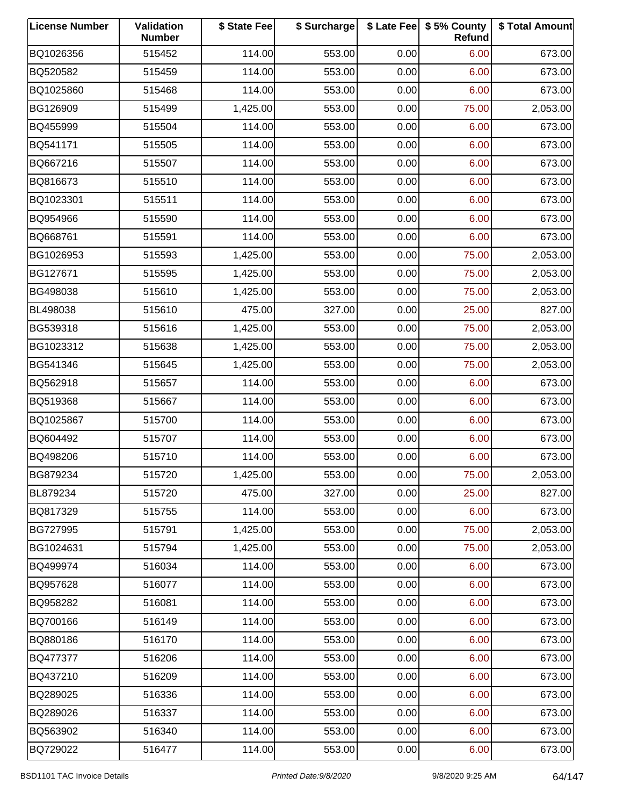| <b>License Number</b> | Validation<br><b>Number</b> | \$ State Fee | \$ Surcharge |      | \$ Late Fee   \$5% County<br>Refund | \$ Total Amount |
|-----------------------|-----------------------------|--------------|--------------|------|-------------------------------------|-----------------|
| BQ1026356             | 515452                      | 114.00       | 553.00       | 0.00 | 6.00                                | 673.00          |
| BQ520582              | 515459                      | 114.00       | 553.00       | 0.00 | 6.00                                | 673.00          |
| BQ1025860             | 515468                      | 114.00       | 553.00       | 0.00 | 6.00                                | 673.00          |
| BG126909              | 515499                      | 1,425.00     | 553.00       | 0.00 | 75.00                               | 2,053.00        |
| BQ455999              | 515504                      | 114.00       | 553.00       | 0.00 | 6.00                                | 673.00          |
| BQ541171              | 515505                      | 114.00       | 553.00       | 0.00 | 6.00                                | 673.00          |
| BQ667216              | 515507                      | 114.00       | 553.00       | 0.00 | 6.00                                | 673.00          |
| BQ816673              | 515510                      | 114.00       | 553.00       | 0.00 | 6.00                                | 673.00          |
| BQ1023301             | 515511                      | 114.00       | 553.00       | 0.00 | 6.00                                | 673.00          |
| BQ954966              | 515590                      | 114.00       | 553.00       | 0.00 | 6.00                                | 673.00          |
| BQ668761              | 515591                      | 114.00       | 553.00       | 0.00 | 6.00                                | 673.00          |
| BG1026953             | 515593                      | 1,425.00     | 553.00       | 0.00 | 75.00                               | 2,053.00        |
| BG127671              | 515595                      | 1,425.00     | 553.00       | 0.00 | 75.00                               | 2,053.00        |
| BG498038              | 515610                      | 1,425.00     | 553.00       | 0.00 | 75.00                               | 2,053.00        |
| BL498038              | 515610                      | 475.00       | 327.00       | 0.00 | 25.00                               | 827.00          |
| BG539318              | 515616                      | 1,425.00     | 553.00       | 0.00 | 75.00                               | 2,053.00        |
| BG1023312             | 515638                      | 1,425.00     | 553.00       | 0.00 | 75.00                               | 2,053.00        |
| BG541346              | 515645                      | 1,425.00     | 553.00       | 0.00 | 75.00                               | 2,053.00        |
| BQ562918              | 515657                      | 114.00       | 553.00       | 0.00 | 6.00                                | 673.00          |
| BQ519368              | 515667                      | 114.00       | 553.00       | 0.00 | 6.00                                | 673.00          |
| BQ1025867             | 515700                      | 114.00       | 553.00       | 0.00 | 6.00                                | 673.00          |
| BQ604492              | 515707                      | 114.00       | 553.00       | 0.00 | 6.00                                | 673.00          |
| BQ498206              | 515710                      | 114.00       | 553.00       | 0.00 | 6.00                                | 673.00          |
| BG879234              | 515720                      | 1,425.00     | 553.00       | 0.00 | 75.00                               | 2,053.00        |
| BL879234              | 515720                      | 475.00       | 327.00       | 0.00 | 25.00                               | 827.00          |
| BQ817329              | 515755                      | 114.00       | 553.00       | 0.00 | 6.00                                | 673.00          |
| BG727995              | 515791                      | 1,425.00     | 553.00       | 0.00 | 75.00                               | 2,053.00        |
| BG1024631             | 515794                      | 1,425.00     | 553.00       | 0.00 | 75.00                               | 2,053.00        |
| BQ499974              | 516034                      | 114.00       | 553.00       | 0.00 | 6.00                                | 673.00          |
| BQ957628              | 516077                      | 114.00       | 553.00       | 0.00 | 6.00                                | 673.00          |
| BQ958282              | 516081                      | 114.00       | 553.00       | 0.00 | 6.00                                | 673.00          |
| BQ700166              | 516149                      | 114.00       | 553.00       | 0.00 | 6.00                                | 673.00          |
| BQ880186              | 516170                      | 114.00       | 553.00       | 0.00 | 6.00                                | 673.00          |
| BQ477377              | 516206                      | 114.00       | 553.00       | 0.00 | 6.00                                | 673.00          |
| BQ437210              | 516209                      | 114.00       | 553.00       | 0.00 | 6.00                                | 673.00          |
| BQ289025              | 516336                      | 114.00       | 553.00       | 0.00 | 6.00                                | 673.00          |
| BQ289026              | 516337                      | 114.00       | 553.00       | 0.00 | 6.00                                | 673.00          |
| BQ563902              | 516340                      | 114.00       | 553.00       | 0.00 | 6.00                                | 673.00          |
| BQ729022              | 516477                      | 114.00       | 553.00       | 0.00 | 6.00                                | 673.00          |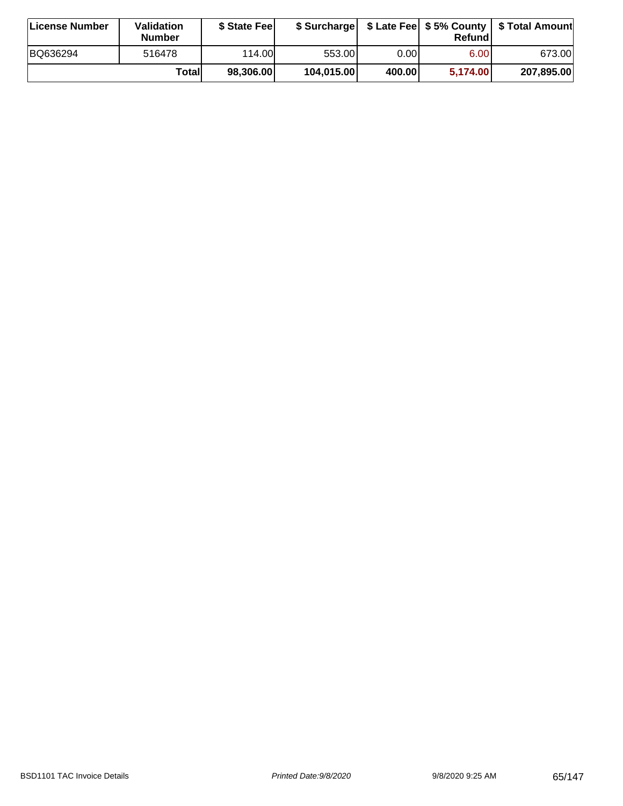| ∣License Number | Validation<br><b>Number</b> | \$ State Fee |            |        | Refundl           | \$ Surcharge   \$ Late Fee   \$5% County   \$ Total Amount |
|-----------------|-----------------------------|--------------|------------|--------|-------------------|------------------------------------------------------------|
| BQ636294        | 516478                      | 114.00L      | 553.001    | 0.001  | 6.00 <sub>1</sub> | 673.00                                                     |
|                 | Totall                      | 98,306.00    | 104,015.00 | 400.00 | 5,174.00          | 207,895.00                                                 |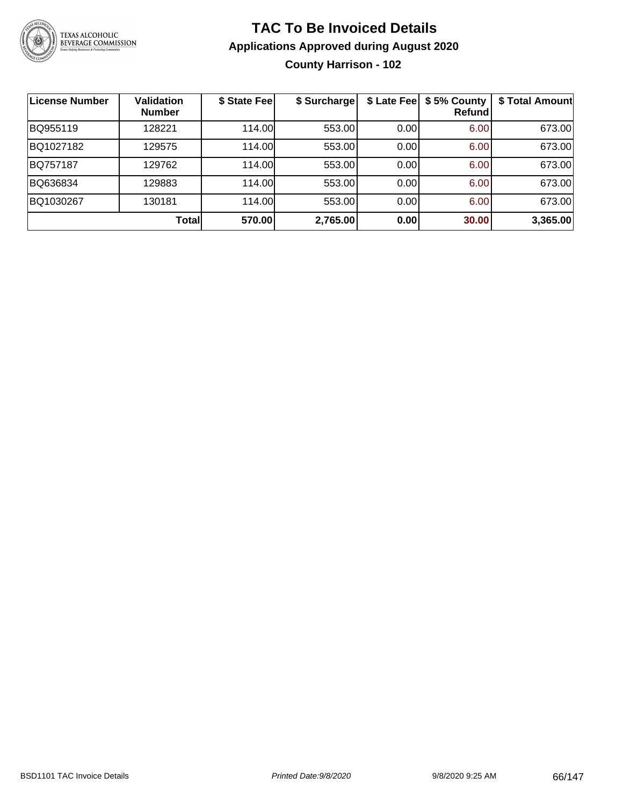

### **TAC To Be Invoiced Details Applications Approved during August 2020 County Harrison - 102**

| License Number | Validation<br><b>Number</b> | \$ State Fee | \$ Surcharge | \$ Late Fee | \$5% County<br>Refundl | \$ Total Amount |
|----------------|-----------------------------|--------------|--------------|-------------|------------------------|-----------------|
| BQ955119       | 128221                      | 114.00L      | 553.00       | 0.00        | 6.00                   | 673.00          |
| BQ1027182      | 129575                      | 114.00       | 553.00       | 0.00        | 6.00                   | 673.00          |
| BQ757187       | 129762                      | 114.00       | 553.00       | 0.00        | 6.00                   | 673.00          |
| BQ636834       | 129883                      | 114.00       | 553.00       | 0.00        | 6.00                   | 673.00          |
| BQ1030267      | 130181                      | 114.00       | 553.00       | 0.00        | 6.00                   | 673.00          |
|                | Total                       | 570.00       | 2,765.00     | 0.00        | 30.00                  | 3,365.00        |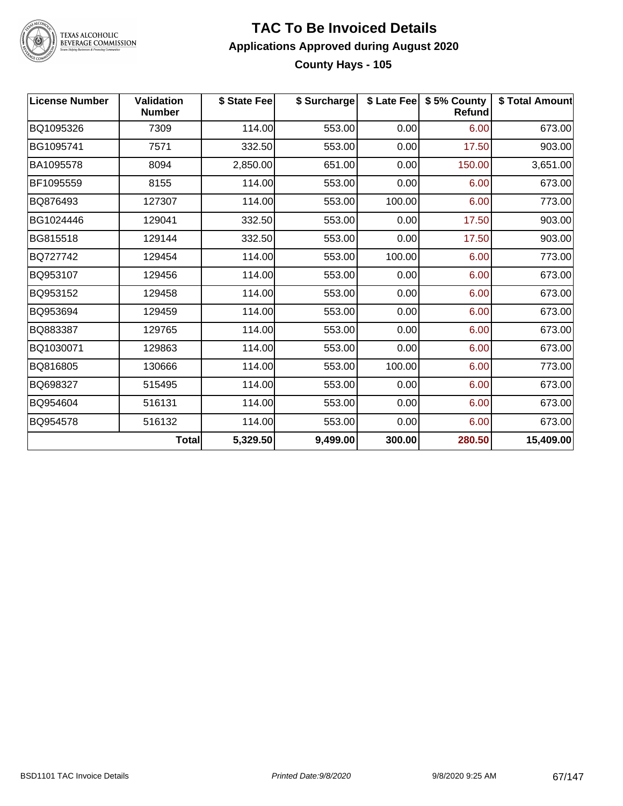

### **TAC To Be Invoiced Details Applications Approved during August 2020 County Hays - 105**

| <b>License Number</b> | <b>Validation</b><br><b>Number</b> | \$ State Fee | \$ Surcharge |        | \$ Late Fee   \$5% County<br>Refund | \$ Total Amount |
|-----------------------|------------------------------------|--------------|--------------|--------|-------------------------------------|-----------------|
| BQ1095326             | 7309                               | 114.00       | 553.00       | 0.00   | 6.00                                | 673.00          |
| BG1095741             | 7571                               | 332.50       | 553.00       | 0.00   | 17.50                               | 903.00          |
| BA1095578             | 8094                               | 2,850.00     | 651.00       | 0.00   | 150.00                              | 3,651.00        |
| BF1095559             | 8155                               | 114.00       | 553.00       | 0.00   | 6.00                                | 673.00          |
| BQ876493              | 127307                             | 114.00       | 553.00       | 100.00 | 6.00                                | 773.00          |
| BG1024446             | 129041                             | 332.50       | 553.00       | 0.00   | 17.50                               | 903.00          |
| BG815518              | 129144                             | 332.50       | 553.00       | 0.00   | 17.50                               | 903.00          |
| BQ727742              | 129454                             | 114.00       | 553.00       | 100.00 | 6.00                                | 773.00          |
| BQ953107              | 129456                             | 114.00       | 553.00       | 0.00   | 6.00                                | 673.00          |
| BQ953152              | 129458                             | 114.00       | 553.00       | 0.00   | 6.00                                | 673.00          |
| BQ953694              | 129459                             | 114.00       | 553.00       | 0.00   | 6.00                                | 673.00          |
| BQ883387              | 129765                             | 114.00       | 553.00       | 0.00   | 6.00                                | 673.00          |
| BQ1030071             | 129863                             | 114.00       | 553.00       | 0.00   | 6.00                                | 673.00          |
| BQ816805              | 130666                             | 114.00       | 553.00       | 100.00 | 6.00                                | 773.00          |
| BQ698327              | 515495                             | 114.00       | 553.00       | 0.00   | 6.00                                | 673.00          |
| BQ954604              | 516131                             | 114.00       | 553.00       | 0.00   | 6.00                                | 673.00          |
| BQ954578              | 516132                             | 114.00       | 553.00       | 0.00   | 6.00                                | 673.00          |
|                       | Total                              | 5,329.50     | 9,499.00     | 300.00 | 280.50                              | 15,409.00       |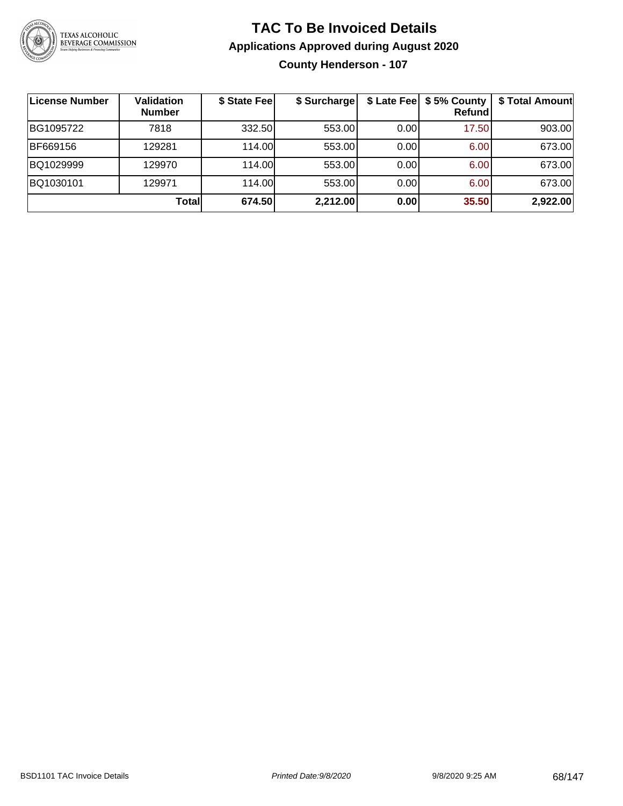

### **TAC To Be Invoiced Details Applications Approved during August 2020 County Henderson - 107**

| License Number | <b>Validation</b><br><b>Number</b> | \$ State Fee | \$ Surcharge | \$ Late Fee | \$5% County<br><b>Refund</b> | \$ Total Amount |
|----------------|------------------------------------|--------------|--------------|-------------|------------------------------|-----------------|
| BG1095722      | 7818                               | 332.50       | 553.00       | 0.00        | 17.50                        | 903.00          |
| BF669156       | 129281                             | 114.00       | 553.00       | 0.00        | 6.00                         | 673.00          |
| BQ1029999      | 129970                             | 114.00       | 553.00       | 0.00        | 6.00                         | 673.00          |
| BQ1030101      | 129971                             | 114.00L      | 553.00       | 0.00        | 6.00                         | 673.00          |
|                | Total                              | 674.50       | 2,212.00     | 0.00        | 35.50                        | 2,922.00        |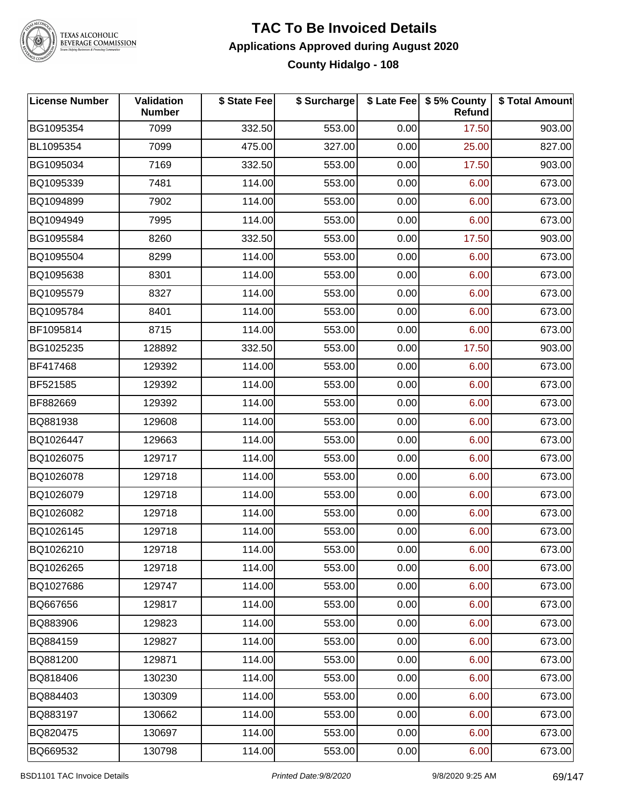

### **TAC To Be Invoiced Details Applications Approved during August 2020 County Hidalgo - 108**

| <b>License Number</b> | Validation<br><b>Number</b> | \$ State Fee | \$ Surcharge |      | \$ Late Fee   \$5% County<br>Refund | \$ Total Amount |
|-----------------------|-----------------------------|--------------|--------------|------|-------------------------------------|-----------------|
| BG1095354             | 7099                        | 332.50       | 553.00       | 0.00 | 17.50                               | 903.00          |
| BL1095354             | 7099                        | 475.00       | 327.00       | 0.00 | 25.00                               | 827.00          |
| BG1095034             | 7169                        | 332.50       | 553.00       | 0.00 | 17.50                               | 903.00          |
| BQ1095339             | 7481                        | 114.00       | 553.00       | 0.00 | 6.00                                | 673.00          |
| BQ1094899             | 7902                        | 114.00       | 553.00       | 0.00 | 6.00                                | 673.00          |
| BQ1094949             | 7995                        | 114.00       | 553.00       | 0.00 | 6.00                                | 673.00          |
| BG1095584             | 8260                        | 332.50       | 553.00       | 0.00 | 17.50                               | 903.00          |
| BQ1095504             | 8299                        | 114.00       | 553.00       | 0.00 | 6.00                                | 673.00          |
| BQ1095638             | 8301                        | 114.00       | 553.00       | 0.00 | 6.00                                | 673.00          |
| BQ1095579             | 8327                        | 114.00       | 553.00       | 0.00 | 6.00                                | 673.00          |
| BQ1095784             | 8401                        | 114.00       | 553.00       | 0.00 | 6.00                                | 673.00          |
| BF1095814             | 8715                        | 114.00       | 553.00       | 0.00 | 6.00                                | 673.00          |
| BG1025235             | 128892                      | 332.50       | 553.00       | 0.00 | 17.50                               | 903.00          |
| BF417468              | 129392                      | 114.00       | 553.00       | 0.00 | 6.00                                | 673.00          |
| BF521585              | 129392                      | 114.00       | 553.00       | 0.00 | 6.00                                | 673.00          |
| BF882669              | 129392                      | 114.00       | 553.00       | 0.00 | 6.00                                | 673.00          |
| BQ881938              | 129608                      | 114.00       | 553.00       | 0.00 | 6.00                                | 673.00          |
| BQ1026447             | 129663                      | 114.00       | 553.00       | 0.00 | 6.00                                | 673.00          |
| BQ1026075             | 129717                      | 114.00       | 553.00       | 0.00 | 6.00                                | 673.00          |
| BQ1026078             | 129718                      | 114.00       | 553.00       | 0.00 | 6.00                                | 673.00          |
| BQ1026079             | 129718                      | 114.00       | 553.00       | 0.00 | 6.00                                | 673.00          |
| BQ1026082             | 129718                      | 114.00       | 553.00       | 0.00 | 6.00                                | 673.00          |
| BQ1026145             | 129718                      | 114.00       | 553.00       | 0.00 | 6.00                                | 673.00          |
| BQ1026210             | 129718                      | 114.00       | 553.00       | 0.00 | 6.00                                | 673.00          |
| BQ1026265             | 129718                      | 114.00       | 553.00       | 0.00 | 6.00                                | 673.00          |
| BQ1027686             | 129747                      | 114.00       | 553.00       | 0.00 | 6.00                                | 673.00          |
| BQ667656              | 129817                      | 114.00       | 553.00       | 0.00 | 6.00                                | 673.00          |
| BQ883906              | 129823                      | 114.00       | 553.00       | 0.00 | 6.00                                | 673.00          |
| BQ884159              | 129827                      | 114.00       | 553.00       | 0.00 | 6.00                                | 673.00          |
| BQ881200              | 129871                      | 114.00       | 553.00       | 0.00 | 6.00                                | 673.00          |
| BQ818406              | 130230                      | 114.00       | 553.00       | 0.00 | 6.00                                | 673.00          |
| BQ884403              | 130309                      | 114.00       | 553.00       | 0.00 | 6.00                                | 673.00          |
| BQ883197              | 130662                      | 114.00       | 553.00       | 0.00 | 6.00                                | 673.00          |
| BQ820475              | 130697                      | 114.00       | 553.00       | 0.00 | 6.00                                | 673.00          |
| BQ669532              | 130798                      | 114.00       | 553.00       | 0.00 | 6.00                                | 673.00          |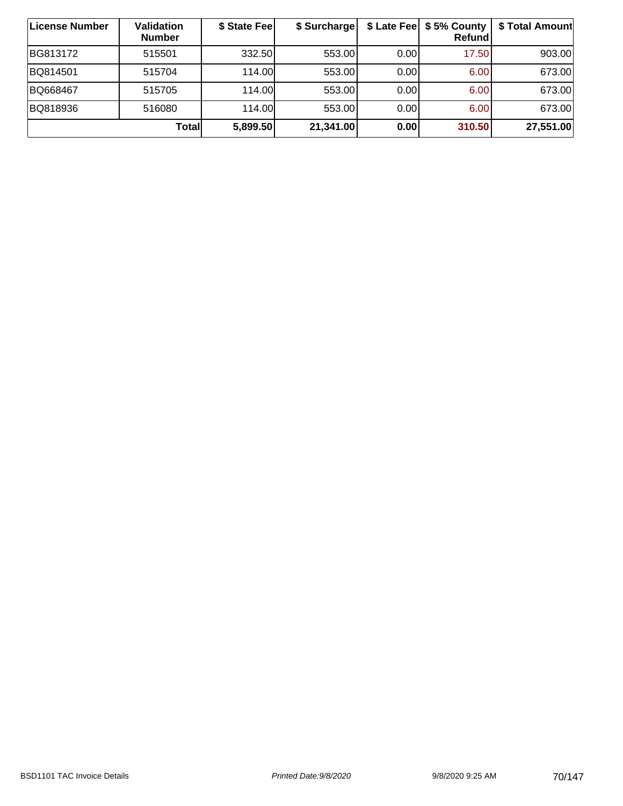| License Number | <b>Validation</b><br><b>Number</b> | \$ State Fee | \$ Surcharge |      | \$ Late Fee   \$5% County  <br>Refundl | \$ Total Amount |
|----------------|------------------------------------|--------------|--------------|------|----------------------------------------|-----------------|
| BG813172       | 515501                             | 332.50       | 553.00       | 0.00 | 17.50                                  | 903.00          |
| BQ814501       | 515704                             | 114.00       | 553.00       | 0.00 | 6.00                                   | 673.00          |
| BQ668467       | 515705                             | 114.00       | 553.00       | 0.00 | 6.00                                   | 673.00          |
| BQ818936       | 516080                             | 114.00       | 553.00       | 0.00 | 6.00                                   | 673.00          |
|                | Totall                             | 5,899.50     | 21,341.00    | 0.00 | 310.50                                 | 27,551.00       |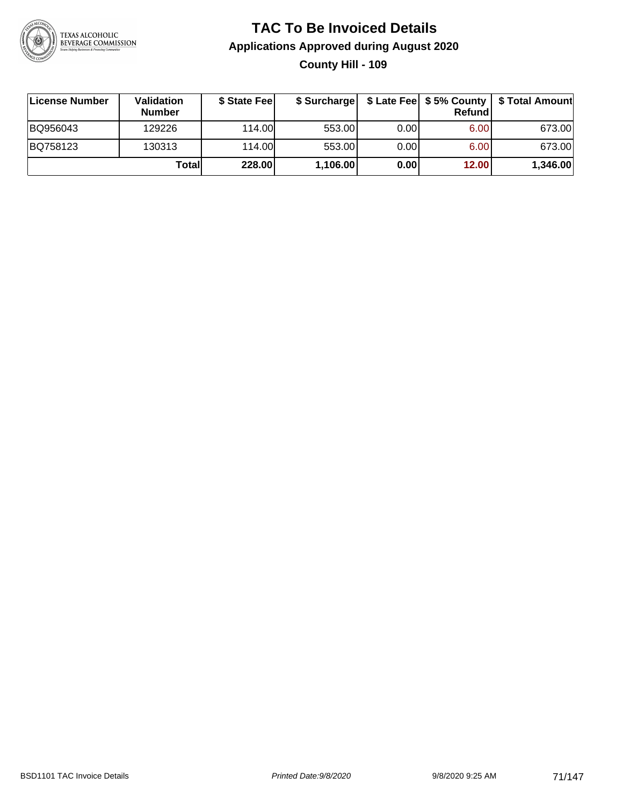

### **TAC To Be Invoiced Details Applications Approved during August 2020 County Hill - 109**

| <b>∣License Number</b> | <b>Validation</b><br><b>Number</b> | \$ State Feel |          |       | <b>Refund</b> | \$ Surcharge   \$ Late Fee   \$5% County   \$ Total Amount |
|------------------------|------------------------------------|---------------|----------|-------|---------------|------------------------------------------------------------|
| BQ956043               | 129226                             | 114.00        | 553.00   | 0.001 | 6.00          | 673.00                                                     |
| BQ758123               | 130313                             | 114.00        | 553.00   | 0.00  | 6.00          | 673.00                                                     |
|                        | Totall                             | 228.00        | 1,106.00 | 0.00  | 12.00         | 1,346.00                                                   |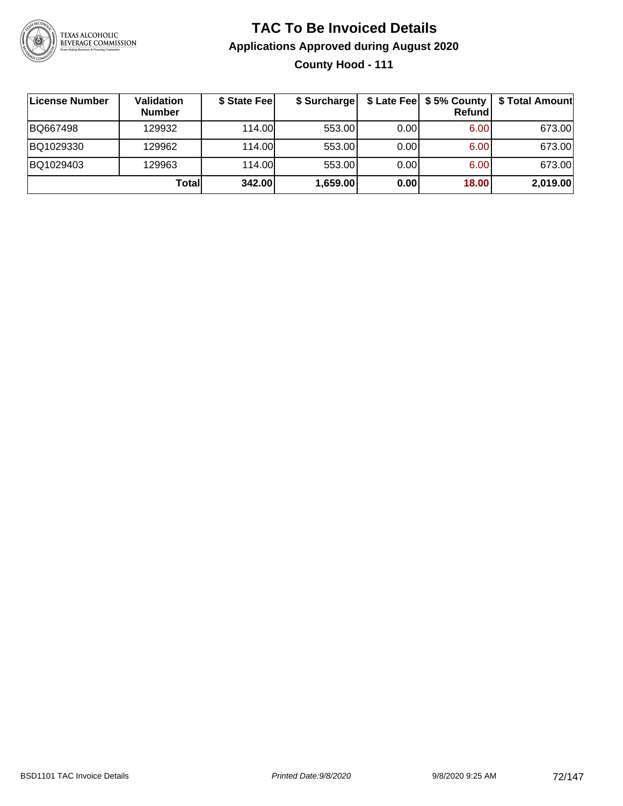

### **TAC To Be Invoiced Details Applications Approved during August 2020 County Hood - 111**

| License Number | Validation<br><b>Number</b> | \$ State Fee | \$ Surcharge |      | \$ Late Fee   \$5% County  <br><b>Refund</b> | \$ Total Amount |
|----------------|-----------------------------|--------------|--------------|------|----------------------------------------------|-----------------|
| BQ667498       | 129932                      | 114.00       | 553.00       | 0.00 | 6.00                                         | 673.00          |
| BQ1029330      | 129962                      | 114.00       | 553.00       | 0.00 | 6.00                                         | 673.00          |
| BQ1029403      | 129963                      | 114.00L      | 553.00       | 0.00 | 6.00                                         | 673.00          |
|                | Totall                      | 342.00       | 1,659.00     | 0.00 | 18.00                                        | 2,019.00        |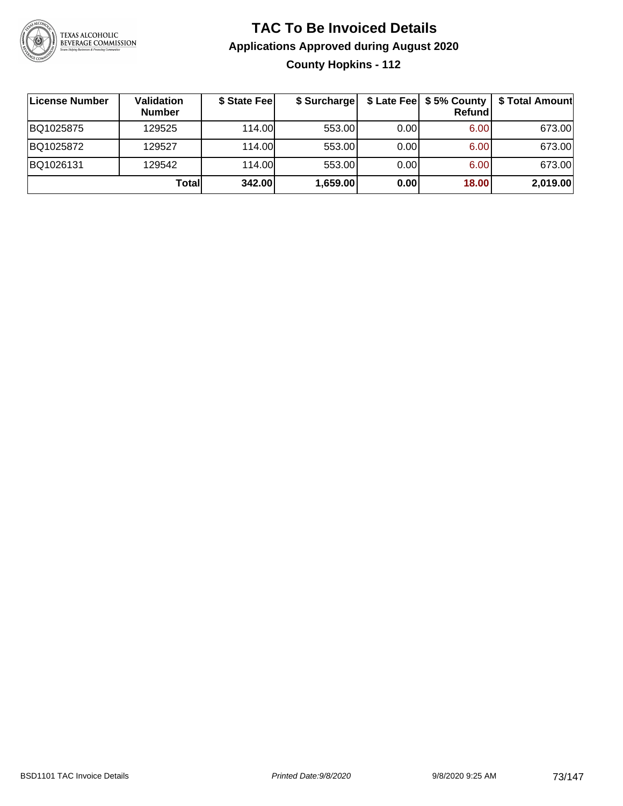

# **TAC To Be Invoiced Details Applications Approved during August 2020 County Hopkins - 112**

| ∣License Number | Validation<br><b>Number</b> | \$ State Fee | \$ Surcharge |      | \$ Late Fee   \$5% County<br>Refundl | \$ Total Amount |
|-----------------|-----------------------------|--------------|--------------|------|--------------------------------------|-----------------|
| BQ1025875       | 129525                      | 114.00L      | 553.00       | 0.00 | 6.00                                 | 673.00          |
| BQ1025872       | 129527                      | 114.00       | 553.00       | 0.00 | 6.00                                 | 673.00          |
| BQ1026131       | 129542                      | 114.00       | 553.00       | 0.00 | 6.00                                 | 673.00          |
|                 | Totall                      | 342.00       | 1,659.00     | 0.00 | 18.00                                | 2,019.00        |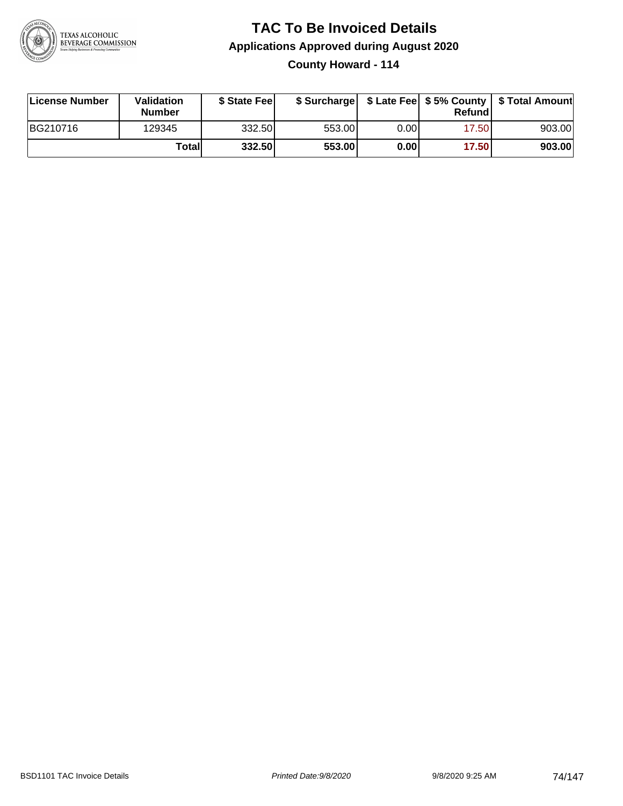

**County Howard - 114**

| License Number | <b>Validation</b><br><b>Number</b> | \$ State Feel |        |      | Refundl | \$ Surcharge   \$ Late Fee   \$5% County   \$ Total Amount |
|----------------|------------------------------------|---------------|--------|------|---------|------------------------------------------------------------|
| BG210716       | 129345                             | 332.50        | 553.00 | 0.00 | 17.50   | 903.00                                                     |
|                | Totall                             | 332.50        | 553.00 | 0.00 | 17.50   | 903.00                                                     |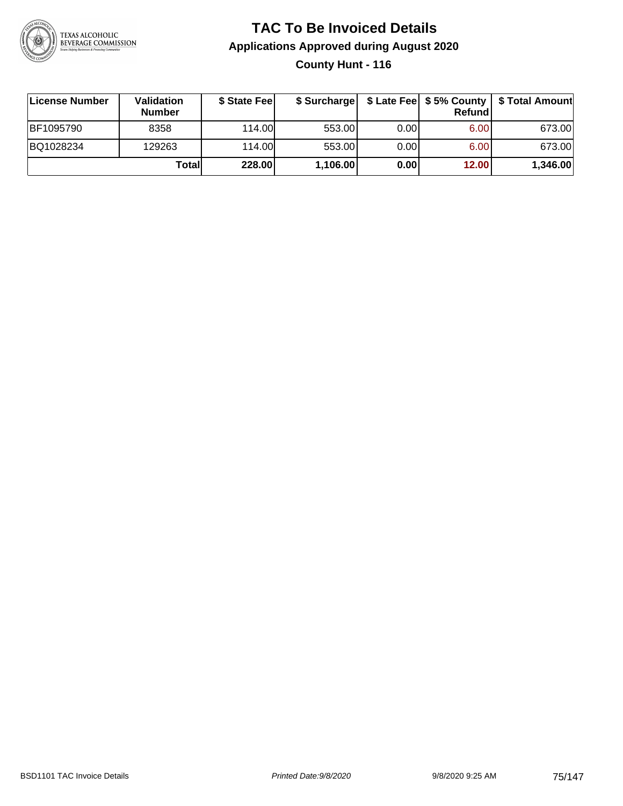

# **TAC To Be Invoiced Details Applications Approved during August 2020 County Hunt - 116**

| License Number | <b>Validation</b><br><b>Number</b> | \$ State Feel |          |       | <b>Refund</b> | \$ Surcharge   \$ Late Fee   \$5% County   \$ Total Amount |
|----------------|------------------------------------|---------------|----------|-------|---------------|------------------------------------------------------------|
| BF1095790      | 8358                               | 114.00L       | 553.00   | 0.001 | 6.00          | 673.00                                                     |
| BQ1028234      | 129263                             | 114.00L       | 553.00   | 0.001 | 6.00          | 673.00                                                     |
|                | Totall                             | 228.00        | 1,106.00 | 0.00  | 12.00         | 1,346.00                                                   |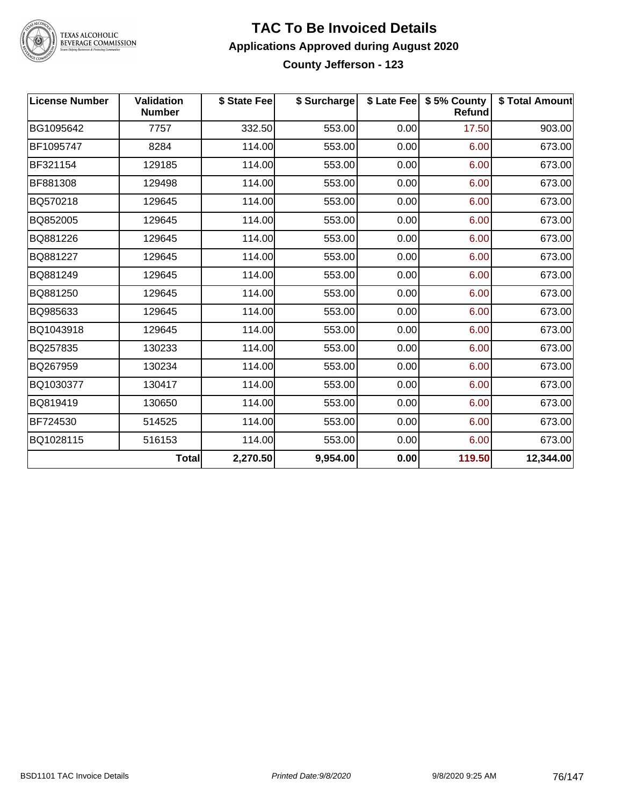

TEXAS ALCOHOLIC<br>BEVERAGE COMMISSION

### **TAC To Be Invoiced Details Applications Approved during August 2020 County Jefferson - 123**

| <b>License Number</b> | <b>Validation</b><br><b>Number</b> | \$ State Fee | \$ Surcharge |      | \$ Late Fee   \$5% County<br><b>Refund</b> | \$ Total Amount |
|-----------------------|------------------------------------|--------------|--------------|------|--------------------------------------------|-----------------|
| BG1095642             | 7757                               | 332.50       | 553.00       | 0.00 | 17.50                                      | 903.00          |
| BF1095747             | 8284                               | 114.00       | 553.00       | 0.00 | 6.00                                       | 673.00          |
| BF321154              | 129185                             | 114.00       | 553.00       | 0.00 | 6.00                                       | 673.00          |
| BF881308              | 129498                             | 114.00       | 553.00       | 0.00 | 6.00                                       | 673.00          |
| BQ570218              | 129645                             | 114.00       | 553.00       | 0.00 | 6.00                                       | 673.00          |
| BQ852005              | 129645                             | 114.00       | 553.00       | 0.00 | 6.00                                       | 673.00          |
| BQ881226              | 129645                             | 114.00       | 553.00       | 0.00 | 6.00                                       | 673.00          |
| BQ881227              | 129645                             | 114.00       | 553.00       | 0.00 | 6.00                                       | 673.00          |
| BQ881249              | 129645                             | 114.00       | 553.00       | 0.00 | 6.00                                       | 673.00          |
| BQ881250              | 129645                             | 114.00       | 553.00       | 0.00 | 6.00                                       | 673.00          |
| BQ985633              | 129645                             | 114.00       | 553.00       | 0.00 | 6.00                                       | 673.00          |
| BQ1043918             | 129645                             | 114.00       | 553.00       | 0.00 | 6.00                                       | 673.00          |
| BQ257835              | 130233                             | 114.00       | 553.00       | 0.00 | 6.00                                       | 673.00          |
| BQ267959              | 130234                             | 114.00       | 553.00       | 0.00 | 6.00                                       | 673.00          |
| BQ1030377             | 130417                             | 114.00       | 553.00       | 0.00 | 6.00                                       | 673.00          |
| BQ819419              | 130650                             | 114.00       | 553.00       | 0.00 | 6.00                                       | 673.00          |
| BF724530              | 514525                             | 114.00       | 553.00       | 0.00 | 6.00                                       | 673.00          |
| BQ1028115             | 516153                             | 114.00       | 553.00       | 0.00 | 6.00                                       | 673.00          |
|                       | <b>Total</b>                       | 2,270.50     | 9,954.00     | 0.00 | 119.50                                     | 12,344.00       |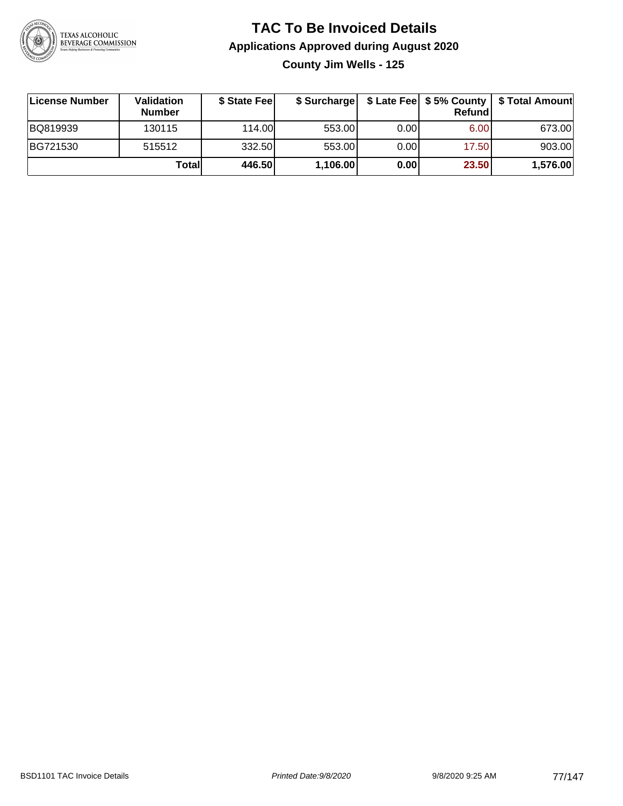

**County Jim Wells - 125**

| License Number | Validation<br><b>Number</b> | \$ State Fee | \$ Surcharge |       | Refundl           | \$ Late Fee   \$5% County   \$ Total Amount |
|----------------|-----------------------------|--------------|--------------|-------|-------------------|---------------------------------------------|
| BQ819939       | 130115                      | 114.00L      | 553.00       | 0.00  | 6.00 <sub>1</sub> | 673.00                                      |
| BG721530       | 515512                      | 332.50       | 553.00       | 0.001 | 17.50             | 903.00                                      |
|                | Totall                      | 446.50       | 1,106.00     | 0.00  | 23.50             | 1,576.00                                    |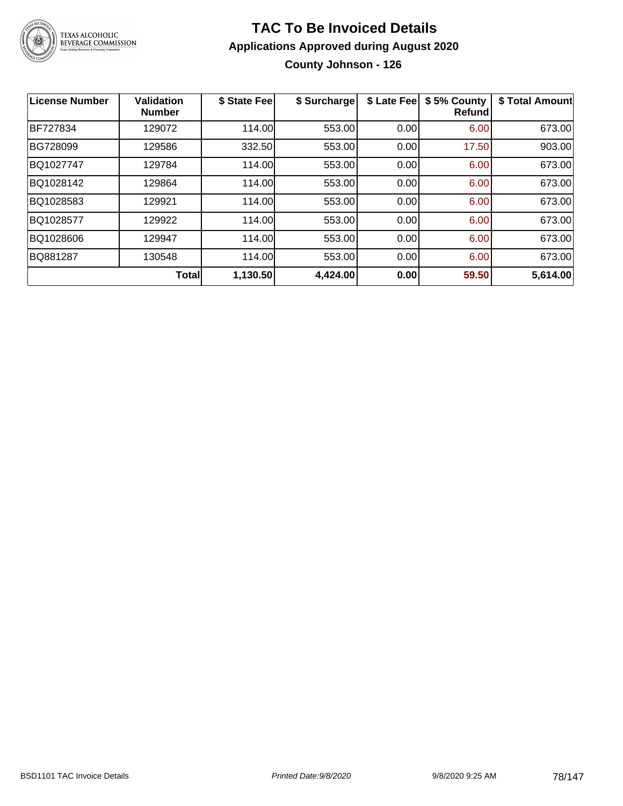

**County Johnson - 126**

| <b>License Number</b> | <b>Validation</b><br><b>Number</b> | \$ State Fee | \$ Surcharge | \$ Late Fee | \$5% County<br>Refundl | \$ Total Amount |
|-----------------------|------------------------------------|--------------|--------------|-------------|------------------------|-----------------|
| <b>BF727834</b>       | 129072                             | 114.00       | 553.00       | 0.00        | 6.00                   | 673.00          |
| BG728099              | 129586                             | 332.50       | 553.00       | 0.00        | 17.50                  | 903.00          |
| BQ1027747             | 129784                             | 114.00       | 553.00       | 0.00        | 6.00                   | 673.00          |
| BQ1028142             | 129864                             | 114.00       | 553.00       | 0.00        | 6.00                   | 673.00          |
| BQ1028583             | 129921                             | 114.00       | 553.00       | 0.00        | 6.00                   | 673.00          |
| BQ1028577             | 129922                             | 114.00       | 553.00       | 0.00        | 6.00                   | 673.00          |
| BQ1028606             | 129947                             | 114.00       | 553.00       | 0.00        | 6.00                   | 673.00          |
| BQ881287              | 130548                             | 114.00       | 553.00       | 0.00        | 6.00                   | 673.00          |
|                       | <b>Total</b>                       | 1,130.50     | 4,424.00     | 0.00        | 59.50                  | 5,614.00        |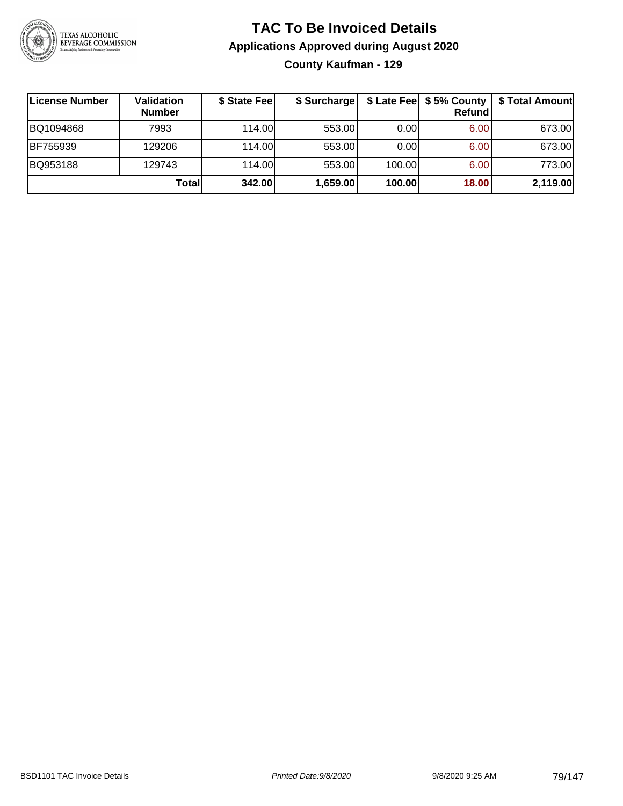

# **TAC To Be Invoiced Details Applications Approved during August 2020 County Kaufman - 129**

| License Number | Validation<br><b>Number</b> | \$ State Fee | \$ Surcharge |        | $$$ Late Fee $$5%$ County<br><b>Refund</b> | \$ Total Amount |
|----------------|-----------------------------|--------------|--------------|--------|--------------------------------------------|-----------------|
| BQ1094868      | 7993                        | 114.00L      | 553.00       | 0.00   | 6.00                                       | 673.00          |
| BF755939       | 129206                      | 114.00L      | 553.00       | 0.00   | 6.00                                       | 673.00          |
| BQ953188       | 129743                      | 114.00L      | 553.00       | 100.00 | 6.00                                       | 773.00          |
|                | Totall                      | 342.00       | 1,659.00     | 100.00 | 18.00                                      | 2,119.00        |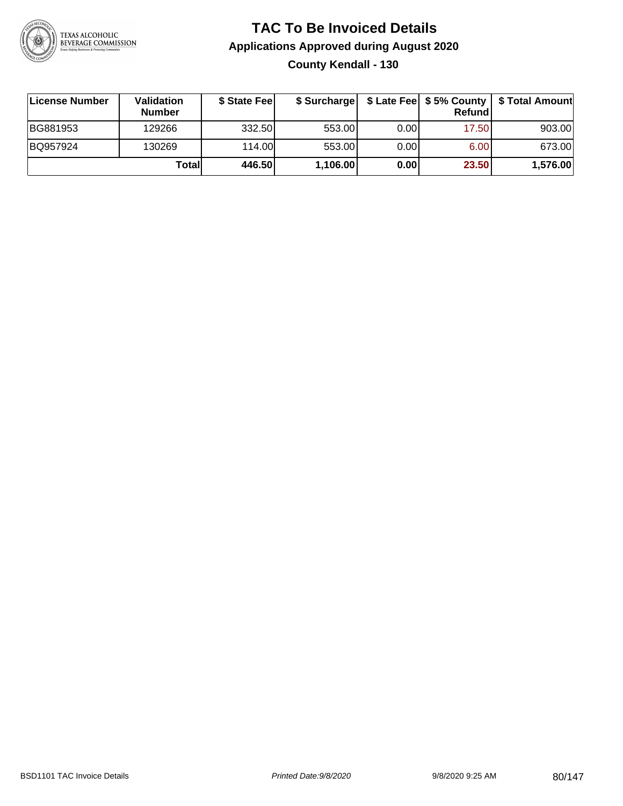

# **TAC To Be Invoiced Details Applications Approved during August 2020 County Kendall - 130**

| License Number | Validation<br><b>Number</b> | \$ State Fee |          |       | Refundl | \$ Surcharge   \$ Late Fee   \$5% County   \$ Total Amount |
|----------------|-----------------------------|--------------|----------|-------|---------|------------------------------------------------------------|
| BG881953       | 129266                      | 332.50       | 553.00   | 0.001 | 17.50   | 903.00                                                     |
| BQ957924       | 130269                      | 114.00       | 553.00   | 0.00  | 6.00    | 673.00                                                     |
|                | Totall                      | 446.50       | 1,106.00 | 0.00  | 23.50   | 1,576.00                                                   |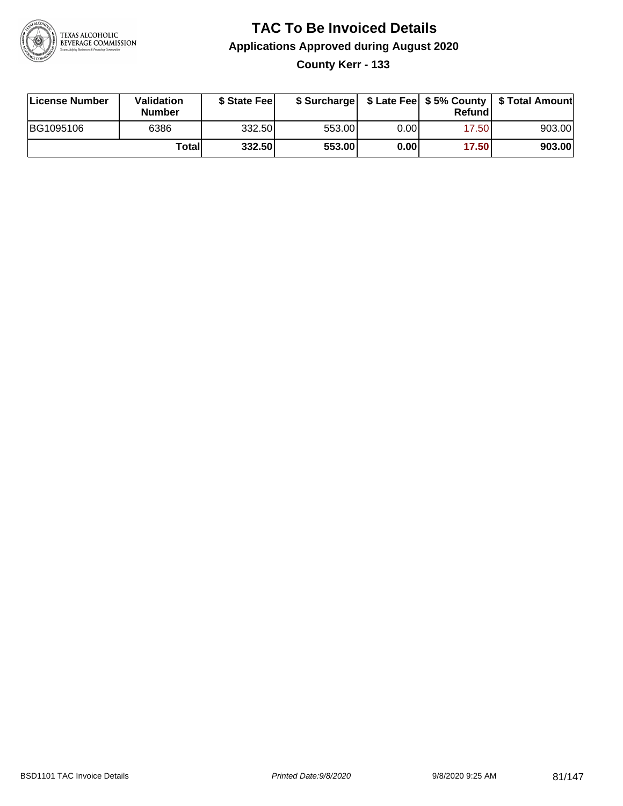

**County Kerr - 133**

| License Number | <b>Validation</b><br><b>Number</b> | \$ State Fee | \$ Surcharge |       | <b>Refund</b> |        |
|----------------|------------------------------------|--------------|--------------|-------|---------------|--------|
| BG1095106      | 6386                               | 332.50       | 553.00       | 0.001 | 17.50         | 903.00 |
|                | Totall                             | 332.50       | 553.00       | 0.001 | 17.50         | 903.00 |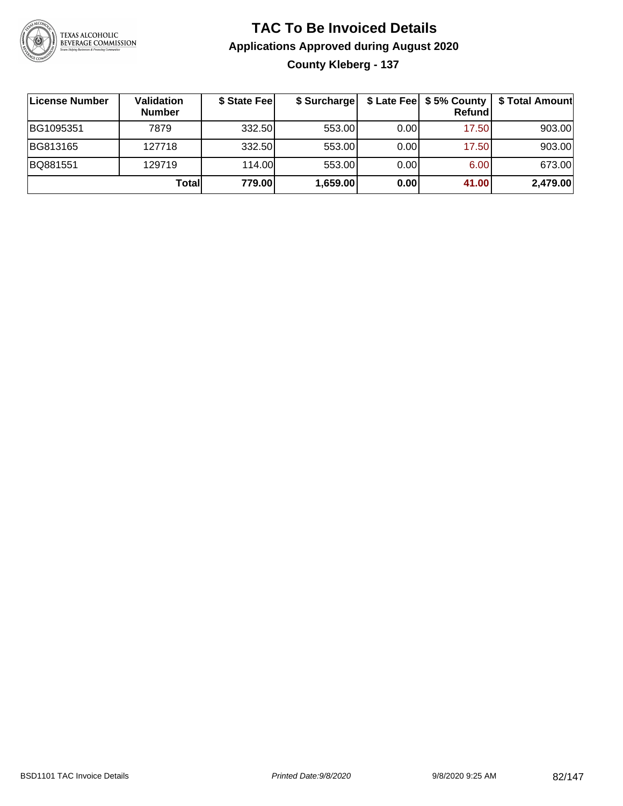

# **TAC To Be Invoiced Details Applications Approved during August 2020 County Kleberg - 137**

| License Number | <b>Validation</b><br><b>Number</b> | \$ State Fee | \$ Surcharge |       | \$ Late Fee   \$5% County  <br><b>Refund</b> | \$ Total Amount |
|----------------|------------------------------------|--------------|--------------|-------|----------------------------------------------|-----------------|
| BG1095351      | 7879                               | 332.50       | 553.00       | 0.001 | 17.50                                        | 903.00          |
| BG813165       | 127718                             | 332.50       | 553.00       | 0.001 | 17.50                                        | 903.00          |
| BQ881551       | 129719                             | 114.00       | 553.00       | 0.00  | 6.00                                         | 673.00          |
|                | Totall                             | 779.00       | 1,659.00     | 0.00  | 41.00                                        | 2,479.00        |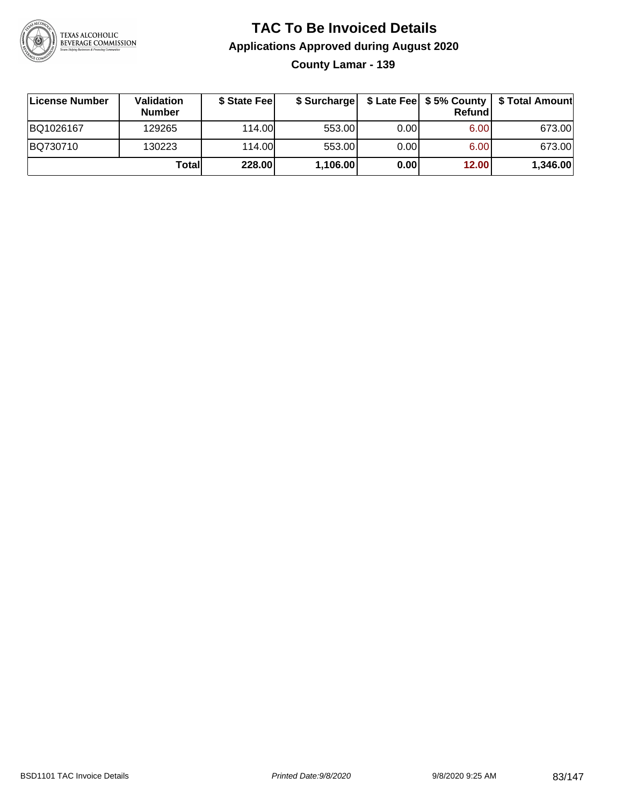

**County Lamar - 139**

| ∣License Number | Validation<br><b>Number</b> | \$ State Feel | \$ Surcharge |      | Refundl | \$ Late Fee   \$5% County   \$ Total Amount |
|-----------------|-----------------------------|---------------|--------------|------|---------|---------------------------------------------|
| BQ1026167       | 129265                      | 114.00L       | 553.00       | 0.00 | 6.00    | 673.00                                      |
| BQ730710        | 130223                      | 114.00L       | 553.00       | 0.00 | 6.00    | 673.00                                      |
|                 | Totall                      | 228.00        | 1,106.00     | 0.00 | 12.00   | 1,346.00                                    |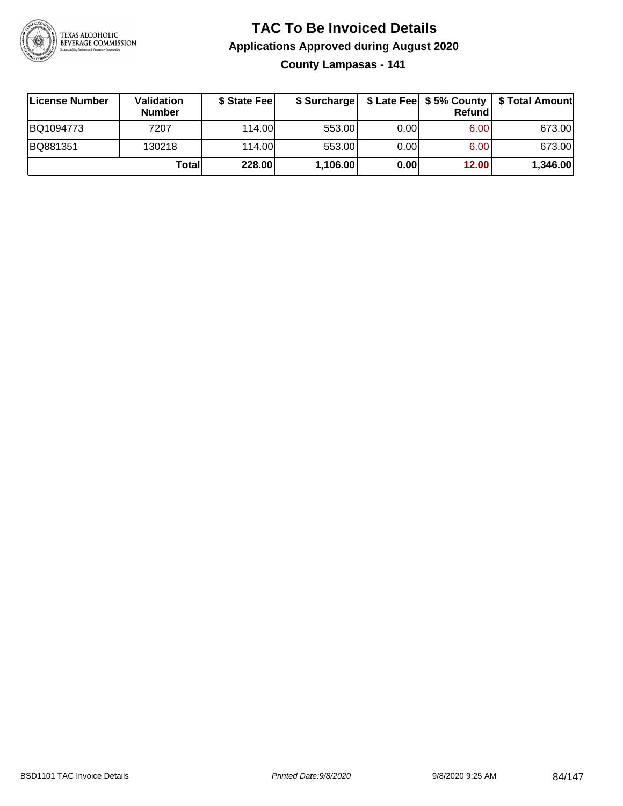

**County Lampasas - 141**

| License Number | Validation<br><b>Number</b> | \$ State Fee |          |       | <b>Refund</b> | \$ Surcharge   \$ Late Fee   \$5% County   \$ Total Amount |
|----------------|-----------------------------|--------------|----------|-------|---------------|------------------------------------------------------------|
| BQ1094773      | 7207                        | 114.00L      | 553.00   | 0.001 | 6.00          | 673.00                                                     |
| BQ881351       | 130218                      | 114.00L      | 553.00   | 0.00  | 6.00          | 673.00                                                     |
|                | Totall                      | 228.00       | 1,106.00 | 0.00  | 12.00         | 1,346.00                                                   |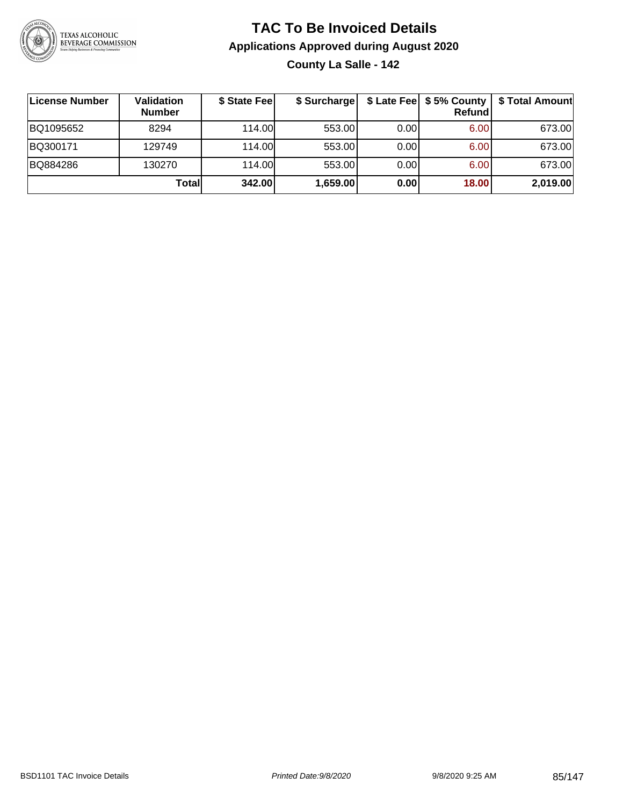

# **TAC To Be Invoiced Details Applications Approved during August 2020 County La Salle - 142**

| License Number | Validation<br><b>Number</b> | \$ State Feel | \$ Surcharge |      | \$ Late Fee   \$5% County  <br>Refund | \$ Total Amount |
|----------------|-----------------------------|---------------|--------------|------|---------------------------------------|-----------------|
| BQ1095652      | 8294                        | 114.00L       | 553.00       | 0.00 | 6.00                                  | 673.00          |
| BQ300171       | 129749                      | 114.00L       | 553.00       | 0.00 | 6.00                                  | 673.00          |
| BQ884286       | 130270                      | 114.00L       | 553.00       | 0.00 | 6.00                                  | 673.00          |
|                | Totall                      | 342.00        | 1,659.00     | 0.00 | 18.00                                 | 2,019.00        |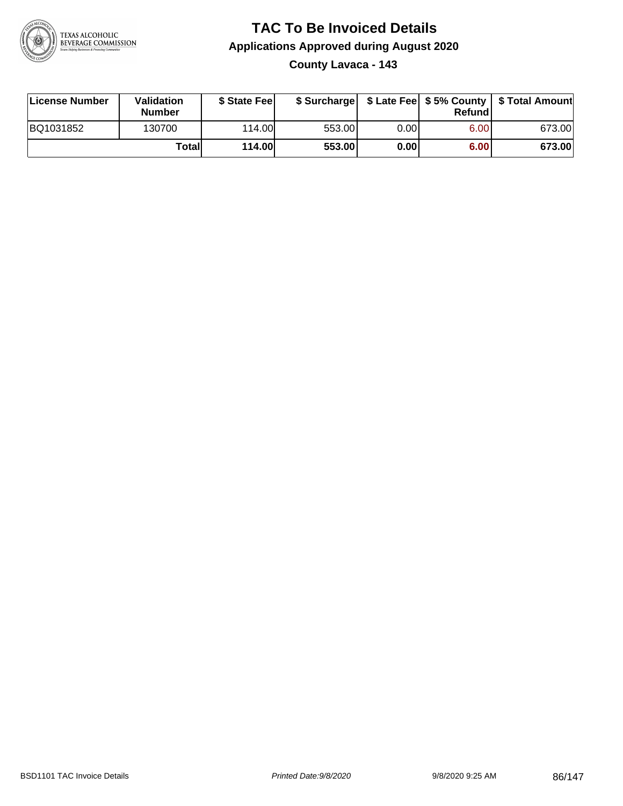

# **TAC To Be Invoiced Details Applications Approved during August 2020 County Lavaca - 143**

| License Number | <b>Validation</b><br><b>Number</b> | \$ State Feel |        |      | Refund | \$ Surcharge   \$ Late Fee   \$5% County   \$ Total Amount |
|----------------|------------------------------------|---------------|--------|------|--------|------------------------------------------------------------|
| BQ1031852      | 130700                             | 114.00        | 553.00 | 0.00 | 6.00   | 673.00                                                     |
|                | Totall                             | 114.00        | 553.00 | 0.00 | 6.00   | 673.00                                                     |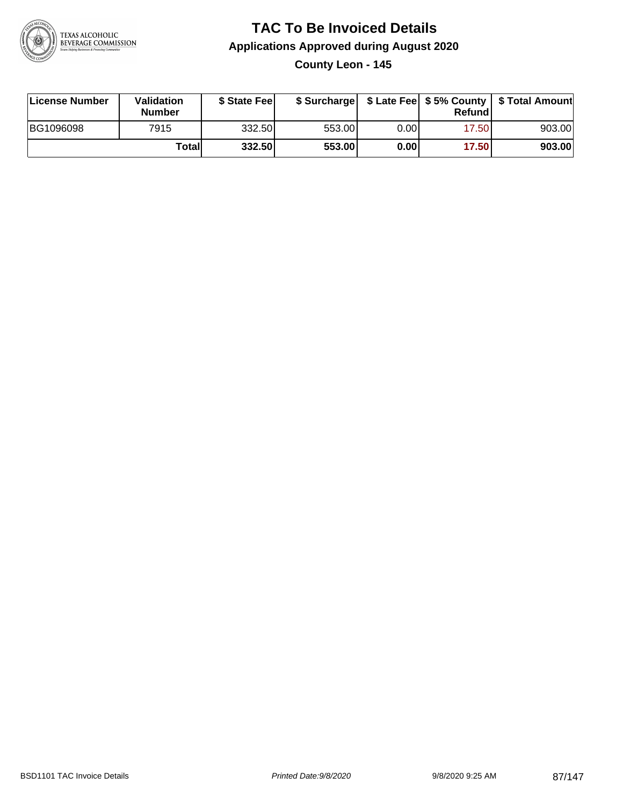

# **TAC To Be Invoiced Details Applications Approved during August 2020 County Leon - 145**

| License Number | <b>Validation</b><br><b>Number</b> | \$ State Feel |        |      | Refundl | \$ Surcharge   \$ Late Fee   \$5% County   \$ Total Amount |
|----------------|------------------------------------|---------------|--------|------|---------|------------------------------------------------------------|
| BG1096098      | 7915                               | 332.50        | 553.00 | 0.00 | 17.50   | 903.00                                                     |
|                | Totall                             | 332.50        | 553.00 | 0.00 | 17.50   | 903.00                                                     |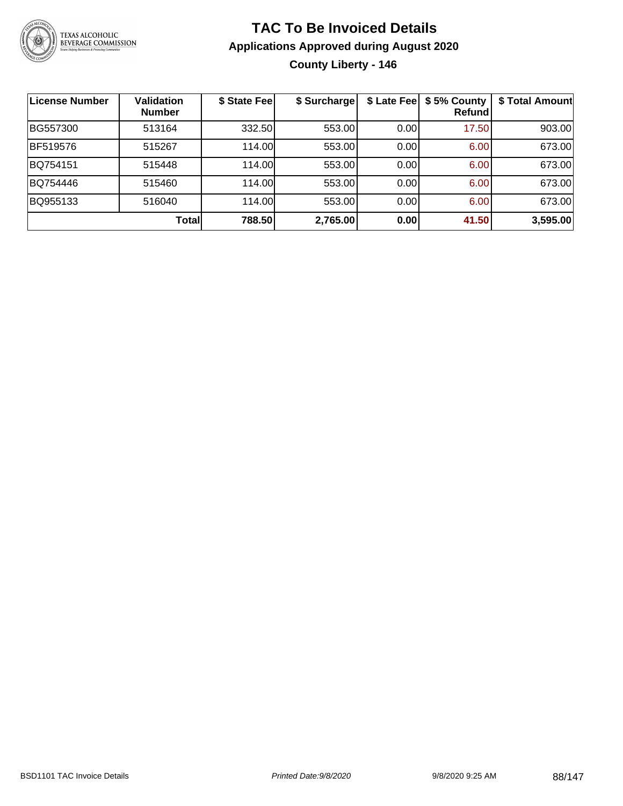

# **TAC To Be Invoiced Details Applications Approved during August 2020 County Liberty - 146**

| License Number | <b>Validation</b><br><b>Number</b> | \$ State Fee | \$ Surcharge |      | \$ Late Fee   \$5% County<br>Refundl | \$ Total Amount |
|----------------|------------------------------------|--------------|--------------|------|--------------------------------------|-----------------|
| BG557300       | 513164                             | 332.50       | 553.00       | 0.00 | 17.50                                | 903.00          |
| BF519576       | 515267                             | 114.00       | 553.00       | 0.00 | 6.00                                 | 673.00          |
| BQ754151       | 515448                             | 114.00       | 553.00       | 0.00 | 6.00                                 | 673.00          |
| BQ754446       | 515460                             | 114.00       | 553.00       | 0.00 | 6.00                                 | 673.00          |
| BQ955133       | 516040                             | 114.00       | 553.00       | 0.00 | 6.00                                 | 673.00          |
|                | Total                              | 788.50       | 2,765.00     | 0.00 | 41.50                                | 3,595.00        |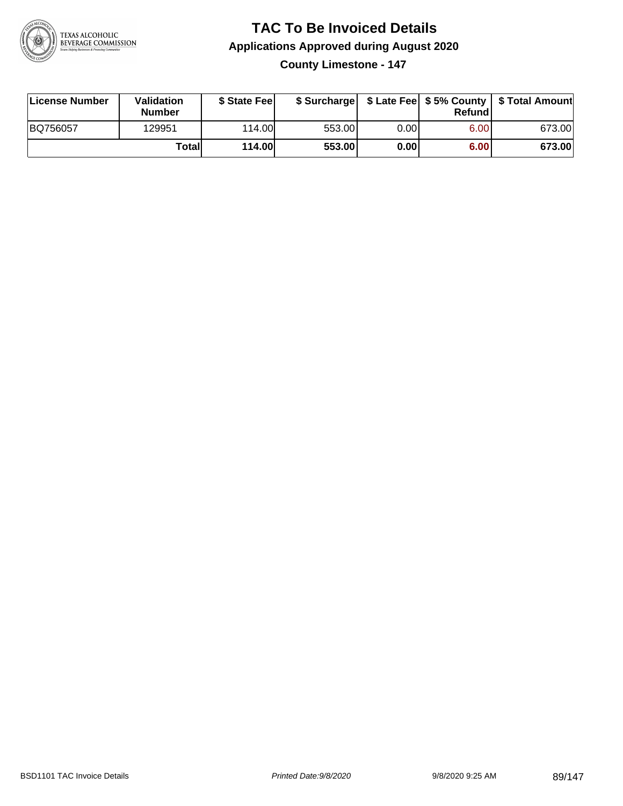

**County Limestone - 147**

| License Number | Validation<br><b>Number</b> | \$ State Fee  | \$ Surcharge |       | Refundl | \$ Late Fee   \$5% County   \$ Total Amount |
|----------------|-----------------------------|---------------|--------------|-------|---------|---------------------------------------------|
| BQ756057       | 129951                      | 114.00L       | 553.00       | 0.001 | 6.00    | 673.00                                      |
|                | Totall                      | <b>114.00</b> | 553.00       | 0.00  | 6.00    | 673.00                                      |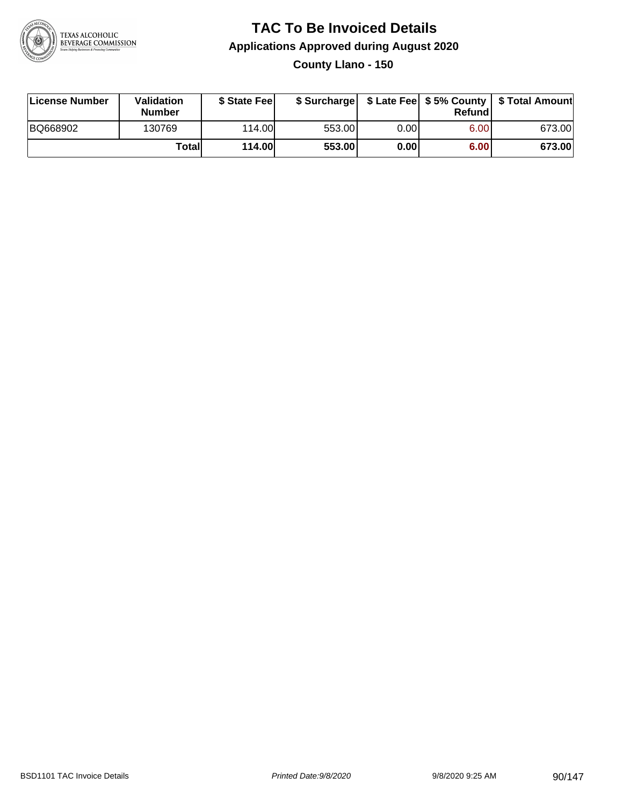

**County Llano - 150**

| License Number | Validation<br><b>Number</b> | \$ State Feel |        |      | Refundl | \$ Surcharge   \$ Late Fee   \$5% County   \$ Total Amount |
|----------------|-----------------------------|---------------|--------|------|---------|------------------------------------------------------------|
| BQ668902       | 130769                      | 114.00        | 553.00 | 0.00 | 6.00    | 673.00                                                     |
|                | Totall                      | <b>114.00</b> | 553.00 | 0.00 | 6.00    | 673.00                                                     |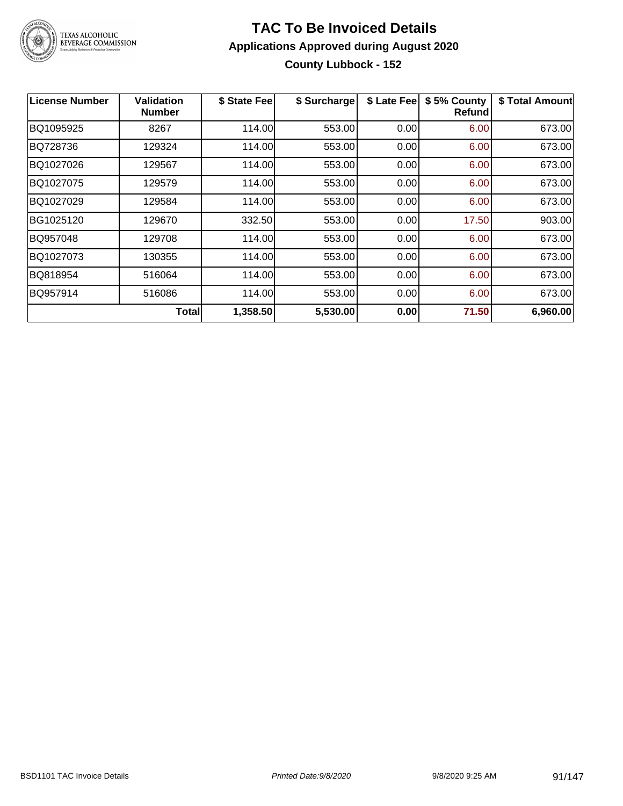

# **TAC To Be Invoiced Details Applications Approved during August 2020 County Lubbock - 152**

| <b>License Number</b> | Validation<br><b>Number</b> | \$ State Fee | \$ Surcharge | \$ Late Fee | \$5% County<br>Refundl | \$ Total Amount |
|-----------------------|-----------------------------|--------------|--------------|-------------|------------------------|-----------------|
| BQ1095925             | 8267                        | 114.00       | 553.00       | 0.00        | 6.00                   | 673.00          |
| BQ728736              | 129324                      | 114.00       | 553.00       | 0.00        | 6.00                   | 673.00          |
| BQ1027026             | 129567                      | 114.00       | 553.00       | 0.00        | 6.00                   | 673.00          |
| BQ1027075             | 129579                      | 114.00       | 553.00       | 0.00        | 6.00                   | 673.00          |
| BQ1027029             | 129584                      | 114.00       | 553.00       | 0.00        | 6.00                   | 673.00          |
| BG1025120             | 129670                      | 332.50       | 553.00       | 0.00        | 17.50                  | 903.00          |
| BQ957048              | 129708                      | 114.00       | 553.00       | 0.00        | 6.00                   | 673.00          |
| BQ1027073             | 130355                      | 114.00       | 553.00       | 0.00        | 6.00                   | 673.00          |
| BQ818954              | 516064                      | 114.00       | 553.00       | 0.00        | 6.00                   | 673.00          |
| BQ957914              | 516086                      | 114.00       | 553.00       | 0.00        | 6.00                   | 673.00          |
|                       | <b>Total</b>                | 1,358.50     | 5,530.00     | 0.00        | 71.50                  | 6,960.00        |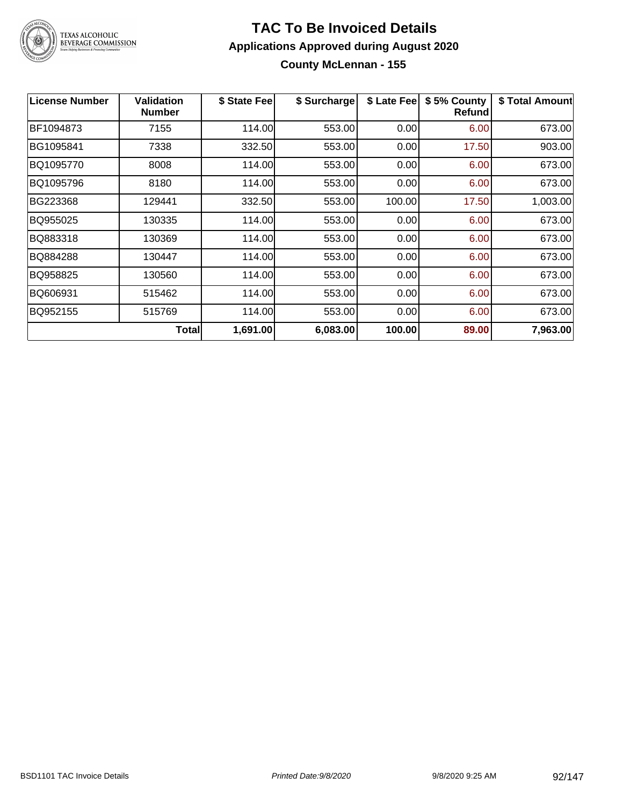

# TEXAS ALCOHOLIC<br>BEVERAGE COMMISSION

#### **TAC To Be Invoiced Details Applications Approved during August 2020 County McLennan - 155**

| <b>License Number</b> | <b>Validation</b><br><b>Number</b> | \$ State Fee | \$ Surcharge | \$ Late Fee | \$5% County<br>Refund | \$ Total Amount |
|-----------------------|------------------------------------|--------------|--------------|-------------|-----------------------|-----------------|
| BF1094873             | 7155                               | 114.00       | 553.00       | 0.00        | 6.00                  | 673.00          |
| BG1095841             | 7338                               | 332.50       | 553.00       | 0.00        | 17.50                 | 903.00          |
| BQ1095770             | 8008                               | 114.00       | 553.00       | 0.00        | 6.00                  | 673.00          |
| BQ1095796             | 8180                               | 114.00       | 553.00       | 0.00        | 6.00                  | 673.00          |
| BG223368              | 129441                             | 332.50       | 553.00       | 100.00      | 17.50                 | 1,003.00        |
| BQ955025              | 130335                             | 114.00       | 553.00       | 0.00        | 6.00                  | 673.00          |
| BQ883318              | 130369                             | 114.00       | 553.00       | 0.00        | 6.00                  | 673.00          |
| BQ884288              | 130447                             | 114.00       | 553.00       | 0.00        | 6.00                  | 673.00          |
| BQ958825              | 130560                             | 114.00       | 553.00       | 0.00        | 6.00                  | 673.00          |
| BQ606931              | 515462                             | 114.00       | 553.00       | 0.00        | 6.00                  | 673.00          |
| BQ952155              | 515769                             | 114.00       | 553.00       | 0.00        | 6.00                  | 673.00          |
|                       | <b>Total</b>                       | 1,691.00     | 6,083.00     | 100.00      | 89.00                 | 7,963.00        |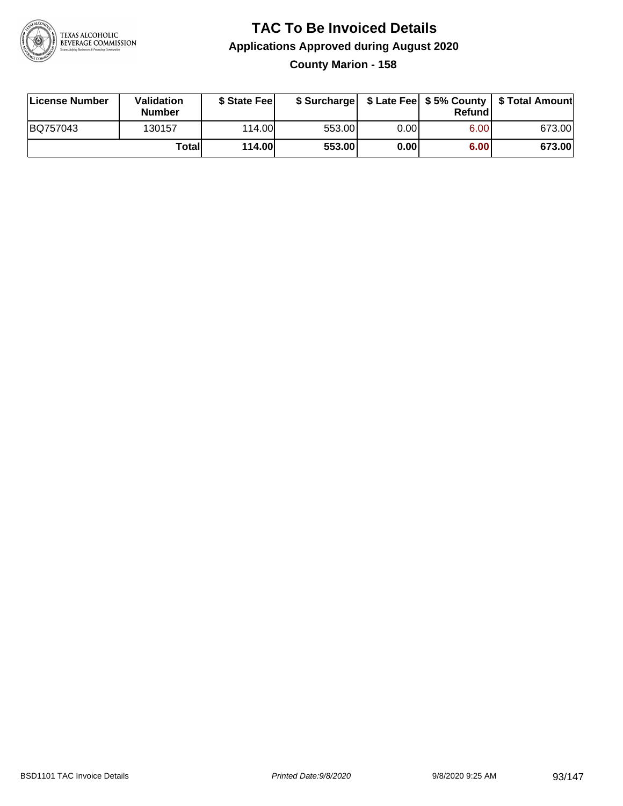

# **TAC To Be Invoiced Details Applications Approved during August 2020 County Marion - 158**

| License Number | <b>Validation</b><br>Number | \$ State Fee  |        |       | Refundl | \$ Surcharge   \$ Late Fee   \$5% County   \$ Total Amount |
|----------------|-----------------------------|---------------|--------|-------|---------|------------------------------------------------------------|
| BQ757043       | 130157                      | 114.00L       | 553.00 | 0.00  | 6.00    | 673.00                                                     |
|                | Totall                      | <b>114.00</b> | 553.00 | 0.001 | 6.00    | 673.00                                                     |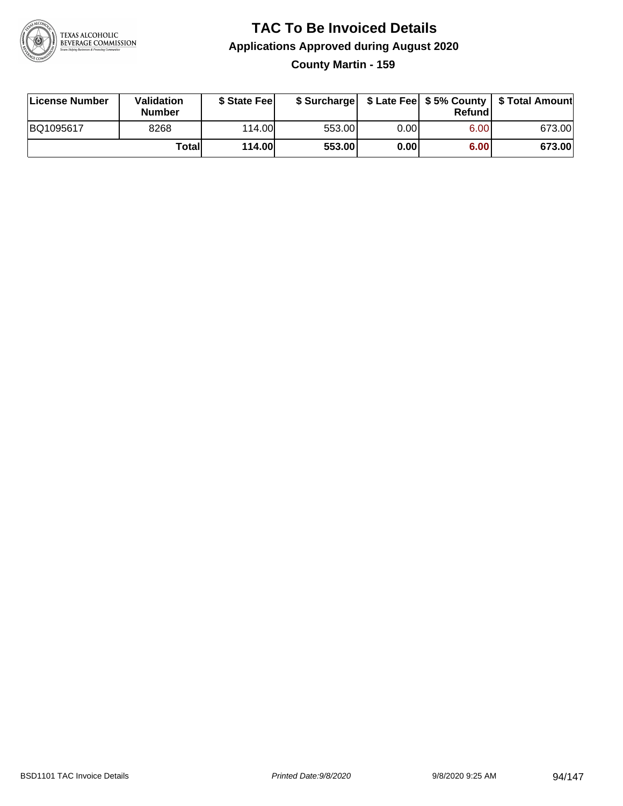

## **TAC To Be Invoiced Details Applications Approved during August 2020 County Martin - 159**

| License Number | <b>Validation</b><br>Number | \$ State Fee  |        |       | Refundl | \$ Surcharge   \$ Late Fee   \$5% County   \$ Total Amount |
|----------------|-----------------------------|---------------|--------|-------|---------|------------------------------------------------------------|
| BQ1095617      | 8268                        | 114.00L       | 553.00 | 0.00  | 6.00    | 673.00                                                     |
|                | Totall                      | <b>114.00</b> | 553.00 | 0.001 | 6.00    | 673.00                                                     |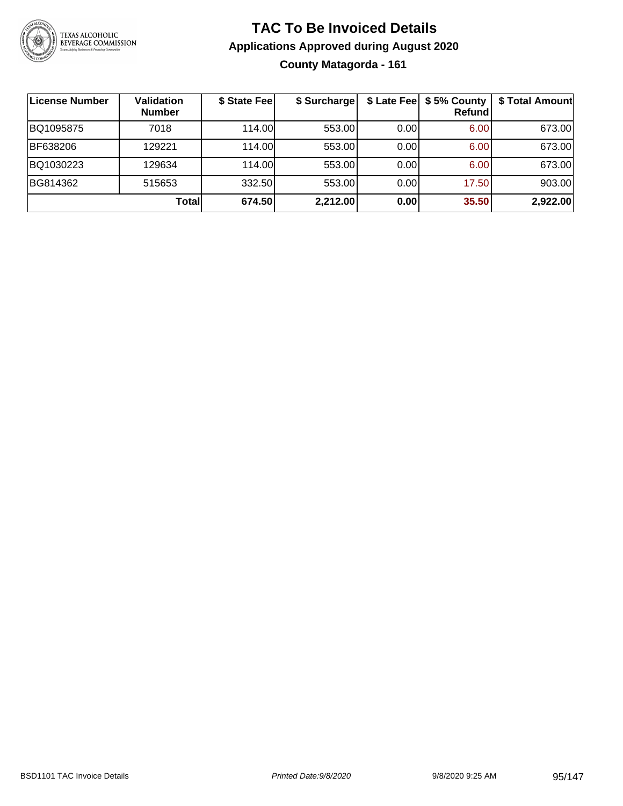

# **TAC To Be Invoiced Details Applications Approved during August 2020 County Matagorda - 161**

| <b>License Number</b> | Validation<br><b>Number</b> | \$ State Fee | \$ Surcharge |      | \$ Late Fee   \$5% County<br><b>Refund</b> | \$ Total Amount |
|-----------------------|-----------------------------|--------------|--------------|------|--------------------------------------------|-----------------|
| BQ1095875             | 7018                        | 114.00L      | 553.00       | 0.00 | 6.00                                       | 673.00          |
| BF638206              | 129221                      | 114.00L      | 553.00       | 0.00 | 6.00                                       | 673.00          |
| BQ1030223             | 129634                      | 114.00L      | 553.00       | 0.00 | 6.00                                       | 673.00          |
| BG814362              | 515653                      | 332.50       | 553.00       | 0.00 | 17.50                                      | 903.00          |
|                       | Total                       | 674.50       | 2,212.00     | 0.00 | 35.50                                      | 2,922.00        |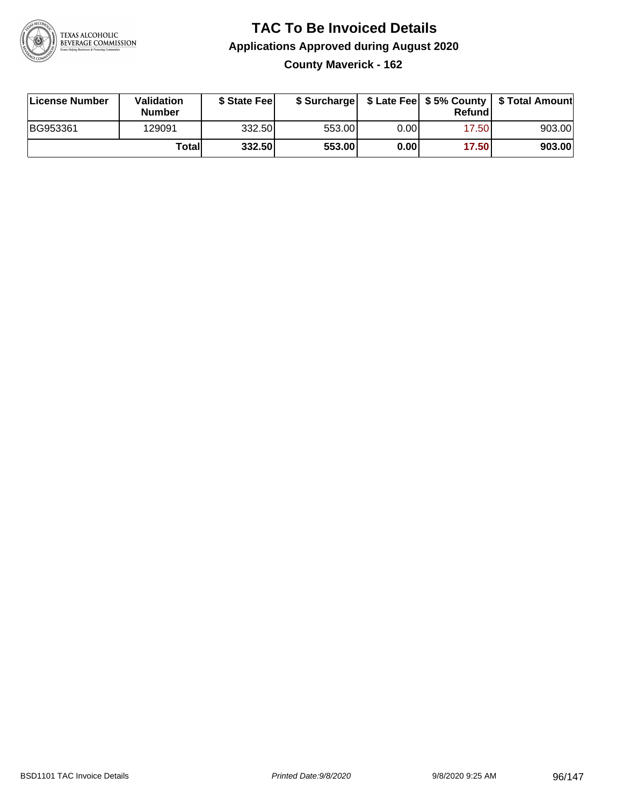

# **TAC To Be Invoiced Details Applications Approved during August 2020 County Maverick - 162**

| License Number | Validation<br><b>Number</b> | \$ State Feel |        |      | Refundl | \$ Surcharge   \$ Late Fee   \$5% County   \$ Total Amount |
|----------------|-----------------------------|---------------|--------|------|---------|------------------------------------------------------------|
| BG953361       | 129091                      | 332.50        | 553.00 | 0.00 | 17.50   | 903.00                                                     |
|                | Totall                      | 332.50        | 553.00 | 0.00 | 17.50   | 903.00                                                     |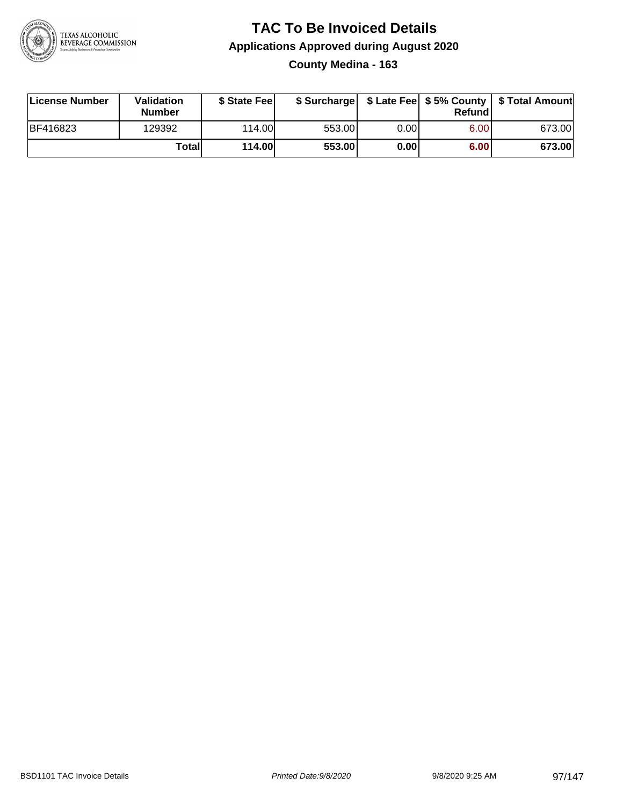

## **TAC To Be Invoiced Details Applications Approved during August 2020 County Medina - 163**

| License Number | Validation<br><b>Number</b> | \$ State Fee  |        |      | Refundl | \$ Surcharge   \$ Late Fee   \$5% County   \$ Total Amount |
|----------------|-----------------------------|---------------|--------|------|---------|------------------------------------------------------------|
| BF416823       | 129392                      | 114.00        | 553.00 | 0.00 | 6.00    | 673.00                                                     |
|                | Total                       | <b>114.00</b> | 553.00 | 0.00 | 6.00    | 673.00                                                     |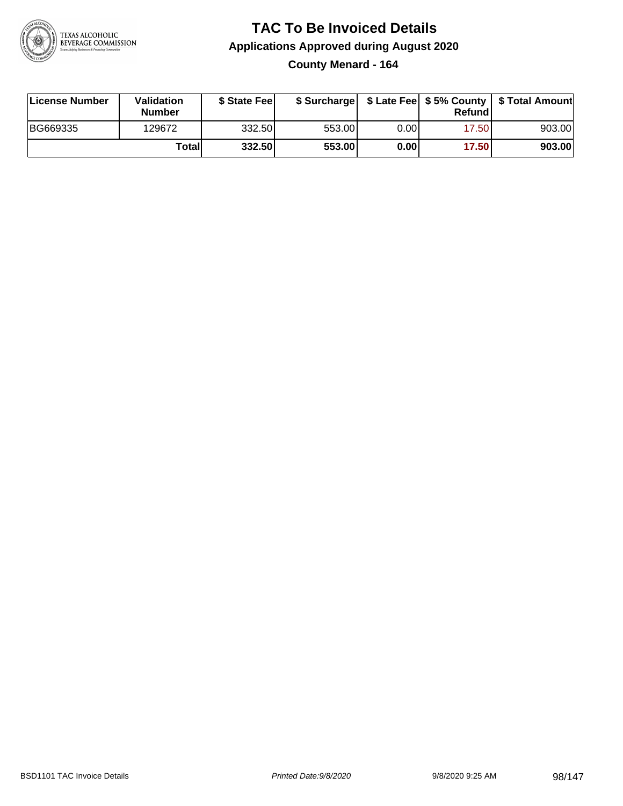

# **TAC To Be Invoiced Details Applications Approved during August 2020 County Menard - 164**

| License Number | <b>Validation</b><br><b>Number</b> | \$ State Feel |        |       | Refundl | \$ Surcharge   \$ Late Fee   \$5% County   \$ Total Amount |
|----------------|------------------------------------|---------------|--------|-------|---------|------------------------------------------------------------|
| BG669335       | 129672                             | 332.50        | 553.00 | 0.00  | 17.50   | 903.00                                                     |
|                | Total                              | 332.50        | 553.00 | 0.001 | 17.50   | 903.00                                                     |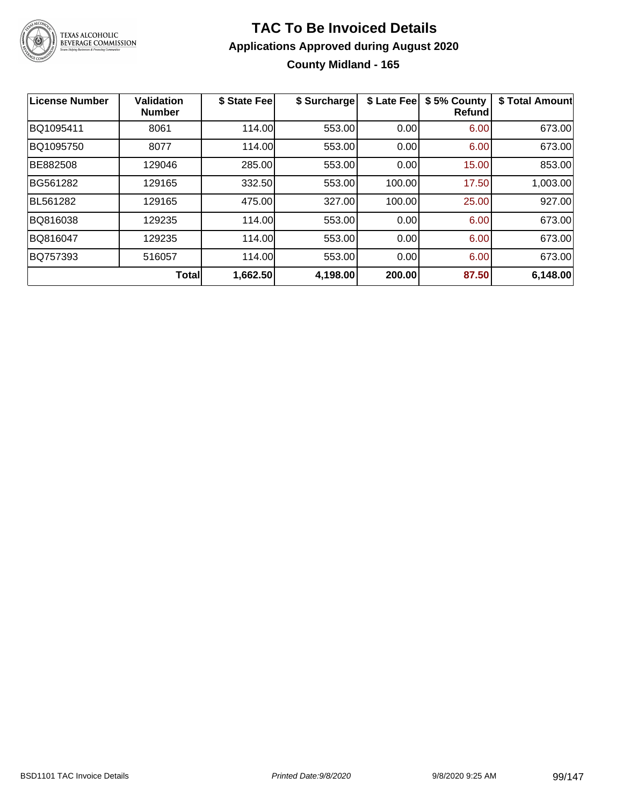

# **TAC To Be Invoiced Details Applications Approved during August 2020 County Midland - 165**

| License Number | <b>Validation</b><br><b>Number</b> | \$ State Fee | \$ Surcharge | \$ Late Fee | \$5% County<br><b>Refund</b> | \$ Total Amount |
|----------------|------------------------------------|--------------|--------------|-------------|------------------------------|-----------------|
| BQ1095411      | 8061                               | 114.00       | 553.00       | 0.00        | 6.00                         | 673.00          |
| BQ1095750      | 8077                               | 114.00       | 553.00       | 0.00        | 6.00                         | 673.00          |
| BE882508       | 129046                             | 285.00       | 553.00       | 0.00        | 15.00                        | 853.00          |
| BG561282       | 129165                             | 332.50       | 553.00       | 100.00      | 17.50                        | 1,003.00        |
| BL561282       | 129165                             | 475.00       | 327.00       | 100.00      | 25.00                        | 927.00          |
| BQ816038       | 129235                             | 114.00       | 553.00       | 0.00        | 6.00                         | 673.00          |
| BQ816047       | 129235                             | 114.00       | 553.00       | 0.00        | 6.00                         | 673.00          |
| BQ757393       | 516057                             | 114.00       | 553.00       | 0.00        | 6.00                         | 673.00          |
|                | Total                              | 1,662.50     | 4,198.00     | 200.00      | 87.50                        | 6,148.00        |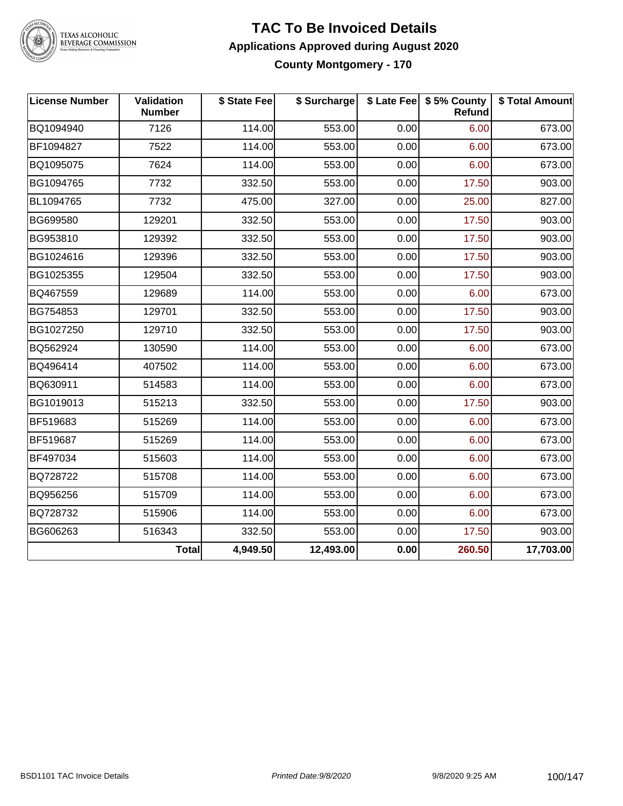

# TEXAS ALCOHOLIC<br>BEVERAGE COMMISSION

#### **TAC To Be Invoiced Details Applications Approved during August 2020 County Montgomery - 170**

| License Number | Validation<br><b>Number</b> | \$ State Fee | \$ Surcharge |      | \$ Late Fee   \$5% County<br>Refund | \$ Total Amount |
|----------------|-----------------------------|--------------|--------------|------|-------------------------------------|-----------------|
| BQ1094940      | 7126                        | 114.00       | 553.00       | 0.00 | 6.00                                | 673.00          |
| BF1094827      | 7522                        | 114.00       | 553.00       | 0.00 | 6.00                                | 673.00          |
| BQ1095075      | 7624                        | 114.00       | 553.00       | 0.00 | 6.00                                | 673.00          |
| BG1094765      | 7732                        | 332.50       | 553.00       | 0.00 | 17.50                               | 903.00          |
| BL1094765      | 7732                        | 475.00       | 327.00       | 0.00 | 25.00                               | 827.00          |
| BG699580       | 129201                      | 332.50       | 553.00       | 0.00 | 17.50                               | 903.00          |
| BG953810       | 129392                      | 332.50       | 553.00       | 0.00 | 17.50                               | 903.00          |
| BG1024616      | 129396                      | 332.50       | 553.00       | 0.00 | 17.50                               | 903.00          |
| BG1025355      | 129504                      | 332.50       | 553.00       | 0.00 | 17.50                               | 903.00          |
| BQ467559       | 129689                      | 114.00       | 553.00       | 0.00 | 6.00                                | 673.00          |
| BG754853       | 129701                      | 332.50       | 553.00       | 0.00 | 17.50                               | 903.00          |
| BG1027250      | 129710                      | 332.50       | 553.00       | 0.00 | 17.50                               | 903.00          |
| BQ562924       | 130590                      | 114.00       | 553.00       | 0.00 | 6.00                                | 673.00          |
| BQ496414       | 407502                      | 114.00       | 553.00       | 0.00 | 6.00                                | 673.00          |
| BQ630911       | 514583                      | 114.00       | 553.00       | 0.00 | 6.00                                | 673.00          |
| BG1019013      | 515213                      | 332.50       | 553.00       | 0.00 | 17.50                               | 903.00          |
| BF519683       | 515269                      | 114.00       | 553.00       | 0.00 | 6.00                                | 673.00          |
| BF519687       | 515269                      | 114.00       | 553.00       | 0.00 | 6.00                                | 673.00          |
| BF497034       | 515603                      | 114.00       | 553.00       | 0.00 | 6.00                                | 673.00          |
| BQ728722       | 515708                      | 114.00       | 553.00       | 0.00 | 6.00                                | 673.00          |
| BQ956256       | 515709                      | 114.00       | 553.00       | 0.00 | 6.00                                | 673.00          |
| BQ728732       | 515906                      | 114.00       | 553.00       | 0.00 | 6.00                                | 673.00          |
| BG606263       | 516343                      | 332.50       | 553.00       | 0.00 | 17.50                               | 903.00          |
|                | <b>Total</b>                | 4,949.50     | 12,493.00    | 0.00 | 260.50                              | 17,703.00       |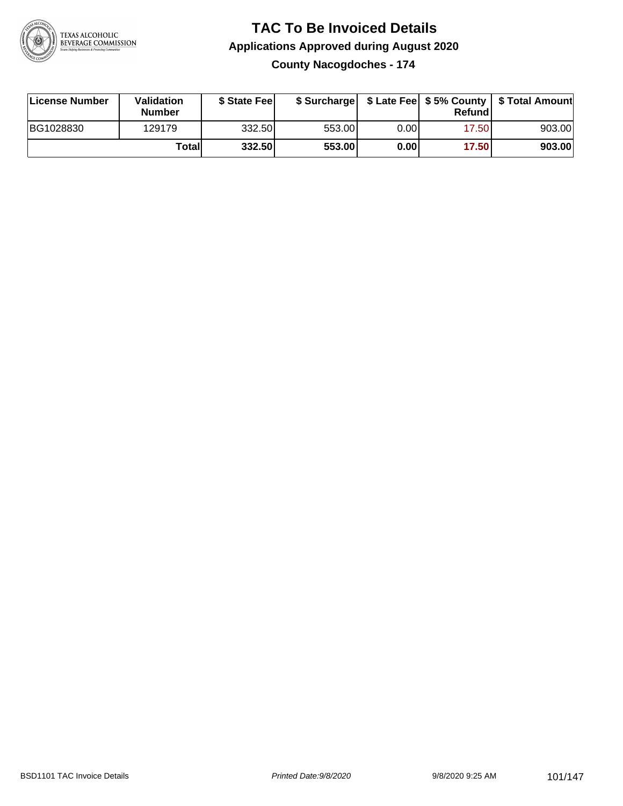

**County Nacogdoches - 174**

| License Number | <b>Validation</b><br><b>Number</b> | \$ State Feel |        |      | Refundl | \$ Surcharge   \$ Late Fee   \$5% County   \$ Total Amount |
|----------------|------------------------------------|---------------|--------|------|---------|------------------------------------------------------------|
| BG1028830      | 129179                             | 332.50        | 553.00 | 0.00 | 17.50   | 903.00                                                     |
|                | Totall                             | 332.50        | 553.00 | 0.00 | 17.50   | 903.00                                                     |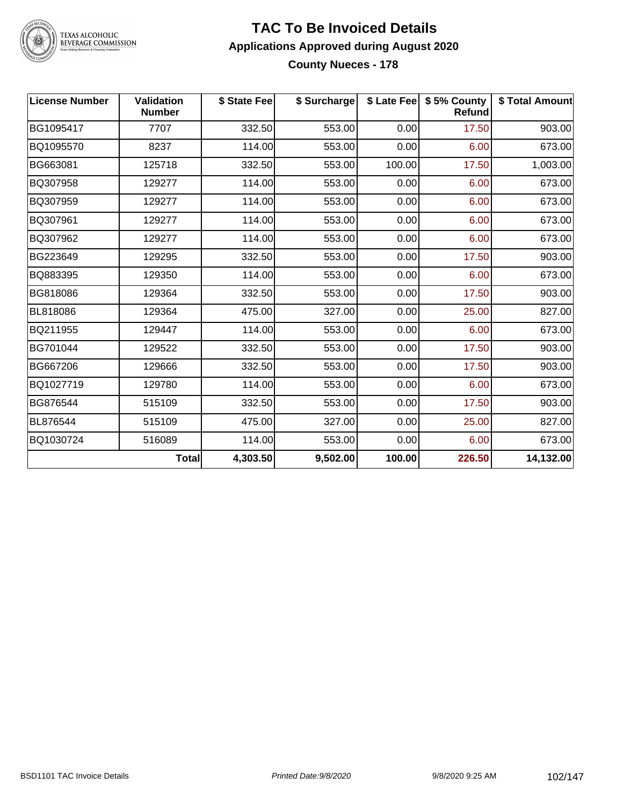

TEXAS ALCOHOLIC<br>BEVERAGE COMMISSION

#### **TAC To Be Invoiced Details Applications Approved during August 2020 County Nueces - 178**

| <b>License Number</b> | <b>Validation</b><br><b>Number</b> | \$ State Fee | \$ Surcharge |        | \$ Late Fee   \$5% County<br><b>Refund</b> | \$ Total Amount |
|-----------------------|------------------------------------|--------------|--------------|--------|--------------------------------------------|-----------------|
| BG1095417             | 7707                               | 332.50       | 553.00       | 0.00   | 17.50                                      | 903.00          |
| BQ1095570             | 8237                               | 114.00       | 553.00       | 0.00   | 6.00                                       | 673.00          |
| BG663081              | 125718                             | 332.50       | 553.00       | 100.00 | 17.50                                      | 1,003.00        |
| BQ307958              | 129277                             | 114.00       | 553.00       | 0.00   | 6.00                                       | 673.00          |
| BQ307959              | 129277                             | 114.00       | 553.00       | 0.00   | 6.00                                       | 673.00          |
| BQ307961              | 129277                             | 114.00       | 553.00       | 0.00   | 6.00                                       | 673.00          |
| BQ307962              | 129277                             | 114.00       | 553.00       | 0.00   | 6.00                                       | 673.00          |
| BG223649              | 129295                             | 332.50       | 553.00       | 0.00   | 17.50                                      | 903.00          |
| BQ883395              | 129350                             | 114.00       | 553.00       | 0.00   | 6.00                                       | 673.00          |
| BG818086              | 129364                             | 332.50       | 553.00       | 0.00   | 17.50                                      | 903.00          |
| BL818086              | 129364                             | 475.00       | 327.00       | 0.00   | 25.00                                      | 827.00          |
| BQ211955              | 129447                             | 114.00       | 553.00       | 0.00   | 6.00                                       | 673.00          |
| BG701044              | 129522                             | 332.50       | 553.00       | 0.00   | 17.50                                      | 903.00          |
| BG667206              | 129666                             | 332.50       | 553.00       | 0.00   | 17.50                                      | 903.00          |
| BQ1027719             | 129780                             | 114.00       | 553.00       | 0.00   | 6.00                                       | 673.00          |
| BG876544              | 515109                             | 332.50       | 553.00       | 0.00   | 17.50                                      | 903.00          |
| BL876544              | 515109                             | 475.00       | 327.00       | 0.00   | 25.00                                      | 827.00          |
| BQ1030724             | 516089                             | 114.00       | 553.00       | 0.00   | 6.00                                       | 673.00          |
|                       | <b>Total</b>                       | 4,303.50     | 9,502.00     | 100.00 | 226.50                                     | 14,132.00       |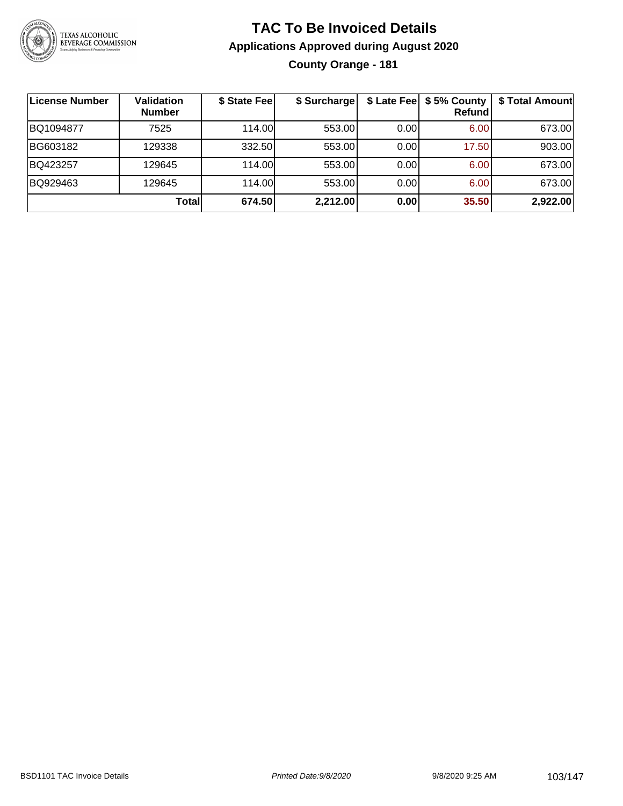

# **TAC To Be Invoiced Details Applications Approved during August 2020 County Orange - 181**

| License Number | Validation<br><b>Number</b> | \$ State Fee | \$ Surcharge |      | \$ Late Fee   \$5% County<br><b>Refund</b> | \$ Total Amount |
|----------------|-----------------------------|--------------|--------------|------|--------------------------------------------|-----------------|
| BQ1094877      | 7525                        | 114.00       | 553.00       | 0.00 | 6.00                                       | 673.00          |
| BG603182       | 129338                      | 332.50       | 553.00       | 0.00 | 17.50                                      | 903.00          |
| BQ423257       | 129645                      | 114.00L      | 553.00       | 0.00 | 6.00                                       | 673.00          |
| BQ929463       | 129645                      | 114.00       | 553.00       | 0.00 | 6.00                                       | 673.00          |
|                | Totall                      | 674.50       | 2,212.00     | 0.00 | 35.50                                      | 2,922.00        |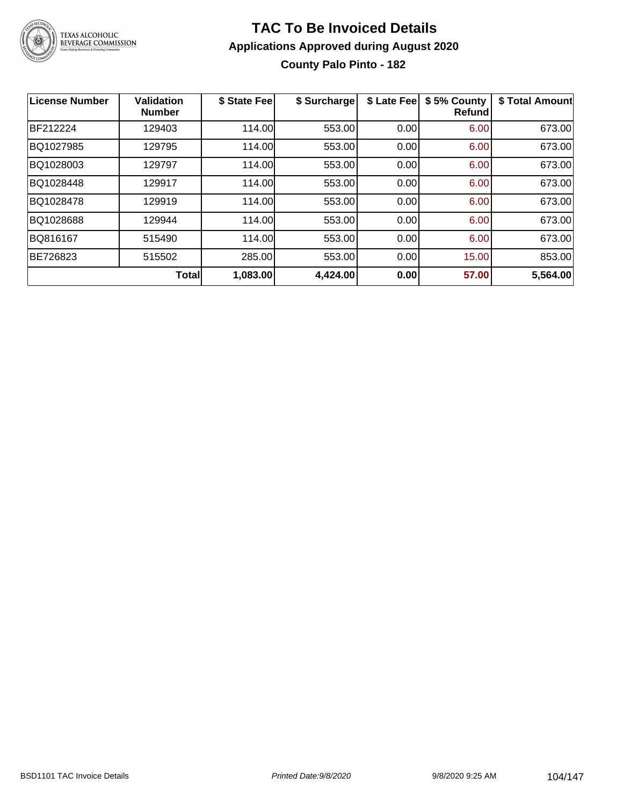

## **TAC To Be Invoiced Details Applications Approved during August 2020 County Palo Pinto - 182**

| <b>License Number</b> | <b>Validation</b><br><b>Number</b> | \$ State Fee | \$ Surcharge | \$ Late Fee | \$5% County<br>Refund | \$ Total Amount |
|-----------------------|------------------------------------|--------------|--------------|-------------|-----------------------|-----------------|
| BF212224              | 129403                             | 114.00       | 553.00       | 0.00        | 6.00                  | 673.00          |
| BQ1027985             | 129795                             | 114.00       | 553.00       | 0.00        | 6.00                  | 673.00          |
| BQ1028003             | 129797                             | 114.00       | 553.00       | 0.00        | 6.00                  | 673.00          |
| BQ1028448             | 129917                             | 114.00       | 553.00       | 0.00        | 6.00                  | 673.00          |
| BQ1028478             | 129919                             | 114.00       | 553.00       | 0.00        | 6.00                  | 673.00          |
| BQ1028688             | 129944                             | 114.00       | 553.00       | 0.00        | 6.00                  | 673.00          |
| BQ816167              | 515490                             | 114.00       | 553.00       | 0.00        | 6.00                  | 673.00          |
| BE726823              | 515502                             | 285.00       | 553.00       | 0.00        | 15.00                 | 853.00          |
|                       | Total                              | 1,083.00     | 4,424.00     | 0.00        | 57.00                 | 5,564.00        |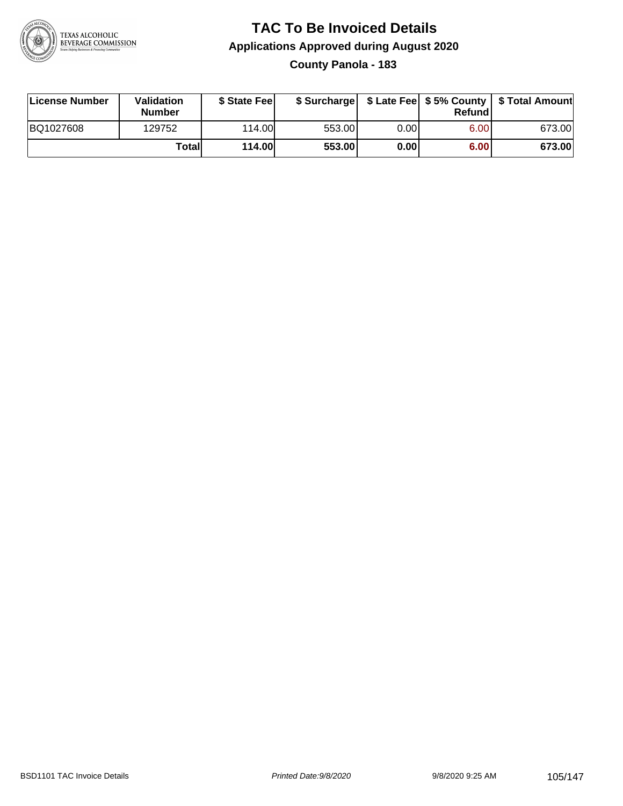

# **TAC To Be Invoiced Details Applications Approved during August 2020 County Panola - 183**

| License Number | <b>Validation</b><br><b>Number</b> | \$ State Feel |        |       | Refundl | \$ Surcharge   \$ Late Fee   \$5% County   \$ Total Amount |
|----------------|------------------------------------|---------------|--------|-------|---------|------------------------------------------------------------|
| BQ1027608      | 129752                             | 114.00L       | 553.00 | 0.00  | 6.00    | 673.00                                                     |
|                | Totall                             | <b>114.00</b> | 553.00 | 0.001 | 6.00    | 673.00                                                     |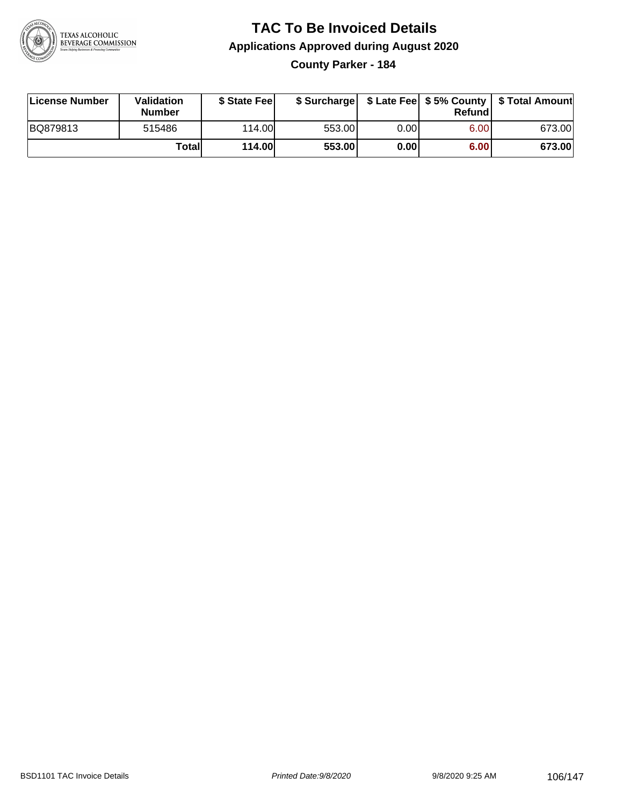

**County Parker - 184**

| License Number | Validation<br><b>Number</b> | \$ State Fee  | \$ Surcharge |      | Refundl | \$ Late Fee   \$5% County   \$ Total Amount |
|----------------|-----------------------------|---------------|--------------|------|---------|---------------------------------------------|
| BQ879813       | 515486                      | 114.00        | 553.00       | 0.00 | 6.00    | 673.00                                      |
|                | Totall                      | <b>114.00</b> | 553.00       | 0.00 | 6.00    | 673.00                                      |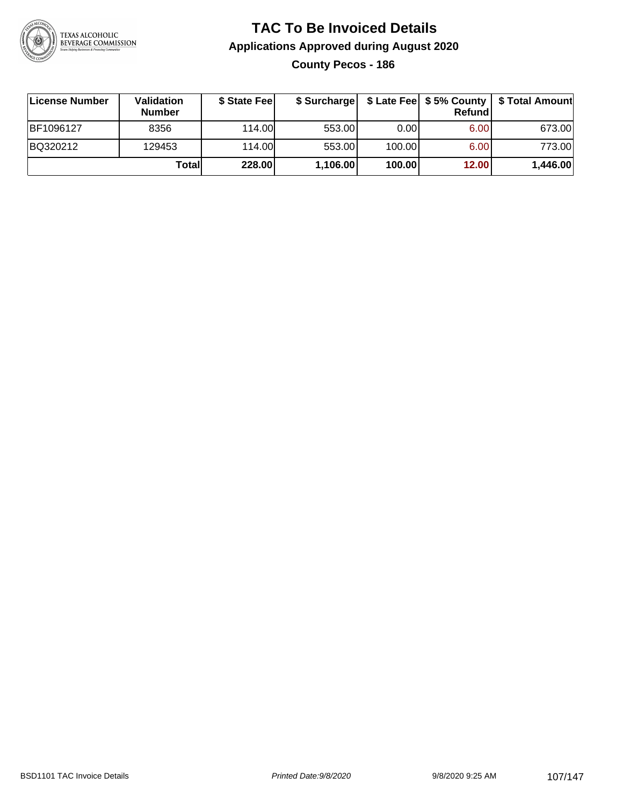

**County Pecos - 186**

| ∣License Number | <b>Validation</b><br><b>Number</b> | \$ State Fee | \$ Surcharge |        | Refundl | \$ Late Fee   \$5% County   \$ Total Amount |
|-----------------|------------------------------------|--------------|--------------|--------|---------|---------------------------------------------|
| BF1096127       | 8356                               | 114.00       | 553.00       | 0.001  | 6.00    | 673.00                                      |
| BQ320212        | 129453                             | 114.00       | 553.00       | 100.00 | 6.00    | 773.00                                      |
|                 | Totall                             | 228.00       | 1,106.00     | 100.00 | 12.00   | 1,446.00                                    |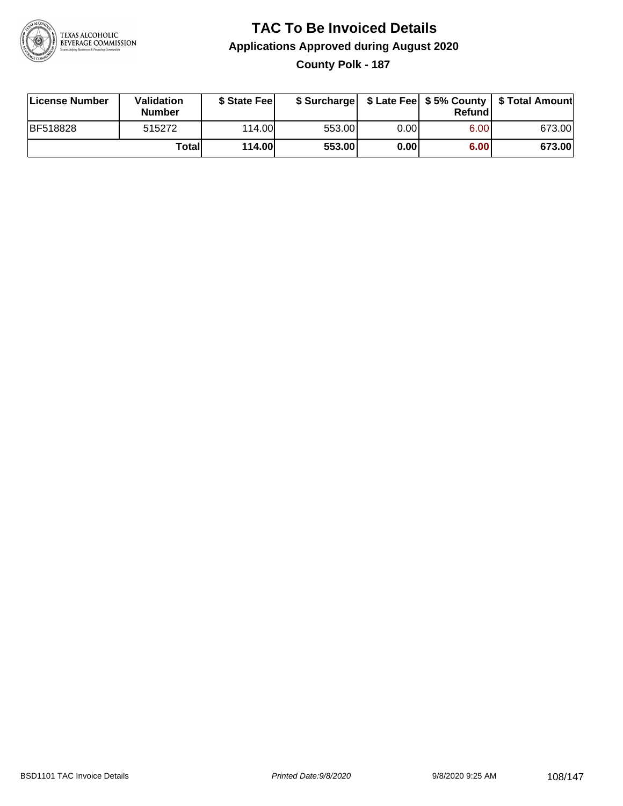

# **TAC To Be Invoiced Details Applications Approved during August 2020 County Polk - 187**

| License Number  | <b>Validation</b><br><b>Number</b> | \$ State Feel |        |       | Refundl | \$ Surcharge   \$ Late Fee   \$5% County   \$ Total Amount |
|-----------------|------------------------------------|---------------|--------|-------|---------|------------------------------------------------------------|
| <b>BF518828</b> | 515272                             | 114.00L       | 553.00 | 0.00  | 6.00    | 673.00                                                     |
|                 | Totall                             | <b>114.00</b> | 553.00 | 0.001 | 6.00    | 673.00                                                     |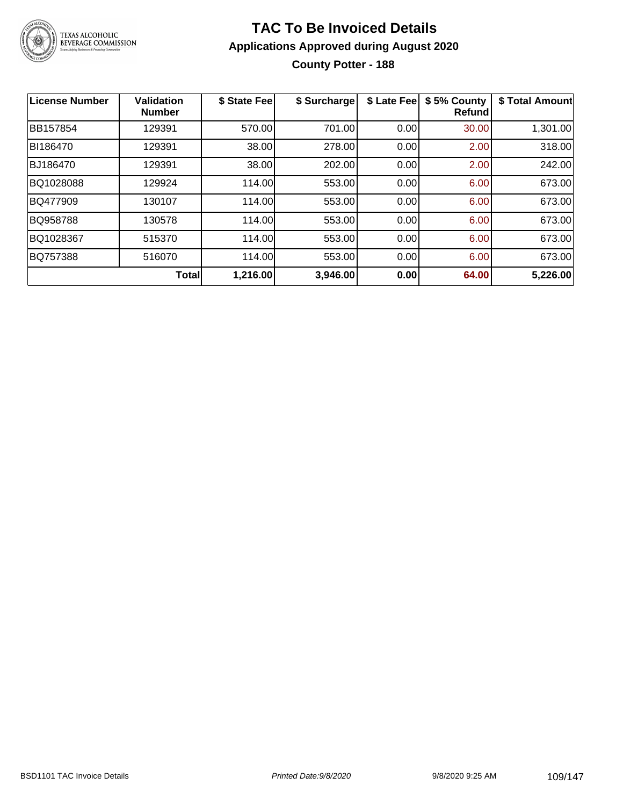

#### **TAC To Be Invoiced Details Applications Approved during August 2020 County Potter - 188**

| License Number  | <b>Validation</b><br><b>Number</b> | \$ State Fee | \$ Surcharge | \$ Late Fee | \$5% County<br><b>Refund</b> | \$ Total Amount |
|-----------------|------------------------------------|--------------|--------------|-------------|------------------------------|-----------------|
| BB157854        | 129391                             | 570.00       | 701.00       | 0.00        | 30.00                        | 1,301.00        |
| BI186470        | 129391                             | 38.00        | 278.00       | 0.00        | 2.00                         | 318.00          |
| BJ186470        | 129391                             | 38.00        | 202.00       | 0.00        | 2.00                         | 242.00          |
| BQ1028088       | 129924                             | 114.00       | 553.00       | 0.00        | 6.00                         | 673.00          |
| <b>BQ477909</b> | 130107                             | 114.00       | 553.00       | 0.00        | 6.00                         | 673.00          |
| BQ958788        | 130578                             | 114.00       | 553.00       | 0.00        | 6.00                         | 673.00          |
| BQ1028367       | 515370                             | 114.00       | 553.00       | 0.00        | 6.00                         | 673.00          |
| BQ757388        | 516070                             | 114.00       | 553.00       | 0.00        | 6.00                         | 673.00          |
|                 | Total                              | 1,216.00     | 3,946.00     | 0.00        | 64.00                        | 5,226.00        |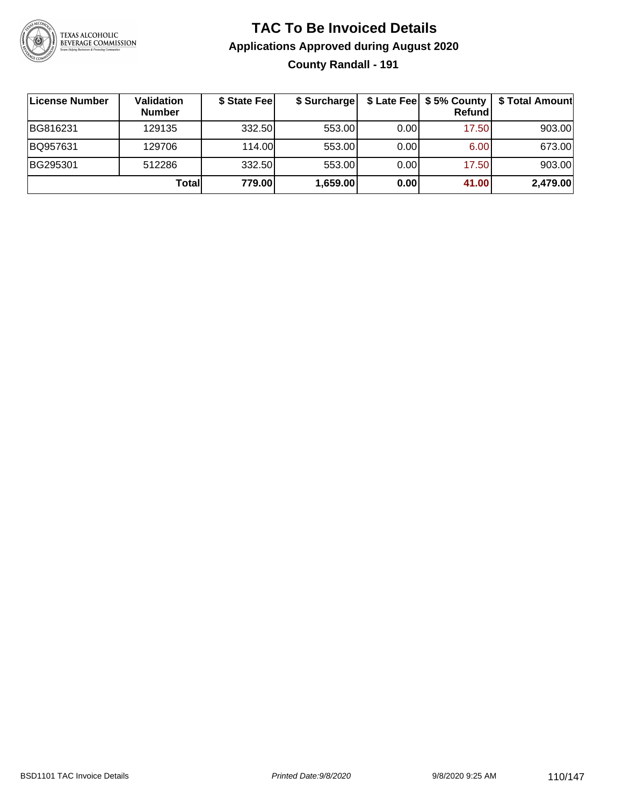

#### **TAC To Be Invoiced Details Applications Approved during August 2020 County Randall - 191**

| License Number | Validation<br><b>Number</b> | \$ State Fee | \$ Surcharge |      | $$$ Late Fee $$5%$ County<br>Refund | \$ Total Amount |
|----------------|-----------------------------|--------------|--------------|------|-------------------------------------|-----------------|
| BG816231       | 129135                      | 332.50       | 553.00       | 0.00 | 17.50                               | 903.00          |
| BQ957631       | 129706                      | 114.00L      | 553.00       | 0.00 | 6.00                                | 673.00          |
| BG295301       | 512286                      | 332.50       | 553.00       | 0.00 | 17.50                               | 903.00          |
|                | Total                       | 779.00       | 1,659.00     | 0.00 | 41.00                               | 2,479.00        |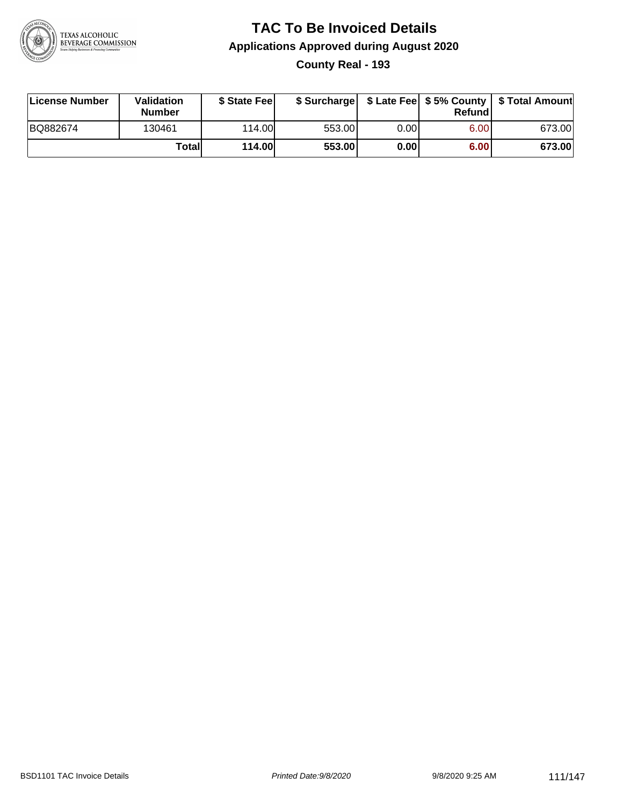

#### **TAC To Be Invoiced Details Applications Approved during August 2020 County Real - 193**

| License Number | <b>Validation</b><br><b>Number</b> | \$ State Feel |        |      | Refund | \$ Surcharge   \$ Late Fee   \$5% County   \$ Total Amount |
|----------------|------------------------------------|---------------|--------|------|--------|------------------------------------------------------------|
| BQ882674       | 130461                             | 114.00L       | 553.00 | 0.00 | 6.00   | 673.00                                                     |
|                | <b>Totall</b>                      | <b>114.00</b> | 553.00 | 0.00 | 6.00   | 673.00                                                     |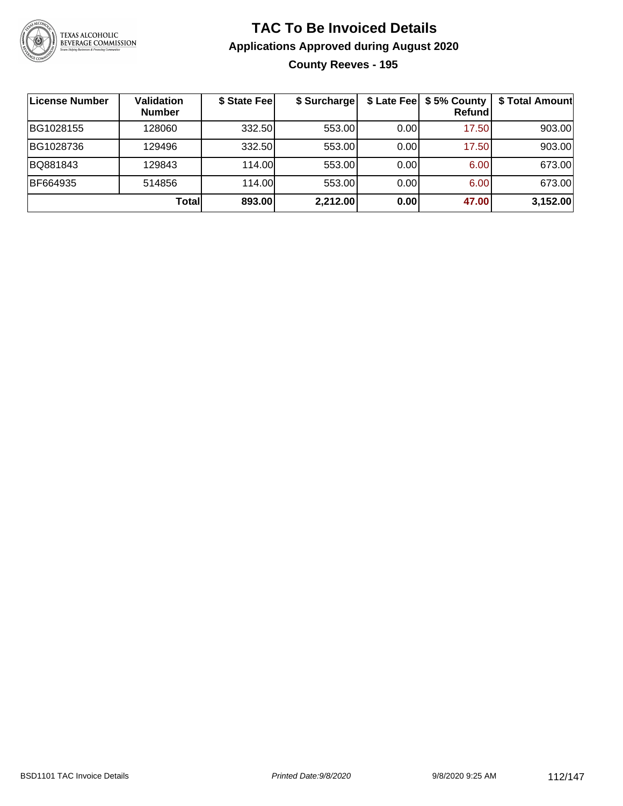

#### **TAC To Be Invoiced Details Applications Approved during August 2020 County Reeves - 195**

| ∣License Number | <b>Validation</b><br><b>Number</b> | \$ State Fee | \$ Surcharge |       | \$ Late Fee   \$5% County<br><b>Refund</b> | \$ Total Amount |
|-----------------|------------------------------------|--------------|--------------|-------|--------------------------------------------|-----------------|
| BG1028155       | 128060                             | 332.50       | 553.00       | 0.00  | 17.50                                      | 903.00          |
| BG1028736       | 129496                             | 332.50       | 553.00       | 0.001 | 17.50                                      | 903.00          |
| BQ881843        | 129843                             | 114.00       | 553.00       | 0.00  | 6.00                                       | 673.00          |
| BF664935        | 514856                             | 114.00       | 553.00       | 0.00  | 6.00                                       | 673.00          |
|                 | <b>Total</b>                       | 893.00       | 2,212.00     | 0.00  | 47.00                                      | 3,152.00        |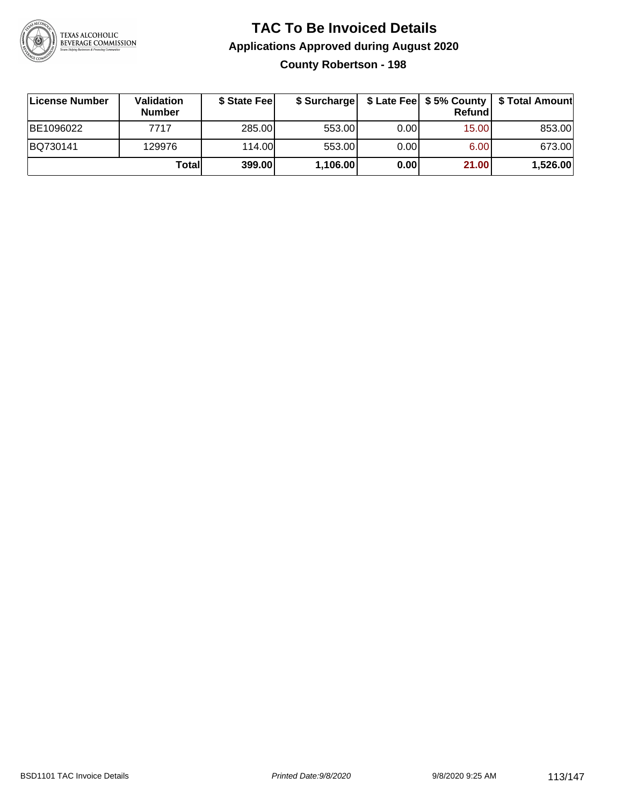

#### **TAC To Be Invoiced Details Applications Approved during August 2020 County Robertson - 198**

| License Number | Validation<br><b>Number</b> | \$ State Fee |          |       | Refund | \$ Surcharge   \$ Late Fee   \$5% County   \$ Total Amount |
|----------------|-----------------------------|--------------|----------|-------|--------|------------------------------------------------------------|
| BE1096022      | 7717                        | 285.00       | 553.00   | 0.00  | 15.00  | 853.00                                                     |
| BQ730141       | 129976                      | 114.00       | 553.00   | 0.001 | 6.00   | 673.00                                                     |
|                | Totall                      | 399.00       | 1,106.00 | 0.00  | 21.00  | 1,526.00                                                   |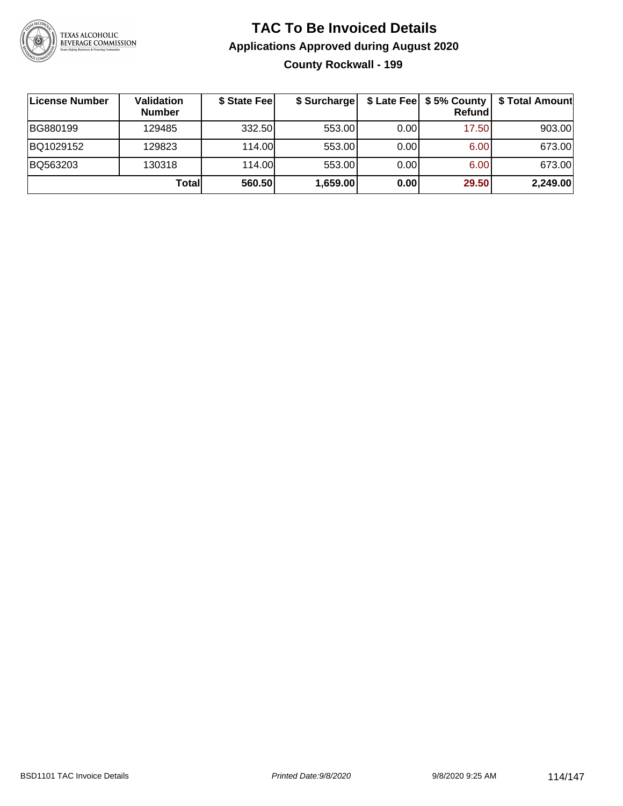

#### **TAC To Be Invoiced Details Applications Approved during August 2020 County Rockwall - 199**

| License Number | Validation<br><b>Number</b> | \$ State Fee | \$ Surcharge |      | $$$ Late Fee $$5%$ County<br><b>Refund</b> | \$ Total Amount |
|----------------|-----------------------------|--------------|--------------|------|--------------------------------------------|-----------------|
| BG880199       | 129485                      | 332.50       | 553.00       | 0.00 | 17.50                                      | 903.00          |
| BQ1029152      | 129823                      | 114.00L      | 553.00       | 0.00 | 6.00                                       | 673.00          |
| BQ563203       | 130318                      | 114.00L      | 553.00       | 0.00 | 6.00                                       | 673.00          |
|                | Totall                      | 560.50       | 1,659.00     | 0.00 | 29.50                                      | 2,249.00        |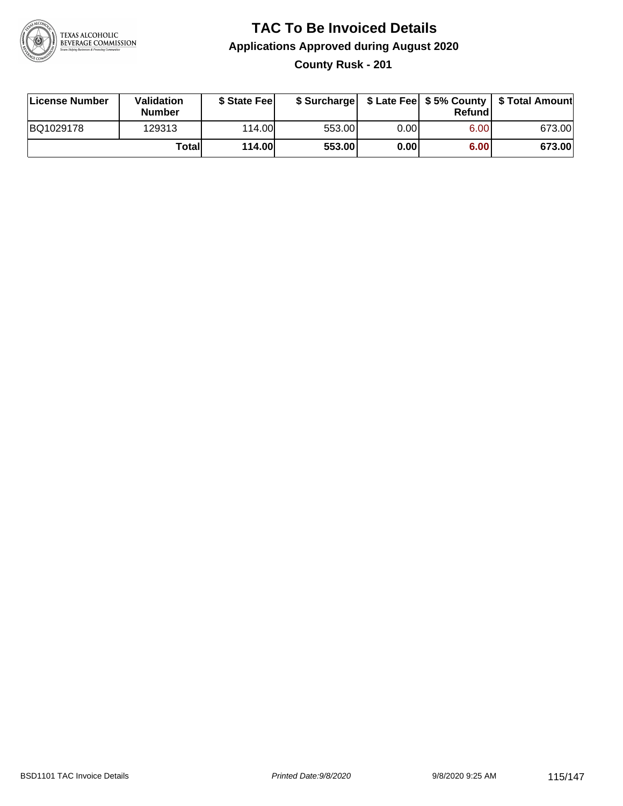

# **TAC To Be Invoiced Details Applications Approved during August 2020**

**County Rusk - 201**

| License Number | Validation<br><b>Number</b> | \$ State Feel | \$ Surcharge |      | Refund | \$ Late Fee   \$5% County   \$ Total Amount |
|----------------|-----------------------------|---------------|--------------|------|--------|---------------------------------------------|
| BQ1029178      | 129313                      | 114.00L       | 553.00       | 0.00 | 6.00   | 673.00                                      |
|                | Totall                      | <b>114.00</b> | 553.00       | 0.00 | 6.00   | 673.00                                      |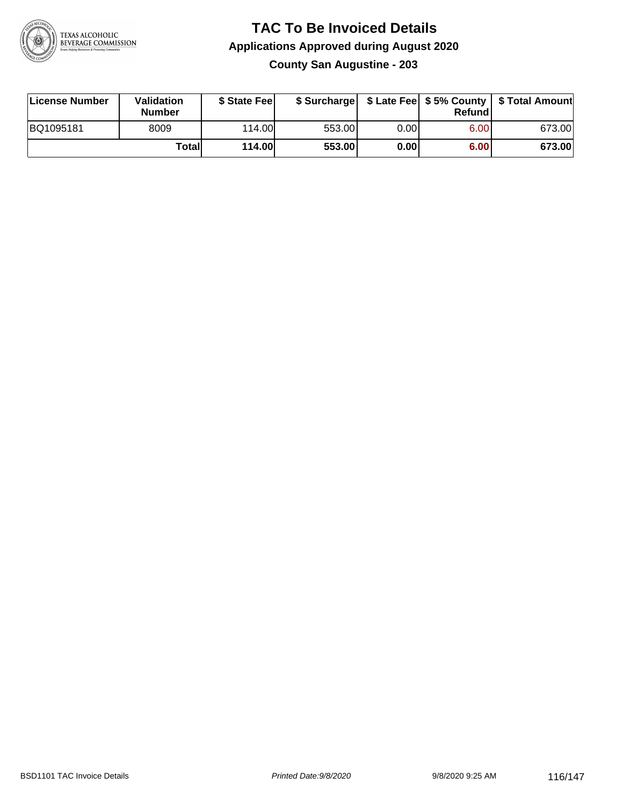

#### **TAC To Be Invoiced Details Applications Approved during August 2020 County San Augustine - 203**

| License Number | Validation<br><b>Number</b> | \$ State Fee |        |       | Refundl | \$ Surcharge   \$ Late Fee   \$5% County   \$ Total Amount |
|----------------|-----------------------------|--------------|--------|-------|---------|------------------------------------------------------------|
| BQ1095181      | 8009                        | 114.00       | 553.00 | 0.00I | 6.00    | 673.00                                                     |
|                | Totall                      | 114.00       | 553.00 | 0.00  | 6.00    | 673.00                                                     |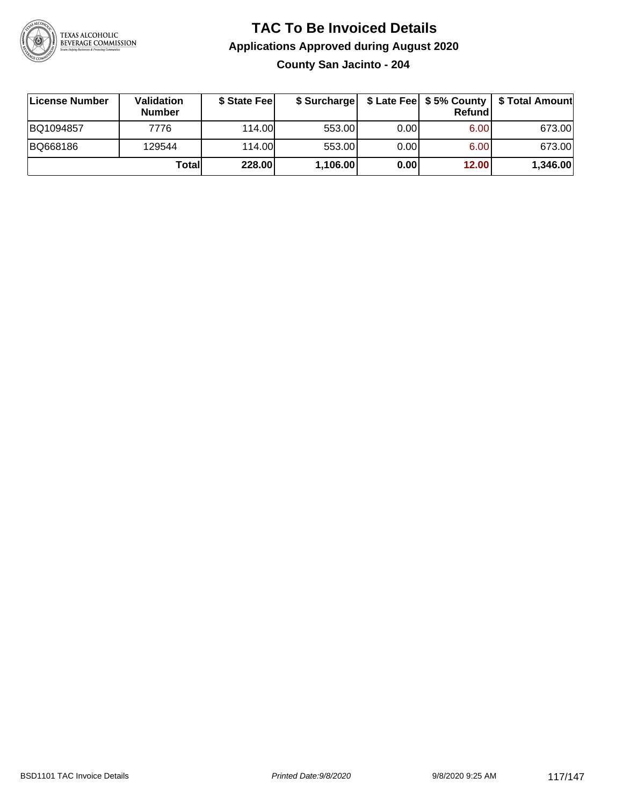

# **TAC To Be Invoiced Details Applications Approved during August 2020**

**County San Jacinto - 204**

| ∣License Number | <b>Validation</b><br><b>Number</b> | \$ State Feel | \$ Surcharge |       | Refundl | \$ Late Fee   \$5% County   \$ Total Amount |
|-----------------|------------------------------------|---------------|--------------|-------|---------|---------------------------------------------|
| BQ1094857       | 7776                               | 114.00        | 553.00       | 0.001 | 6.00    | 673.00                                      |
| BQ668186        | 129544                             | 114.00        | 553.00       | 0.001 | 6.00    | 673.00                                      |
|                 | Totall                             | 228.00        | 1,106.00     | 0.00  | 12.00   | 1,346.00                                    |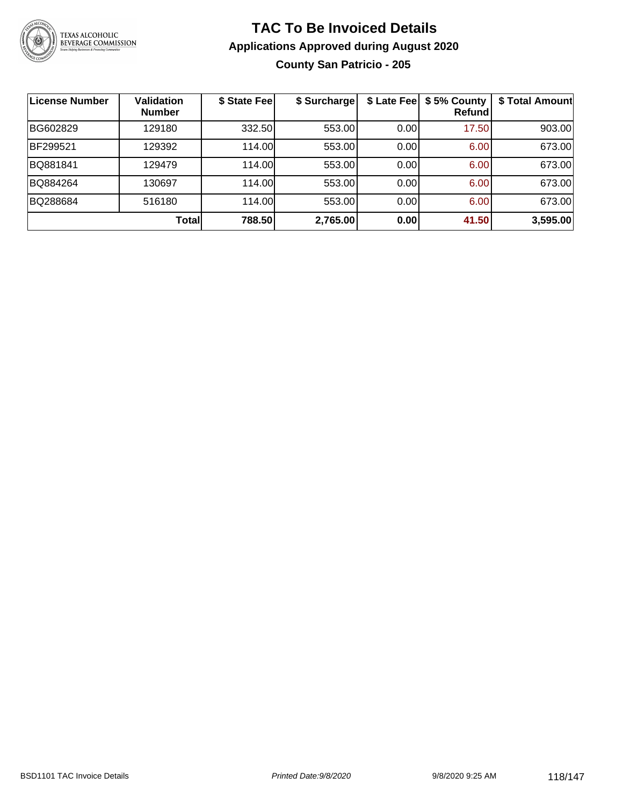

#### **TAC To Be Invoiced Details Applications Approved during August 2020 County San Patricio - 205**

| <b>License Number</b> | <b>Validation</b><br><b>Number</b> | \$ State Fee | \$ Surcharge |      | \$ Late Fee   \$5% County<br>Refund | \$ Total Amount |
|-----------------------|------------------------------------|--------------|--------------|------|-------------------------------------|-----------------|
| BG602829              | 129180                             | 332.50       | 553.00       | 0.00 | 17.50                               | 903.00          |
| BF299521              | 129392                             | 114.00       | 553.00       | 0.00 | 6.00                                | 673.00          |
| BQ881841              | 129479                             | 114.00       | 553.00       | 0.00 | 6.00                                | 673.00          |
| BQ884264              | 130697                             | 114.00       | 553.00       | 0.00 | 6.00                                | 673.00          |
| BQ288684              | 516180                             | 114.00       | 553.00       | 0.00 | 6.00                                | 673.00          |
|                       | Total                              | 788.50       | 2,765.00     | 0.00 | 41.50                               | 3,595.00        |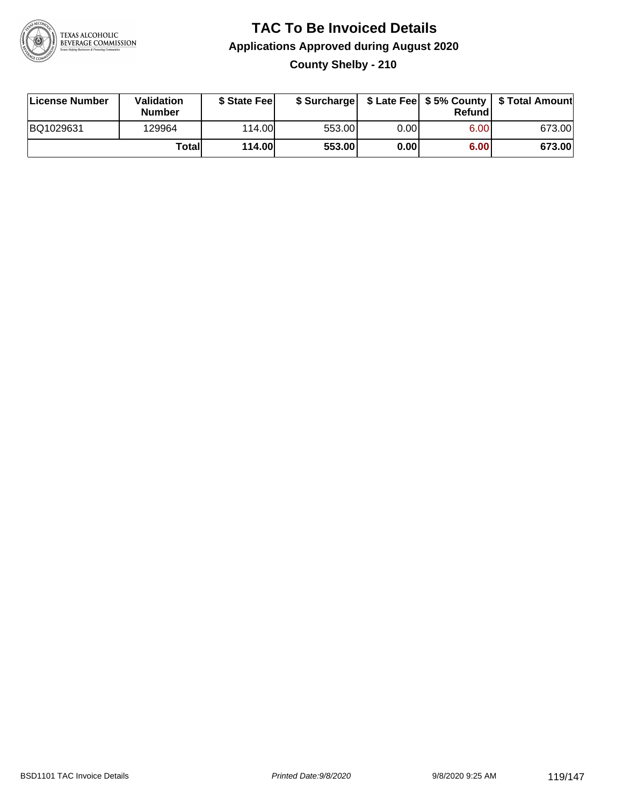

#### **TAC To Be Invoiced Details Applications Approved during August 2020 County Shelby - 210**

| License Number | <b>Validation</b><br><b>Number</b> | \$ State Feel |        |      | Refundl | \$ Surcharge   \$ Late Fee   \$5% County   \$ Total Amount |
|----------------|------------------------------------|---------------|--------|------|---------|------------------------------------------------------------|
| BQ1029631      | 129964                             | 114.00L       | 553.00 | 0.00 | 6.00    | 673.00                                                     |
|                | Totall                             | <b>114.00</b> | 553.00 | 0.00 | 6.00    | 673.00                                                     |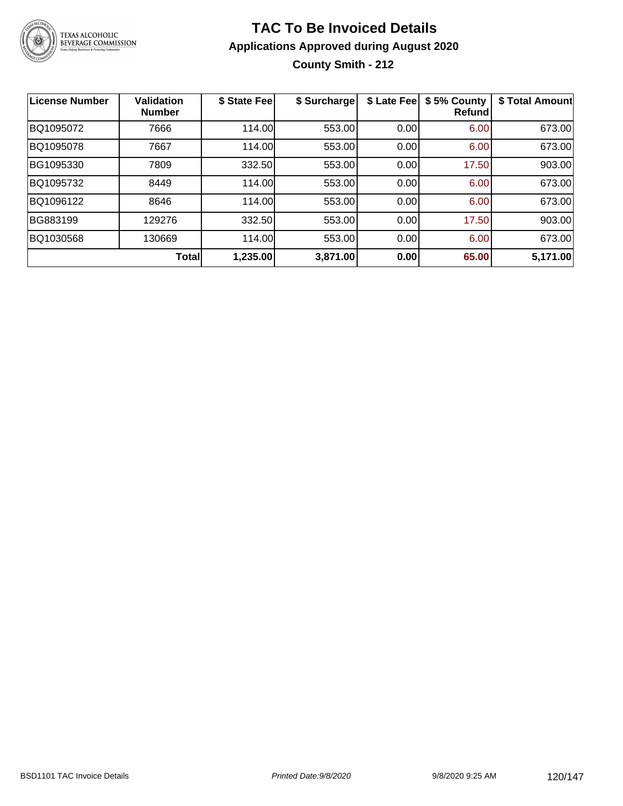

#### **TAC To Be Invoiced Details Applications Approved during August 2020 County Smith - 212**

| License Number | Validation<br><b>Number</b> | \$ State Fee | \$ Surcharge | \$ Late Fee | \$5% County<br><b>Refund</b> | \$ Total Amount |
|----------------|-----------------------------|--------------|--------------|-------------|------------------------------|-----------------|
| BQ1095072      | 7666                        | 114.00       | 553.00       | 0.00        | 6.00                         | 673.00          |
| BQ1095078      | 7667                        | 114.00       | 553.00       | 0.00        | 6.00                         | 673.00          |
| BG1095330      | 7809                        | 332.50       | 553.00       | 0.00        | 17.50                        | 903.00          |
| BQ1095732      | 8449                        | 114.00       | 553.00       | 0.00        | 6.00                         | 673.00          |
| BQ1096122      | 8646                        | 114.00       | 553.00       | 0.00        | 6.00                         | 673.00          |
| BG883199       | 129276                      | 332.50       | 553.00       | 0.00        | 17.50                        | 903.00          |
| BQ1030568      | 130669                      | 114.00       | 553.00       | 0.00        | 6.00                         | 673.00          |
|                | <b>Total</b>                | 1,235.00     | 3,871.00     | 0.00        | 65.00                        | 5,171.00        |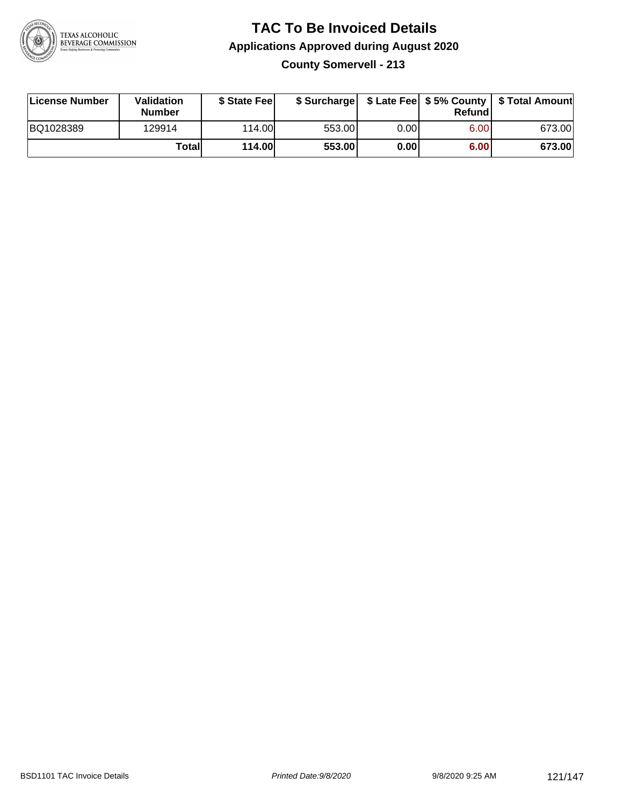

# **TAC To Be Invoiced Details Applications Approved during August 2020**

**County Somervell - 213**

| License Number | Validation<br><b>Number</b> | \$ State Fee  | \$ Surcharge |      | Refundl | \$ Late Fee   \$5% County   \$ Total Amount |
|----------------|-----------------------------|---------------|--------------|------|---------|---------------------------------------------|
| BQ1028389      | 129914                      | 114.00        | 553.00       | 0.00 | 6.00    | 673.00                                      |
|                | Totall                      | <b>114.00</b> | 553.00       | 0.00 | 6.00    | 673.00                                      |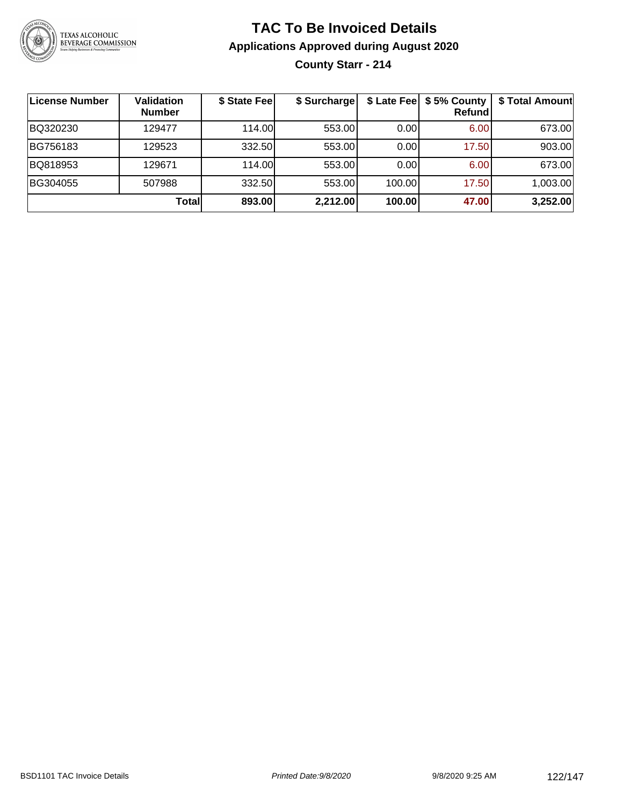

#### **TAC To Be Invoiced Details Applications Approved during August 2020 County Starr - 214**

| License Number | <b>Validation</b><br><b>Number</b> | \$ State Fee | \$ Surcharge |        | \$ Late Fee   \$5% County<br><b>Refund</b> | \$ Total Amount |
|----------------|------------------------------------|--------------|--------------|--------|--------------------------------------------|-----------------|
| BQ320230       | 129477                             | 114.00       | 553.00       | 0.00   | 6.00                                       | 673.00          |
| BG756183       | 129523                             | 332.50       | 553.00       | 0.00   | 17.50                                      | 903.00          |
| BQ818953       | 129671                             | 114.00       | 553.00       | 0.00   | 6.00                                       | 673.00          |
| BG304055       | 507988                             | 332.50       | 553.00       | 100.00 | 17.50                                      | 1,003.00        |
|                | Totall                             | 893.00       | 2,212.00     | 100.00 | 47.00                                      | 3,252.00        |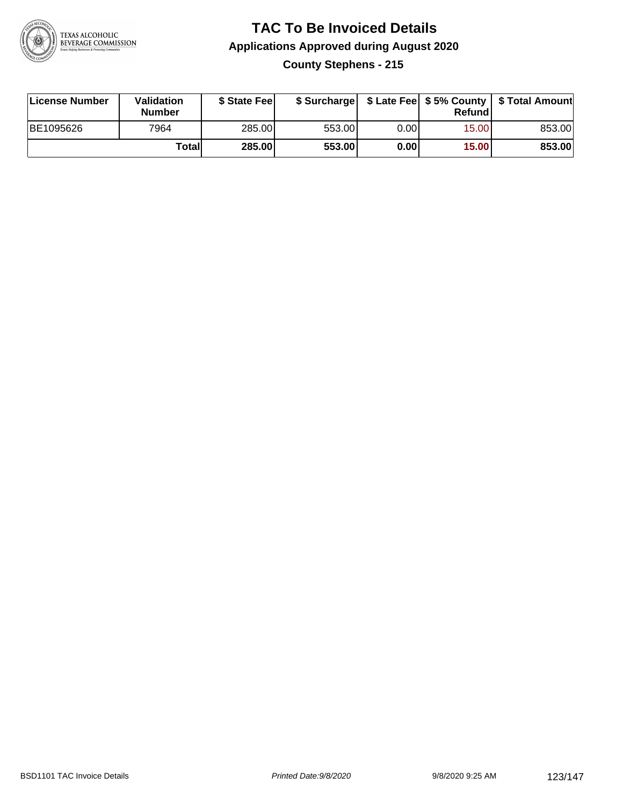

#### **TAC To Be Invoiced Details Applications Approved during August 2020 County Stephens - 215**

| License Number | Validation<br><b>Number</b> | \$ State Fee |        |      | Refund | \$ Surcharge   \$ Late Fee   \$5% County   \$ Total Amount |
|----------------|-----------------------------|--------------|--------|------|--------|------------------------------------------------------------|
| BE1095626      | 7964                        | 285.00       | 553.00 | 0.00 | 15.00  | 853.00                                                     |
|                | Totall                      | 285.00       | 553.00 | 0.00 | 15.00  | 853.00                                                     |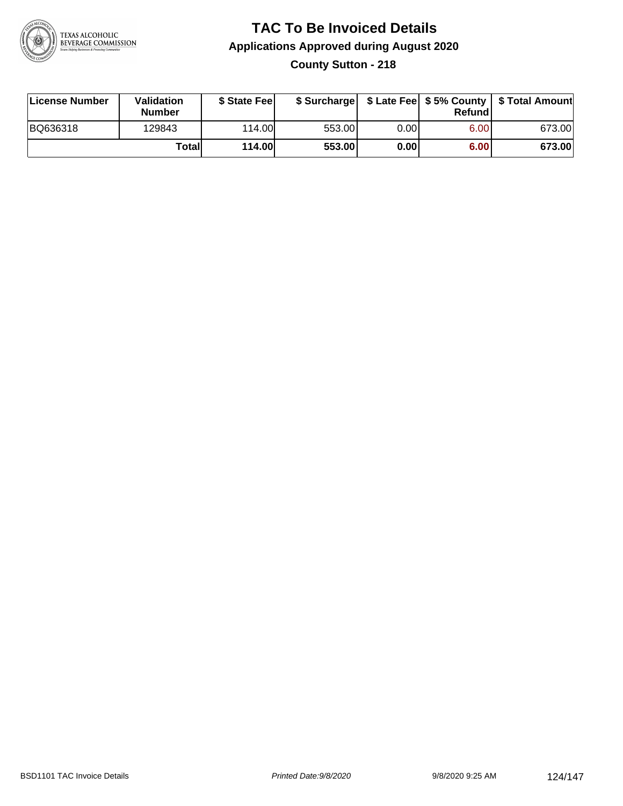

#### **TAC To Be Invoiced Details Applications Approved during August 2020 County Sutton - 218**

| License Number | <b>Validation</b><br><b>Number</b> | \$ State Feel |        |      | Refundl | \$ Surcharge   \$ Late Fee   \$5% County   \$ Total Amount |
|----------------|------------------------------------|---------------|--------|------|---------|------------------------------------------------------------|
| BQ636318       | 129843                             | 114.00        | 553.00 | 0.00 | 6.00    | 673.00                                                     |
|                | Totall                             | <b>114.00</b> | 553.00 | 0.00 | 6.00    | 673.00                                                     |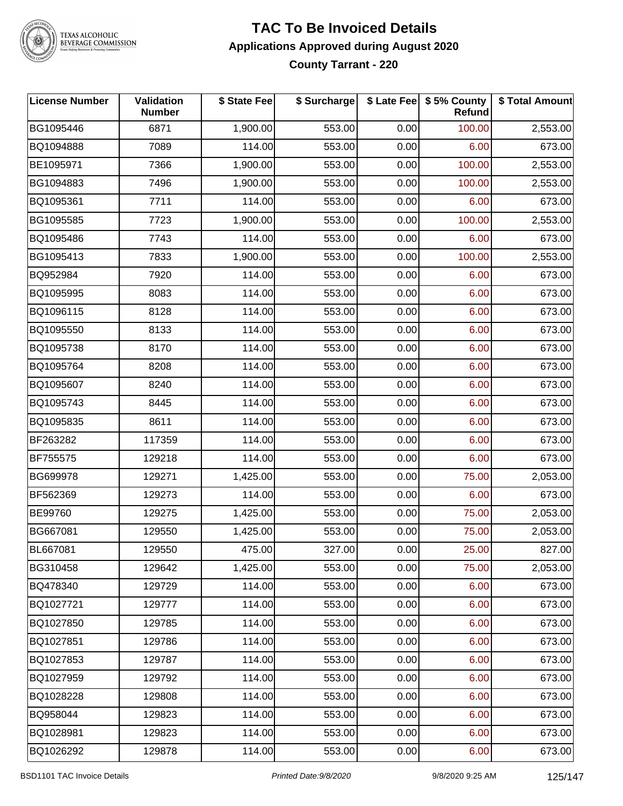

### TEXAS ALCOHOLIC<br>BEVERAGE COMMISSION

#### **TAC To Be Invoiced Details Applications Approved during August 2020 County Tarrant - 220**

| <b>License Number</b> | Validation<br><b>Number</b> | \$ State Fee | \$ Surcharge |      | \$ Late Fee   \$5% County<br>Refund | \$ Total Amount |
|-----------------------|-----------------------------|--------------|--------------|------|-------------------------------------|-----------------|
| BG1095446             | 6871                        | 1,900.00     | 553.00       | 0.00 | 100.00                              | 2,553.00        |
| BQ1094888             | 7089                        | 114.00       | 553.00       | 0.00 | 6.00                                | 673.00          |
| BE1095971             | 7366                        | 1,900.00     | 553.00       | 0.00 | 100.00                              | 2,553.00        |
| BG1094883             | 7496                        | 1,900.00     | 553.00       | 0.00 | 100.00                              | 2,553.00        |
| BQ1095361             | 7711                        | 114.00       | 553.00       | 0.00 | 6.00                                | 673.00          |
| BG1095585             | 7723                        | 1,900.00     | 553.00       | 0.00 | 100.00                              | 2,553.00        |
| BQ1095486             | 7743                        | 114.00       | 553.00       | 0.00 | 6.00                                | 673.00          |
| BG1095413             | 7833                        | 1,900.00     | 553.00       | 0.00 | 100.00                              | 2,553.00        |
| BQ952984              | 7920                        | 114.00       | 553.00       | 0.00 | 6.00                                | 673.00          |
| BQ1095995             | 8083                        | 114.00       | 553.00       | 0.00 | 6.00                                | 673.00          |
| BQ1096115             | 8128                        | 114.00       | 553.00       | 0.00 | 6.00                                | 673.00          |
| BQ1095550             | 8133                        | 114.00       | 553.00       | 0.00 | 6.00                                | 673.00          |
| BQ1095738             | 8170                        | 114.00       | 553.00       | 0.00 | 6.00                                | 673.00          |
| BQ1095764             | 8208                        | 114.00       | 553.00       | 0.00 | 6.00                                | 673.00          |
| BQ1095607             | 8240                        | 114.00       | 553.00       | 0.00 | 6.00                                | 673.00          |
| BQ1095743             | 8445                        | 114.00       | 553.00       | 0.00 | 6.00                                | 673.00          |
| BQ1095835             | 8611                        | 114.00       | 553.00       | 0.00 | 6.00                                | 673.00          |
| BF263282              | 117359                      | 114.00       | 553.00       | 0.00 | 6.00                                | 673.00          |
| BF755575              | 129218                      | 114.00       | 553.00       | 0.00 | 6.00                                | 673.00          |
| BG699978              | 129271                      | 1,425.00     | 553.00       | 0.00 | 75.00                               | 2,053.00        |
| BF562369              | 129273                      | 114.00       | 553.00       | 0.00 | 6.00                                | 673.00          |
| BE99760               | 129275                      | 1,425.00     | 553.00       | 0.00 | 75.00                               | 2,053.00        |
| BG667081              | 129550                      | 1,425.00     | 553.00       | 0.00 | 75.00                               | 2,053.00        |
| BL667081              | 129550                      | 475.00       | 327.00       | 0.00 | 25.00                               | 827.00          |
| BG310458              | 129642                      | 1,425.00     | 553.00       | 0.00 | 75.00                               | 2,053.00        |
| BQ478340              | 129729                      | 114.00       | 553.00       | 0.00 | 6.00                                | 673.00          |
| BQ1027721             | 129777                      | 114.00       | 553.00       | 0.00 | 6.00                                | 673.00          |
| BQ1027850             | 129785                      | 114.00       | 553.00       | 0.00 | 6.00                                | 673.00          |
| BQ1027851             | 129786                      | 114.00       | 553.00       | 0.00 | 6.00                                | 673.00          |
| BQ1027853             | 129787                      | 114.00       | 553.00       | 0.00 | 6.00                                | 673.00          |
| BQ1027959             | 129792                      | 114.00       | 553.00       | 0.00 | 6.00                                | 673.00          |
| BQ1028228             | 129808                      | 114.00       | 553.00       | 0.00 | 6.00                                | 673.00          |
| BQ958044              | 129823                      | 114.00       | 553.00       | 0.00 | 6.00                                | 673.00          |
| BQ1028981             | 129823                      | 114.00       | 553.00       | 0.00 | 6.00                                | 673.00          |
| BQ1026292             | 129878                      | 114.00       | 553.00       | 0.00 | 6.00                                | 673.00          |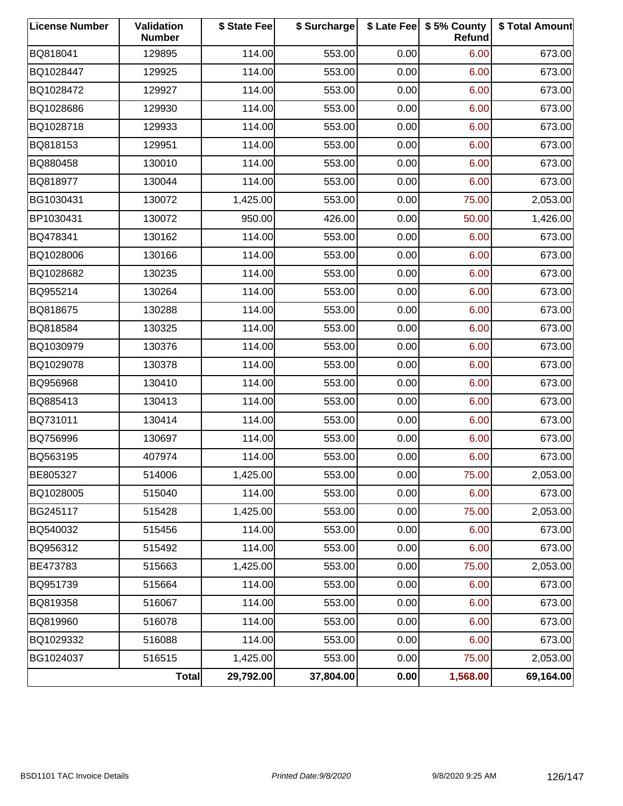| <b>License Number</b> | <b>Validation</b><br><b>Number</b> | \$ State Fee | \$ Surcharge |      | \$ Late Fee   \$5% County<br>Refund | \$ Total Amount |
|-----------------------|------------------------------------|--------------|--------------|------|-------------------------------------|-----------------|
| BQ818041              | 129895                             | 114.00       | 553.00       | 0.00 | 6.00                                | 673.00          |
| BQ1028447             | 129925                             | 114.00       | 553.00       | 0.00 | 6.00                                | 673.00          |
| BQ1028472             | 129927                             | 114.00       | 553.00       | 0.00 | 6.00                                | 673.00          |
| BQ1028686             | 129930                             | 114.00       | 553.00       | 0.00 | 6.00                                | 673.00          |
| BQ1028718             | 129933                             | 114.00       | 553.00       | 0.00 | 6.00                                | 673.00          |
| BQ818153              | 129951                             | 114.00       | 553.00       | 0.00 | 6.00                                | 673.00          |
| BQ880458              | 130010                             | 114.00       | 553.00       | 0.00 | 6.00                                | 673.00          |
| BQ818977              | 130044                             | 114.00       | 553.00       | 0.00 | 6.00                                | 673.00          |
| BG1030431             | 130072                             | 1,425.00     | 553.00       | 0.00 | 75.00                               | 2,053.00        |
| BP1030431             | 130072                             | 950.00       | 426.00       | 0.00 | 50.00                               | 1,426.00        |
| BQ478341              | 130162                             | 114.00       | 553.00       | 0.00 | 6.00                                | 673.00          |
| BQ1028006             | 130166                             | 114.00       | 553.00       | 0.00 | 6.00                                | 673.00          |
| BQ1028682             | 130235                             | 114.00       | 553.00       | 0.00 | 6.00                                | 673.00          |
| BQ955214              | 130264                             | 114.00       | 553.00       | 0.00 | 6.00                                | 673.00          |
| BQ818675              | 130288                             | 114.00       | 553.00       | 0.00 | 6.00                                | 673.00          |
| BQ818584              | 130325                             | 114.00       | 553.00       | 0.00 | 6.00                                | 673.00          |
| BQ1030979             | 130376                             | 114.00       | 553.00       | 0.00 | 6.00                                | 673.00          |
| BQ1029078             | 130378                             | 114.00       | 553.00       | 0.00 | 6.00                                | 673.00          |
| BQ956968              | 130410                             | 114.00       | 553.00       | 0.00 | 6.00                                | 673.00          |
| BQ885413              | 130413                             | 114.00       | 553.00       | 0.00 | 6.00                                | 673.00          |
| BQ731011              | 130414                             | 114.00       | 553.00       | 0.00 | 6.00                                | 673.00          |
| BQ756996              | 130697                             | 114.00       | 553.00       | 0.00 | 6.00                                | 673.00          |
| BQ563195              | 407974                             | 114.00       | 553.00       | 0.00 | 6.00                                | 673.00          |
| BE805327              | 514006                             | 1,425.00     | 553.00       | 0.00 | 75.00                               | 2,053.00        |
| BQ1028005             | 515040                             | 114.00       | 553.00       | 0.00 | 6.00                                | 673.00          |
| BG245117              | 515428                             | 1,425.00     | 553.00       | 0.00 | 75.00                               | 2,053.00        |
| BQ540032              | 515456                             | 114.00       | 553.00       | 0.00 | 6.00                                | 673.00          |
| BQ956312              | 515492                             | 114.00       | 553.00       | 0.00 | 6.00                                | 673.00          |
| BE473783              | 515663                             | 1,425.00     | 553.00       | 0.00 | 75.00                               | 2,053.00        |
| BQ951739              | 515664                             | 114.00       | 553.00       | 0.00 | 6.00                                | 673.00          |
| BQ819358              | 516067                             | 114.00       | 553.00       | 0.00 | 6.00                                | 673.00          |
| BQ819960              | 516078                             | 114.00       | 553.00       | 0.00 | 6.00                                | 673.00          |
| BQ1029332             | 516088                             | 114.00       | 553.00       | 0.00 | 6.00                                | 673.00          |
| BG1024037             | 516515                             | 1,425.00     | 553.00       | 0.00 | 75.00                               | 2,053.00        |
|                       | Total                              | 29,792.00    | 37,804.00    | 0.00 | 1,568.00                            | 69,164.00       |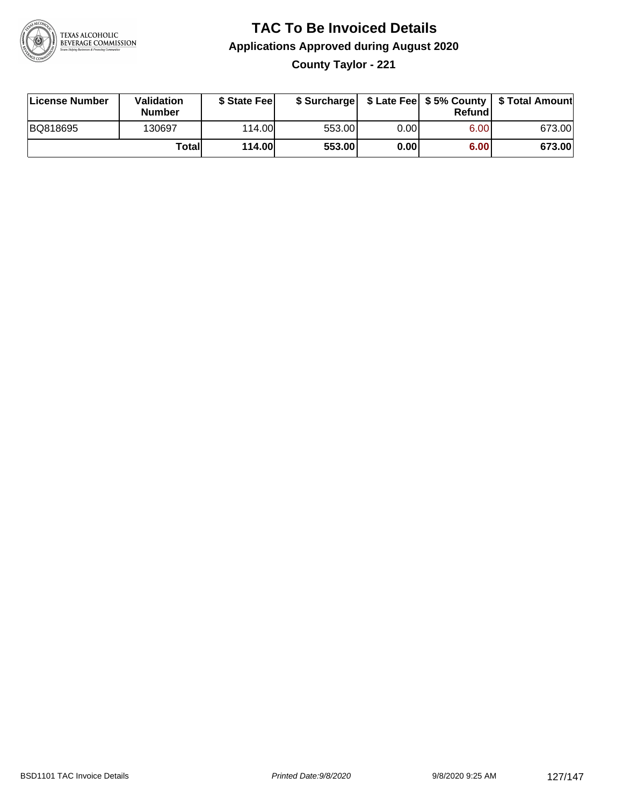

# **TAC To Be Invoiced Details Applications Approved during August 2020**

**County Taylor - 221**

| License Number | Validation<br><b>Number</b> | \$ State Feel | \$ Surcharge |       | Refundl           | \$ Late Fee   \$5% County   \$ Total Amount |
|----------------|-----------------------------|---------------|--------------|-------|-------------------|---------------------------------------------|
| BQ818695       | 130697                      | 114.00        | 553.00       | 0.001 | 6.00 <sub>1</sub> | 673.00                                      |
|                | Totall                      | <b>114.00</b> | 553.00       | 0.00  | 6.00              | 673.00                                      |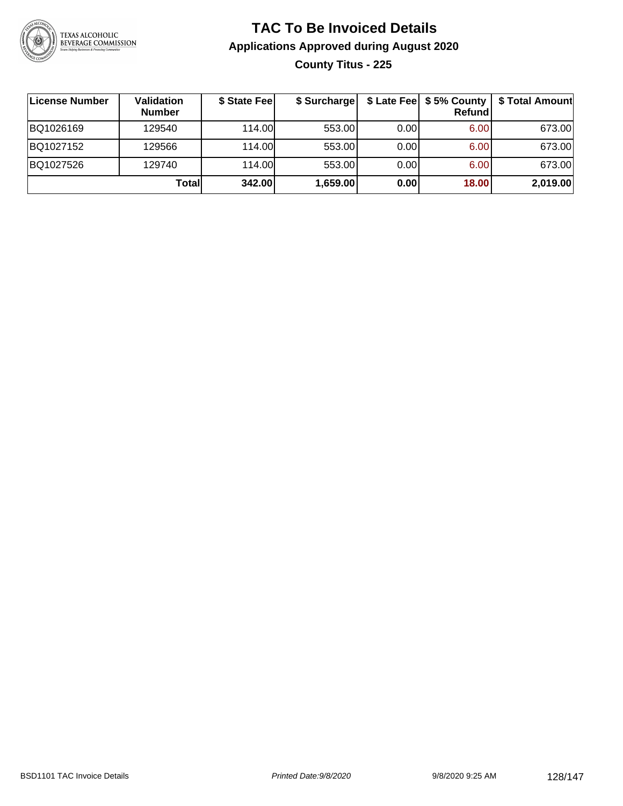

#### **TAC To Be Invoiced Details Applications Approved during August 2020 County Titus - 225**

| License Number | Validation<br><b>Number</b> | \$ State Fee | \$ Surcharge |      | \$ Late Fee   \$5% County  <br><b>Refund</b> | \$ Total Amount |
|----------------|-----------------------------|--------------|--------------|------|----------------------------------------------|-----------------|
| BQ1026169      | 129540                      | 114.00       | 553.00       | 0.00 | 6.00                                         | 673.00          |
| BQ1027152      | 129566                      | 114.00       | 553.00       | 0.00 | 6.00                                         | 673.00          |
| BQ1027526      | 129740                      | 114.00L      | 553.00       | 0.00 | 6.00                                         | 673.00          |
|                | Totall                      | 342.00       | 1,659.00     | 0.00 | 18.00                                        | 2,019.00        |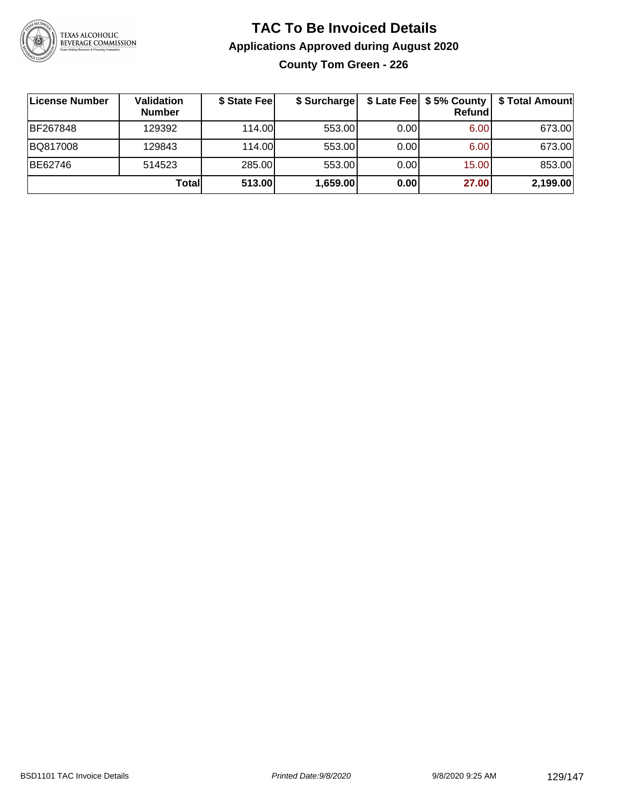

#### **TAC To Be Invoiced Details Applications Approved during August 2020 County Tom Green - 226**

| License Number | Validation<br><b>Number</b> | \$ State Fee | \$ Surcharge |      | $$$ Late Fee $$$ \$ 5% County $ $<br>Refundl | \$ Total Amount |
|----------------|-----------------------------|--------------|--------------|------|----------------------------------------------|-----------------|
| BF267848       | 129392                      | 114.00       | 553.00       | 0.00 | 6.00                                         | 673.00          |
| BQ817008       | 129843                      | 114.00       | 553.00       | 0.00 | 6.00                                         | 673.00          |
| BE62746        | 514523                      | 285.00       | 553.00       | 0.00 | 15.00                                        | 853.00          |
|                | Totall                      | 513.00       | 1,659.00     | 0.00 | 27.00                                        | 2,199.00        |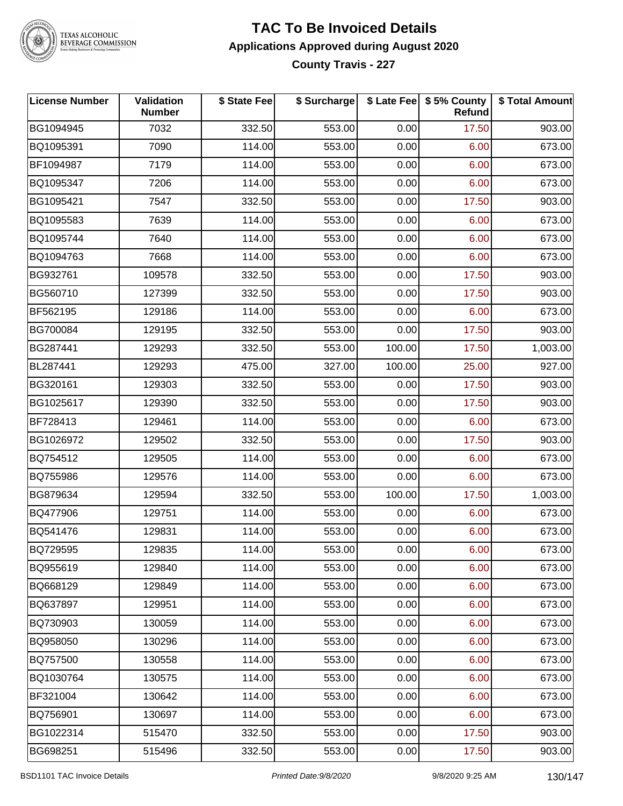

### TEXAS ALCOHOLIC<br>BEVERAGE COMMISSION

#### **TAC To Be Invoiced Details Applications Approved during August 2020 County Travis - 227**

| <b>License Number</b> | Validation<br><b>Number</b> | \$ State Fee | \$ Surcharge |        | \$ Late Fee   \$5% County<br>Refund | \$ Total Amount |
|-----------------------|-----------------------------|--------------|--------------|--------|-------------------------------------|-----------------|
| BG1094945             | 7032                        | 332.50       | 553.00       | 0.00   | 17.50                               | 903.00          |
| BQ1095391             | 7090                        | 114.00       | 553.00       | 0.00   | 6.00                                | 673.00          |
| BF1094987             | 7179                        | 114.00       | 553.00       | 0.00   | 6.00                                | 673.00          |
| BQ1095347             | 7206                        | 114.00       | 553.00       | 0.00   | 6.00                                | 673.00          |
| BG1095421             | 7547                        | 332.50       | 553.00       | 0.00   | 17.50                               | 903.00          |
| BQ1095583             | 7639                        | 114.00       | 553.00       | 0.00   | 6.00                                | 673.00          |
| BQ1095744             | 7640                        | 114.00       | 553.00       | 0.00   | 6.00                                | 673.00          |
| BQ1094763             | 7668                        | 114.00       | 553.00       | 0.00   | 6.00                                | 673.00          |
| BG932761              | 109578                      | 332.50       | 553.00       | 0.00   | 17.50                               | 903.00          |
| BG560710              | 127399                      | 332.50       | 553.00       | 0.00   | 17.50                               | 903.00          |
| BF562195              | 129186                      | 114.00       | 553.00       | 0.00   | 6.00                                | 673.00          |
| BG700084              | 129195                      | 332.50       | 553.00       | 0.00   | 17.50                               | 903.00          |
| BG287441              | 129293                      | 332.50       | 553.00       | 100.00 | 17.50                               | 1,003.00        |
| BL287441              | 129293                      | 475.00       | 327.00       | 100.00 | 25.00                               | 927.00          |
| BG320161              | 129303                      | 332.50       | 553.00       | 0.00   | 17.50                               | 903.00          |
| BG1025617             | 129390                      | 332.50       | 553.00       | 0.00   | 17.50                               | 903.00          |
| BF728413              | 129461                      | 114.00       | 553.00       | 0.00   | 6.00                                | 673.00          |
| BG1026972             | 129502                      | 332.50       | 553.00       | 0.00   | 17.50                               | 903.00          |
| BQ754512              | 129505                      | 114.00       | 553.00       | 0.00   | 6.00                                | 673.00          |
| BQ755986              | 129576                      | 114.00       | 553.00       | 0.00   | 6.00                                | 673.00          |
| BG879634              | 129594                      | 332.50       | 553.00       | 100.00 | 17.50                               | 1,003.00        |
| BQ477906              | 129751                      | 114.00       | 553.00       | 0.00   | 6.00                                | 673.00          |
| BQ541476              | 129831                      | 114.00       | 553.00       | 0.00   | 6.00                                | 673.00          |
| BQ729595              | 129835                      | 114.00       | 553.00       | 0.00   | 6.00                                | 673.00          |
| BQ955619              | 129840                      | 114.00       | 553.00       | 0.00   | 6.00                                | 673.00          |
| BQ668129              | 129849                      | 114.00       | 553.00       | 0.00   | 6.00                                | 673.00          |
| BQ637897              | 129951                      | 114.00       | 553.00       | 0.00   | 6.00                                | 673.00          |
| BQ730903              | 130059                      | 114.00       | 553.00       | 0.00   | 6.00                                | 673.00          |
| BQ958050              | 130296                      | 114.00       | 553.00       | 0.00   | 6.00                                | 673.00          |
| BQ757500              | 130558                      | 114.00       | 553.00       | 0.00   | 6.00                                | 673.00          |
| BQ1030764             | 130575                      | 114.00       | 553.00       | 0.00   | 6.00                                | 673.00          |
| BF321004              | 130642                      | 114.00       | 553.00       | 0.00   | 6.00                                | 673.00          |
| BQ756901              | 130697                      | 114.00       | 553.00       | 0.00   | 6.00                                | 673.00          |
| BG1022314             | 515470                      | 332.50       | 553.00       | 0.00   | 17.50                               | 903.00          |
| BG698251              | 515496                      | 332.50       | 553.00       | 0.00   | 17.50                               | 903.00          |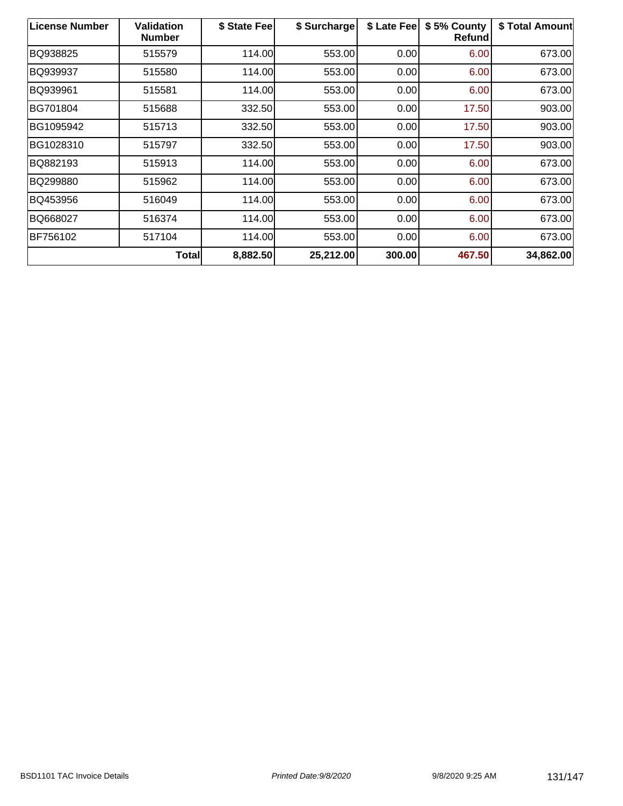| <b>License Number</b> | <b>Validation</b><br><b>Number</b> | \$ State Fee | \$ Surcharge | \$ Late Fee | \$5% County<br><b>Refund</b> | \$ Total Amount |
|-----------------------|------------------------------------|--------------|--------------|-------------|------------------------------|-----------------|
| BQ938825              | 515579                             | 114.00       | 553.00       | 0.00        | 6.00                         | 673.00          |
| BQ939937              | 515580                             | 114.00       | 553.00       | 0.00        | 6.00                         | 673.00          |
| BQ939961              | 515581                             | 114.00       | 553.00       | 0.00        | 6.00                         | 673.00          |
| BG701804              | 515688                             | 332.50       | 553.00       | 0.00        | 17.50                        | 903.00          |
| BG1095942             | 515713                             | 332.50       | 553.00       | 0.00        | 17.50                        | 903.00          |
| BG1028310             | 515797                             | 332.50       | 553.00       | 0.00        | 17.50                        | 903.00          |
| BQ882193              | 515913                             | 114.00       | 553.00       | 0.00        | 6.00                         | 673.00          |
| BQ299880              | 515962                             | 114.00       | 553.00       | 0.00        | 6.00                         | 673.00          |
| BQ453956              | 516049                             | 114.00       | 553.00       | 0.00        | 6.00                         | 673.00          |
| BQ668027              | 516374                             | 114.00       | 553.00       | 0.00        | 6.00                         | 673.00          |
| BF756102              | 517104                             | 114.00       | 553.00       | 0.00        | 6.00                         | 673.00          |
|                       | Total                              | 8,882.50     | 25,212.00    | 300.00      | 467.50                       | 34,862.00       |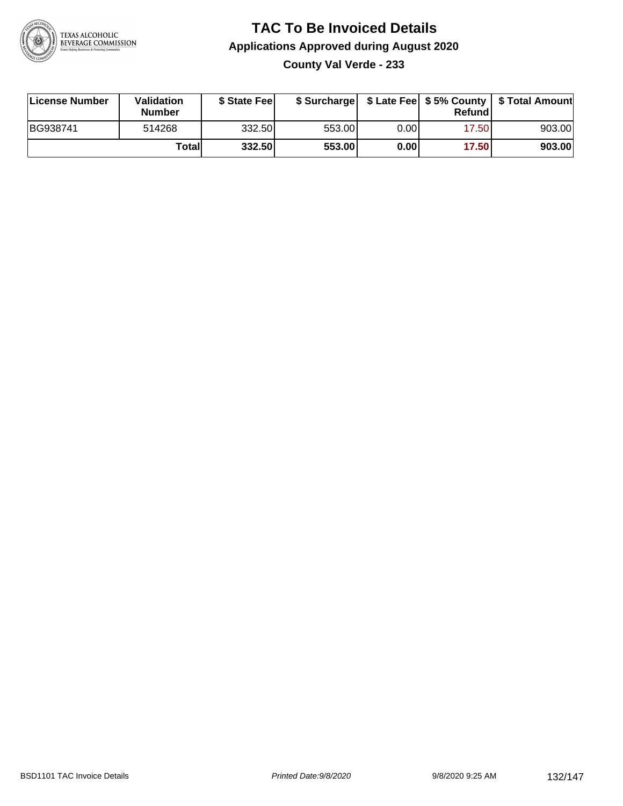

#### **TAC To Be Invoiced Details Applications Approved during August 2020 County Val Verde - 233**

| License Number | Validation<br><b>Number</b> | \$ State Fee |        |      | Refund | \$ Surcharge   \$ Late Fee   \$5% County   \$ Total Amount |
|----------------|-----------------------------|--------------|--------|------|--------|------------------------------------------------------------|
| BG938741       | 514268                      | 332.50       | 553.00 | 0.00 | 17.50  | 903.00                                                     |
|                | Totall                      | 332.50       | 553.00 | 0.00 | 17.50  | 903.00                                                     |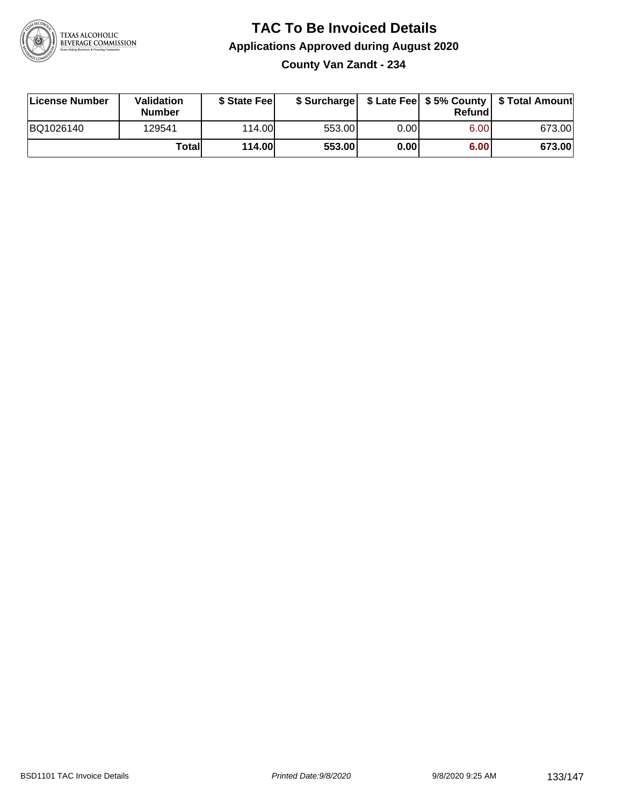

#### **TAC To Be Invoiced Details Applications Approved during August 2020 County Van Zandt - 234**

| License Number | Validation<br><b>Number</b> | \$ State Fee |        |      | Refund | \$ Surcharge   \$ Late Fee   \$5% County   \$ Total Amount |
|----------------|-----------------------------|--------------|--------|------|--------|------------------------------------------------------------|
| BQ1026140      | 129541                      | 114.00L      | 553.00 | 0.00 | 6.00   | 673.00                                                     |
|                | Totall                      | 114.00       | 553.00 | 0.00 | 6.00   | 673.00                                                     |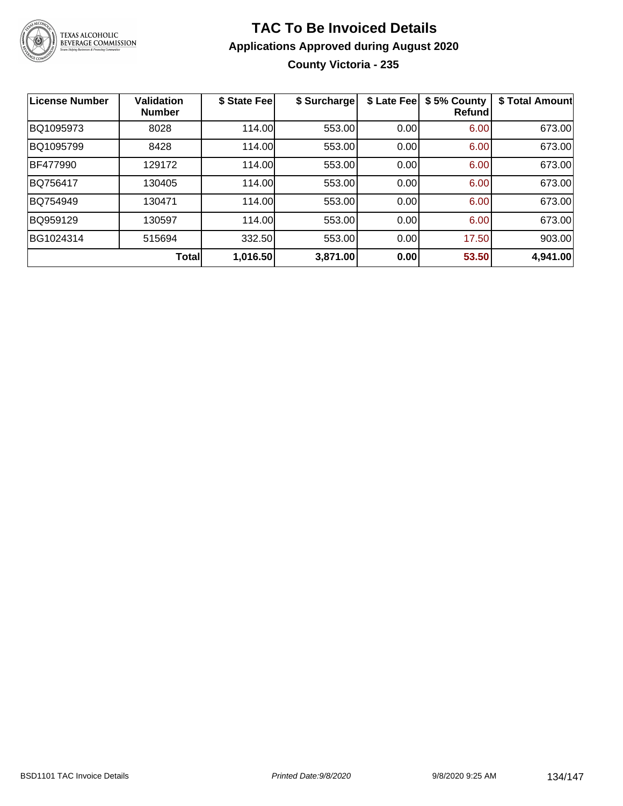

#### **TAC To Be Invoiced Details Applications Approved during August 2020 County Victoria - 235**

| <b>License Number</b> | <b>Validation</b><br><b>Number</b> | \$ State Fee | \$ Surcharge | \$ Late Fee | \$5% County<br><b>Refund</b> | \$ Total Amount |
|-----------------------|------------------------------------|--------------|--------------|-------------|------------------------------|-----------------|
| BQ1095973             | 8028                               | 114.00       | 553.00       | 0.00        | 6.00                         | 673.00          |
| BQ1095799             | 8428                               | 114.00       | 553.00       | 0.00        | 6.00                         | 673.00          |
| BF477990              | 129172                             | 114.00       | 553.00       | 0.00        | 6.00                         | 673.00          |
| BQ756417              | 130405                             | 114.00       | 553.00       | 0.00        | 6.00                         | 673.00          |
| BQ754949              | 130471                             | 114.00       | 553.00       | 0.00        | 6.00                         | 673.00          |
| BQ959129              | 130597                             | 114.00       | 553.00       | 0.00        | 6.00                         | 673.00          |
| BG1024314             | 515694                             | 332.50       | 553.00       | 0.00        | 17.50                        | 903.00          |
|                       | <b>Total</b>                       | 1,016.50     | 3,871.00     | 0.00        | 53.50                        | 4,941.00        |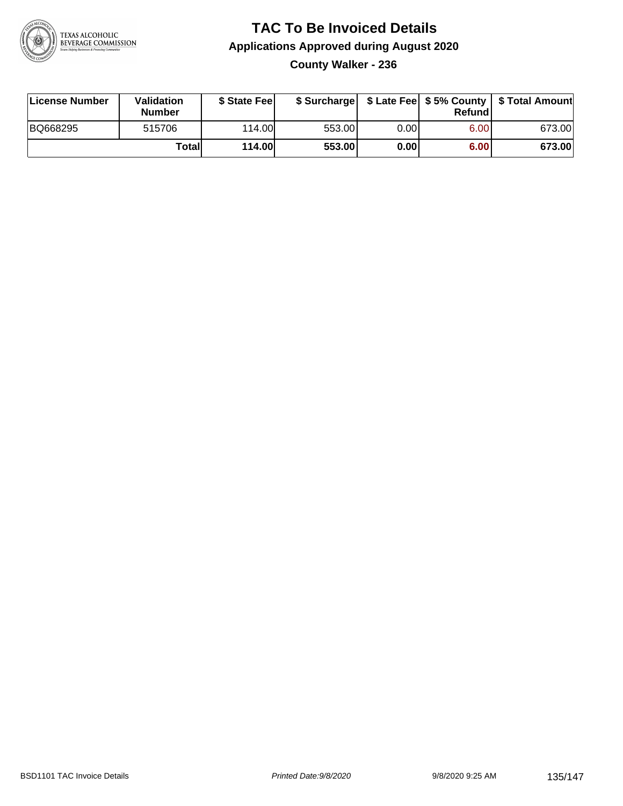

#### **TAC To Be Invoiced Details Applications Approved during August 2020 County Walker - 236**

| License Number | Validation<br><b>Number</b> | \$ State Fee  |        |      | Refund | \$ Surcharge   \$ Late Fee   \$5% County   \$ Total Amount |
|----------------|-----------------------------|---------------|--------|------|--------|------------------------------------------------------------|
| BQ668295       | 515706                      | 114.00        | 553.00 | 0.00 | 6.00   | 673.00                                                     |
|                | Totall                      | <b>114.00</b> | 553.00 | 0.00 | 6.00   | 673.00                                                     |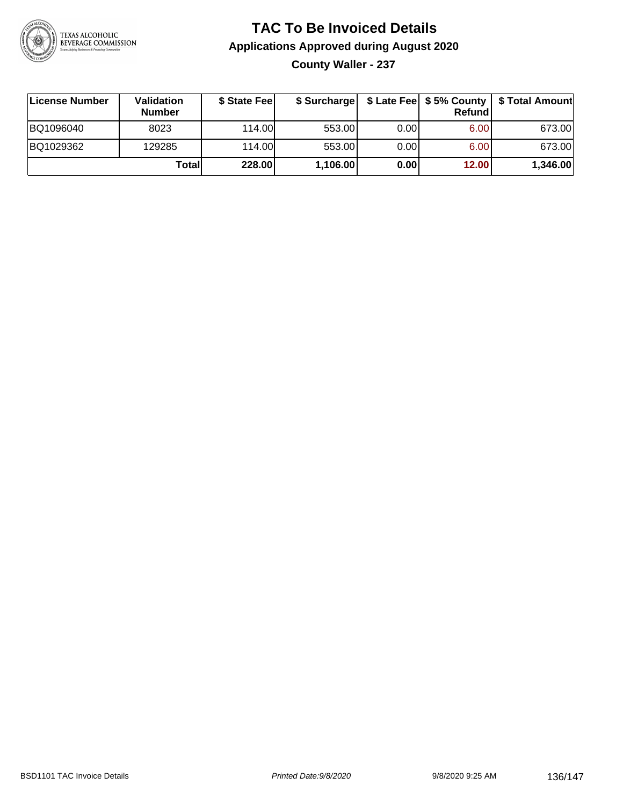

# **TAC To Be Invoiced Details Applications Approved during August 2020**

**County Waller - 237**

| ∣License Number | Validation<br><b>Number</b> | \$ State Feel |          |       | Refundl | \$ Surcharge   \$ Late Fee   \$5% County   \$ Total Amount |
|-----------------|-----------------------------|---------------|----------|-------|---------|------------------------------------------------------------|
| BQ1096040       | 8023                        | 114.00L       | 553.00   | 0.001 | 6.00    | 673.00                                                     |
| BQ1029362       | 129285                      | 114.00        | 553.00   | 0.00  | 6.00    | 673.00                                                     |
|                 | Totall                      | 228.00        | 1,106.00 | 0.00  | 12.00   | 1,346.00                                                   |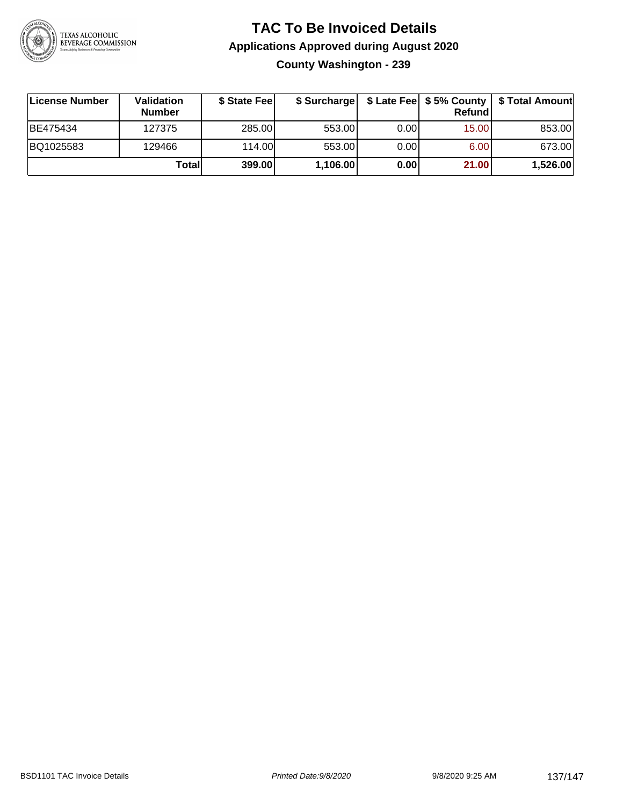

#### **TAC To Be Invoiced Details Applications Approved during August 2020 County Washington - 239**

| License Number | <b>Validation</b><br><b>Number</b> | \$ State Feel | \$ Surcharge |      | Refundl | \$ Late Fee   \$5% County   \$ Total Amount |
|----------------|------------------------------------|---------------|--------------|------|---------|---------------------------------------------|
| BE475434       | 127375                             | 285.00        | 553.00       | 0.00 | 15.00   | 853.00                                      |
| BQ1025583      | 129466                             | 114.00        | 553.00       | 0.00 | 6.00    | 673.00                                      |
|                | Totall                             | 399.00        | 1,106.00     | 0.00 | 21.00   | 1,526.00                                    |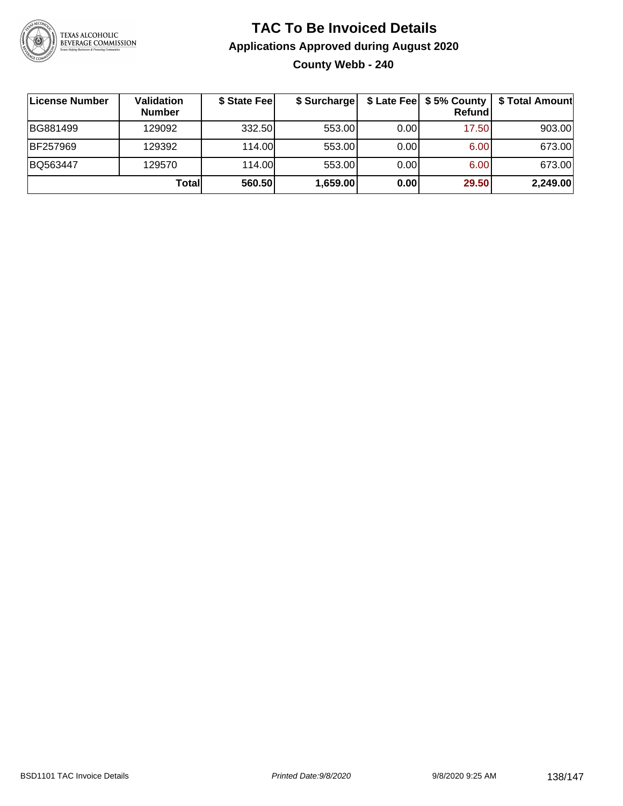

#### **TAC To Be Invoiced Details Applications Approved during August 2020 County Webb - 240**

| License Number | Validation<br><b>Number</b> | \$ State Fee | \$ Surcharge |      | $$$ Late Fee $$5%$ County<br><b>Refund</b> | \$ Total Amount |
|----------------|-----------------------------|--------------|--------------|------|--------------------------------------------|-----------------|
| BG881499       | 129092                      | 332.50       | 553.00       | 0.00 | 17.50                                      | 903.00          |
| BF257969       | 129392                      | 114.00       | 553.00       | 0.00 | 6.00                                       | 673.00          |
| BQ563447       | 129570                      | 114.00L      | 553.00       | 0.00 | 6.00                                       | 673.00          |
|                | Total                       | 560.50       | 1,659.00     | 0.00 | 29.50                                      | 2,249.00        |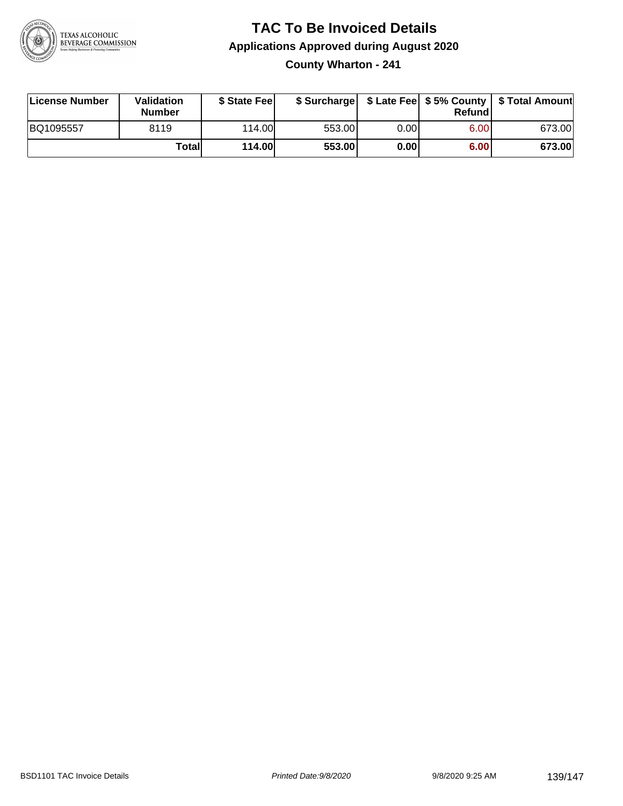

#### **TAC To Be Invoiced Details Applications Approved during August 2020 County Wharton - 241**

| License Number | Validation<br>Number | \$ State Fee |        |       | Refundl | \$ Surcharge   \$ Late Fee   \$5% County   \$ Total Amount |
|----------------|----------------------|--------------|--------|-------|---------|------------------------------------------------------------|
| BQ1095557      | 8119                 | 114.00       | 553.00 | 0.001 | 6.00    | 673.00                                                     |
|                | Total                | 114.00       | 553.00 | 0.001 | 6.00    | 673.00                                                     |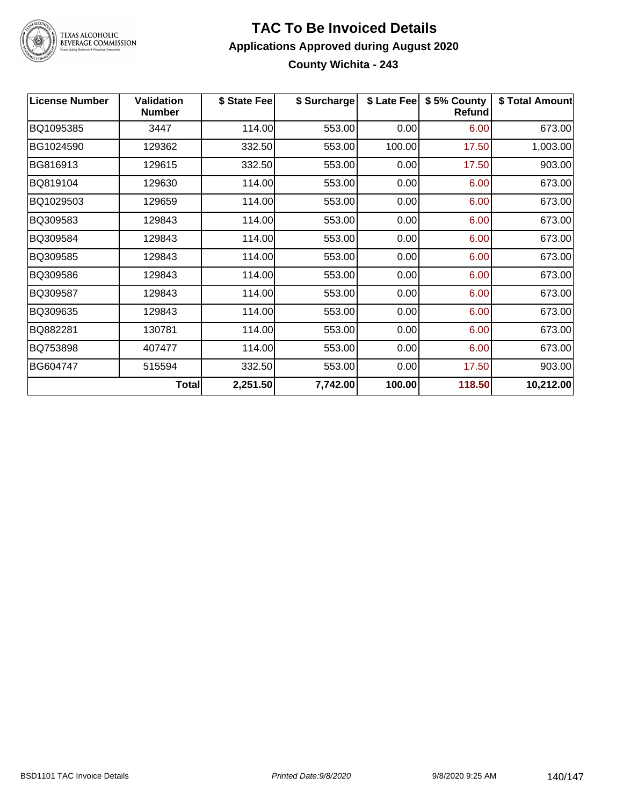

### TEXAS ALCOHOLIC<br>BEVERAGE COMMISSION

#### **TAC To Be Invoiced Details Applications Approved during August 2020 County Wichita - 243**

| <b>License Number</b> | <b>Validation</b><br><b>Number</b> | \$ State Fee | \$ Surcharge | \$ Late Fee | \$5% County<br><b>Refund</b> | \$ Total Amount |
|-----------------------|------------------------------------|--------------|--------------|-------------|------------------------------|-----------------|
| BQ1095385             | 3447                               | 114.00       | 553.00       | 0.00        | 6.00                         | 673.00          |
| BG1024590             | 129362                             | 332.50       | 553.00       | 100.00      | 17.50                        | 1,003.00        |
| BG816913              | 129615                             | 332.50       | 553.00       | 0.00        | 17.50                        | 903.00          |
| BQ819104              | 129630                             | 114.00       | 553.00       | 0.00        | 6.00                         | 673.00          |
| BQ1029503             | 129659                             | 114.00       | 553.00       | 0.00        | 6.00                         | 673.00          |
| BQ309583              | 129843                             | 114.00       | 553.00       | 0.00        | 6.00                         | 673.00          |
| BQ309584              | 129843                             | 114.00       | 553.00       | 0.00        | 6.00                         | 673.00          |
| BQ309585              | 129843                             | 114.00       | 553.00       | 0.00        | 6.00                         | 673.00          |
| BQ309586              | 129843                             | 114.00       | 553.00       | 0.00        | 6.00                         | 673.00          |
| BQ309587              | 129843                             | 114.00       | 553.00       | 0.00        | 6.00                         | 673.00          |
| BQ309635              | 129843                             | 114.00       | 553.00       | 0.00        | 6.00                         | 673.00          |
| BQ882281              | 130781                             | 114.00       | 553.00       | 0.00        | 6.00                         | 673.00          |
| BQ753898              | 407477                             | 114.00       | 553.00       | 0.00        | 6.00                         | 673.00          |
| BG604747              | 515594                             | 332.50       | 553.00       | 0.00        | 17.50                        | 903.00          |
|                       | <b>Total</b>                       | 2,251.50     | 7,742.00     | 100.00      | 118.50                       | 10,212.00       |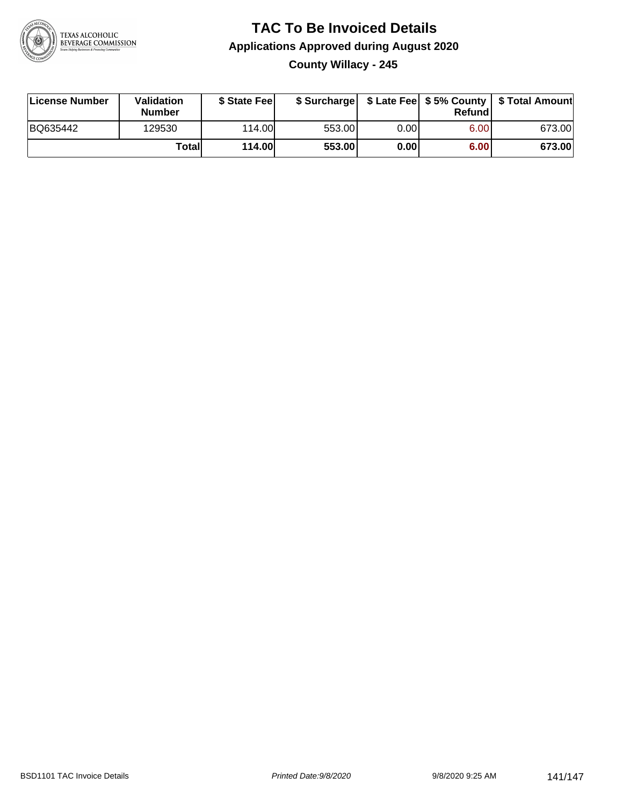

#### **TAC To Be Invoiced Details Applications Approved during August 2020 County Willacy - 245**

| License Number | <b>Validation</b><br><b>Number</b> | \$ State Feel |        |       | Refundl | \$ Surcharge   \$ Late Fee   \$5% County   \$ Total Amount |
|----------------|------------------------------------|---------------|--------|-------|---------|------------------------------------------------------------|
| BQ635442       | 129530                             | 114.00L       | 553.00 | 0.00  | 6.00    | 673.00                                                     |
|                | Totall                             | <b>114.00</b> | 553.00 | 0.001 | 6.00    | 673.00                                                     |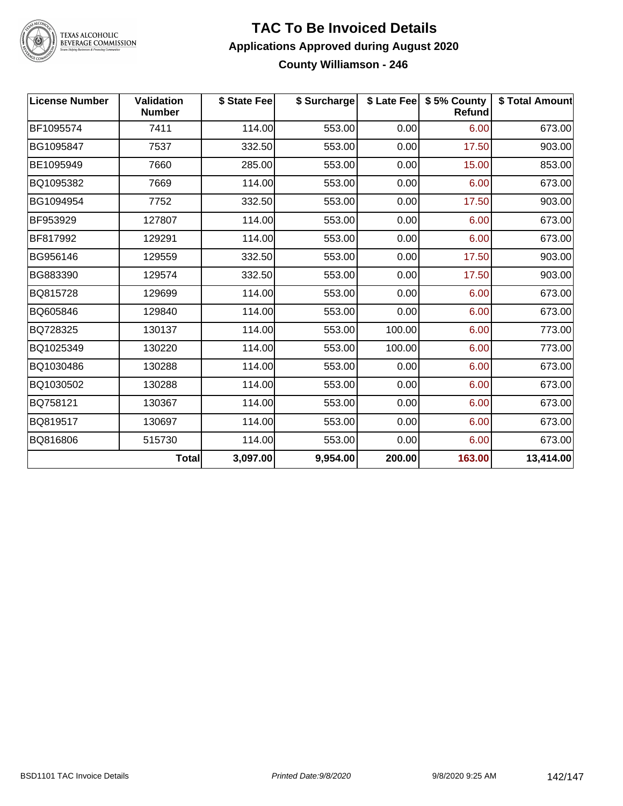

TEXAS ALCOHOLIC<br>BEVERAGE COMMISSION

#### **TAC To Be Invoiced Details Applications Approved during August 2020 County Williamson - 246**

| <b>License Number</b> | Validation<br><b>Number</b> | \$ State Fee | \$ Surcharge |        | \$ Late Fee   \$5% County<br>Refund | \$ Total Amount |
|-----------------------|-----------------------------|--------------|--------------|--------|-------------------------------------|-----------------|
| BF1095574             | 7411                        | 114.00       | 553.00       | 0.00   | 6.00                                | 673.00          |
| BG1095847             | 7537                        | 332.50       | 553.00       | 0.00   | 17.50                               | 903.00          |
| BE1095949             | 7660                        | 285.00       | 553.00       | 0.00   | 15.00                               | 853.00          |
| BQ1095382             | 7669                        | 114.00       | 553.00       | 0.00   | 6.00                                | 673.00          |
| BG1094954             | 7752                        | 332.50       | 553.00       | 0.00   | 17.50                               | 903.00          |
| BF953929              | 127807                      | 114.00       | 553.00       | 0.00   | 6.00                                | 673.00          |
| BF817992              | 129291                      | 114.00       | 553.00       | 0.00   | 6.00                                | 673.00          |
| BG956146              | 129559                      | 332.50       | 553.00       | 0.00   | 17.50                               | 903.00          |
| BG883390              | 129574                      | 332.50       | 553.00       | 0.00   | 17.50                               | 903.00          |
| BQ815728              | 129699                      | 114.00       | 553.00       | 0.00   | 6.00                                | 673.00          |
| BQ605846              | 129840                      | 114.00       | 553.00       | 0.00   | 6.00                                | 673.00          |
| BQ728325              | 130137                      | 114.00       | 553.00       | 100.00 | 6.00                                | 773.00          |
| BQ1025349             | 130220                      | 114.00       | 553.00       | 100.00 | 6.00                                | 773.00          |
| BQ1030486             | 130288                      | 114.00       | 553.00       | 0.00   | 6.00                                | 673.00          |
| BQ1030502             | 130288                      | 114.00       | 553.00       | 0.00   | 6.00                                | 673.00          |
| BQ758121              | 130367                      | 114.00       | 553.00       | 0.00   | 6.00                                | 673.00          |
| BQ819517              | 130697                      | 114.00       | 553.00       | 0.00   | 6.00                                | 673.00          |
| BQ816806              | 515730                      | 114.00       | 553.00       | 0.00   | 6.00                                | 673.00          |
|                       | <b>Total</b>                | 3,097.00     | 9,954.00     | 200.00 | 163.00                              | 13,414.00       |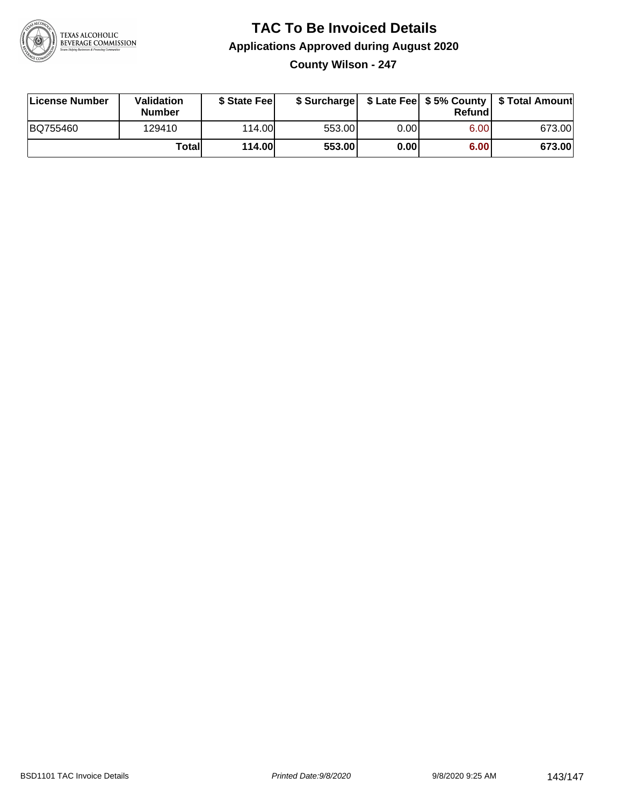

#### **TAC To Be Invoiced Details Applications Approved during August 2020 County Wilson - 247**

| License Number | Validation<br><b>Number</b> | \$ State Fee |        |      | Refundl | \$ Surcharge   \$ Late Fee   \$5% County   \$ Total Amount |
|----------------|-----------------------------|--------------|--------|------|---------|------------------------------------------------------------|
| BQ755460       | 129410                      | 114.00       | 553.00 | 0.00 | 6.00    | 673.00                                                     |
|                | Totall                      | 114.00       | 553.00 | 0.00 | 6.00    | 673.00                                                     |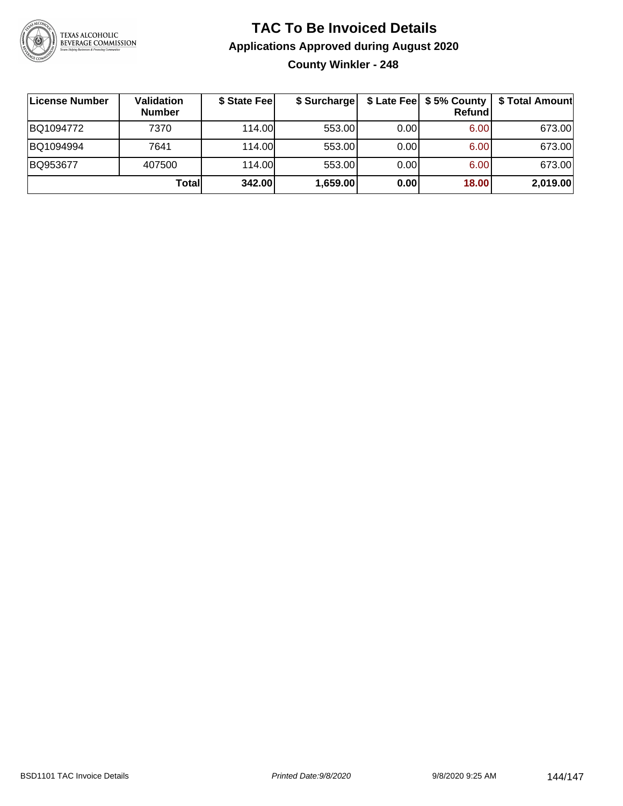

#### **TAC To Be Invoiced Details Applications Approved during August 2020 County Winkler - 248**

| ∣License Number | Validation<br><b>Number</b> | \$ State Fee | \$ Surcharge |      | Refund | \$ Late Fee   \$5% County   \$ Total Amount |
|-----------------|-----------------------------|--------------|--------------|------|--------|---------------------------------------------|
| BQ1094772       | 7370                        | 114.00L      | 553.00       | 0.00 | 6.00   | 673.00                                      |
| BQ1094994       | 7641                        | 114.00L      | 553.00       | 0.00 | 6.00   | 673.00                                      |
| BQ953677        | 407500                      | 114.00L      | 553.00       | 0.00 | 6.00   | 673.00                                      |
|                 | Totall                      | 342.00       | 1,659.00     | 0.00 | 18.00  | 2,019.00                                    |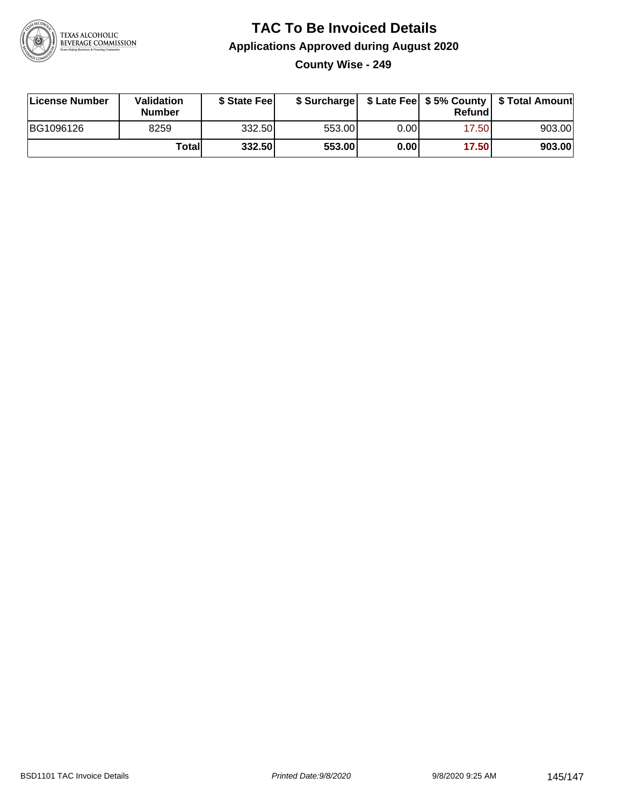

## **TAC To Be Invoiced Details Applications Approved during August 2020 County Wise - 249**

| License Number | Validation<br>Number | \$ State Fee |        |      | Refund | \$ Surcharge   \$ Late Fee   \$5% County   \$ Total Amount |
|----------------|----------------------|--------------|--------|------|--------|------------------------------------------------------------|
| BG1096126      | 8259                 | 332.50       | 553.00 | 0.00 | 17.50  | 903.00                                                     |
|                | Totall               | 332.50       | 553.00 | 0.00 | 17.50  | 903.00                                                     |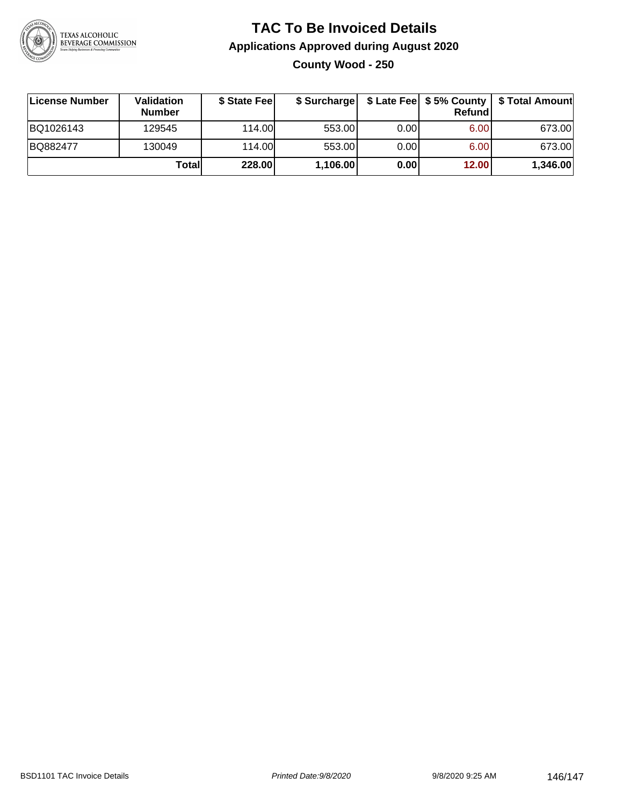

## **TAC To Be Invoiced Details Applications Approved during August 2020 County Wood - 250**

| License Number | Validation<br><b>Number</b> | \$ State Fee | \$ Surcharge |      | Refund | \$ Late Fee   \$5% County   \$ Total Amount |
|----------------|-----------------------------|--------------|--------------|------|--------|---------------------------------------------|
| BQ1026143      | 129545                      | 114.00L      | 553.00       | 0.00 | 6.00   | 673.00                                      |
| BQ882477       | 130049                      | 114.00L      | 553.00       | 0.00 | 6.00   | 673.00                                      |
|                | Total                       | 228.00       | 1,106.00     | 0.00 | 12.00  | 1,346.00                                    |